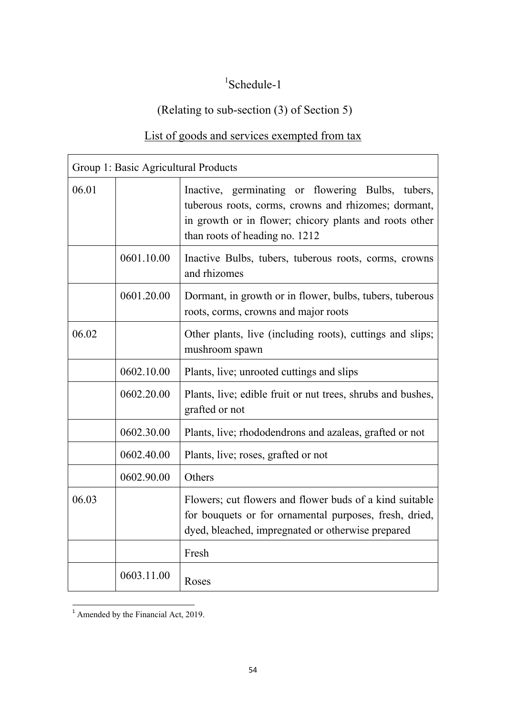## 1 Schedule-1

## (Relating to sub-section (3) of Section 5)

## List of goods and services exempted from tax

|       | Group 1: Basic Agricultural Products |                                                                                                                                                                                                       |
|-------|--------------------------------------|-------------------------------------------------------------------------------------------------------------------------------------------------------------------------------------------------------|
| 06.01 |                                      | Inactive, germinating or flowering Bulbs, tubers,<br>tuberous roots, corms, crowns and rhizomes; dormant,<br>in growth or in flower; chicory plants and roots other<br>than roots of heading no. 1212 |
|       | 0601.10.00                           | Inactive Bulbs, tubers, tuberous roots, corms, crowns<br>and rhizomes                                                                                                                                 |
|       | 0601.20.00                           | Dormant, in growth or in flower, bulbs, tubers, tuberous<br>roots, corms, crowns and major roots                                                                                                      |
| 06.02 |                                      | Other plants, live (including roots), cuttings and slips;<br>mushroom spawn                                                                                                                           |
|       | 0602.10.00                           | Plants, live; unrooted cuttings and slips                                                                                                                                                             |
|       | 0602.20.00                           | Plants, live; edible fruit or nut trees, shrubs and bushes,<br>grafted or not                                                                                                                         |
|       | 0602.30.00                           | Plants, live; rhododendrons and azaleas, grafted or not                                                                                                                                               |
|       | 0602.40.00                           | Plants, live; roses, grafted or not                                                                                                                                                                   |
|       | 0602.90.00                           | Others                                                                                                                                                                                                |
| 06.03 |                                      | Flowers; cut flowers and flower buds of a kind suitable<br>for bouquets or for ornamental purposes, fresh, dried,<br>dyed, bleached, impregnated or otherwise prepared                                |
|       |                                      | Fresh                                                                                                                                                                                                 |
|       | 0603.11.00                           | Roses                                                                                                                                                                                                 |

 $\overline{1}$  Amended by the Financial Act, 2019.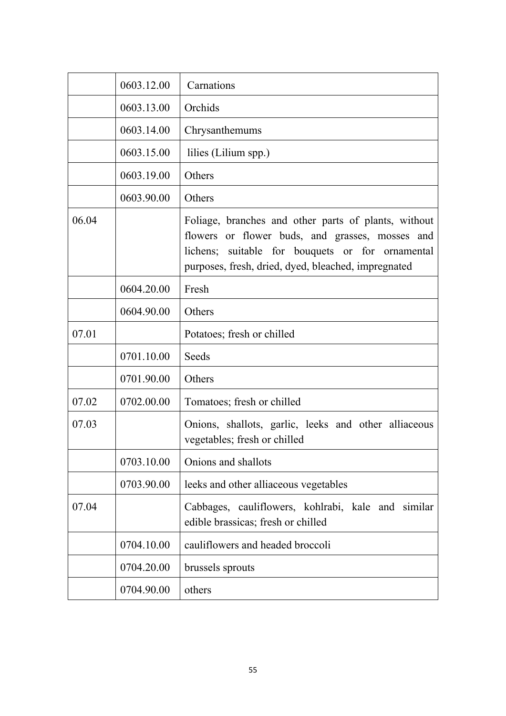|       | 0603.12.00 | Carnations                                                                                                                                                                                                         |
|-------|------------|--------------------------------------------------------------------------------------------------------------------------------------------------------------------------------------------------------------------|
|       | 0603.13.00 | Orchids                                                                                                                                                                                                            |
|       | 0603.14.00 | Chrysanthemums                                                                                                                                                                                                     |
|       | 0603.15.00 | lilies (Lilium spp.)                                                                                                                                                                                               |
|       | 0603.19.00 | Others                                                                                                                                                                                                             |
|       | 0603.90.00 | Others                                                                                                                                                                                                             |
| 06.04 |            | Foliage, branches and other parts of plants, without<br>flowers or flower buds, and grasses, mosses and<br>lichens; suitable for bouquets or for ornamental<br>purposes, fresh, dried, dyed, bleached, impregnated |
|       | 0604.20.00 | Fresh                                                                                                                                                                                                              |
|       | 0604.90.00 | Others                                                                                                                                                                                                             |
| 07.01 |            | Potatoes; fresh or chilled                                                                                                                                                                                         |
|       | 0701.10.00 | Seeds                                                                                                                                                                                                              |
|       | 0701.90.00 | Others                                                                                                                                                                                                             |
| 07.02 | 0702.00.00 | Tomatoes; fresh or chilled                                                                                                                                                                                         |
| 07.03 |            | Onions, shallots, garlic, leeks and other alliaceous<br>vegetables; fresh or chilled                                                                                                                               |
|       | 0703.10.00 | Onions and shallots                                                                                                                                                                                                |
|       | 0703.90.00 | leeks and other alliaceous vegetables                                                                                                                                                                              |
| 07.04 |            | Cabbages, cauliflowers, kohlrabi, kale and similar<br>edible brassicas; fresh or chilled                                                                                                                           |
|       | 0704.10.00 | cauliflowers and headed broccoli                                                                                                                                                                                   |
|       | 0704.20.00 | brussels sprouts                                                                                                                                                                                                   |
|       | 0704.90.00 | others                                                                                                                                                                                                             |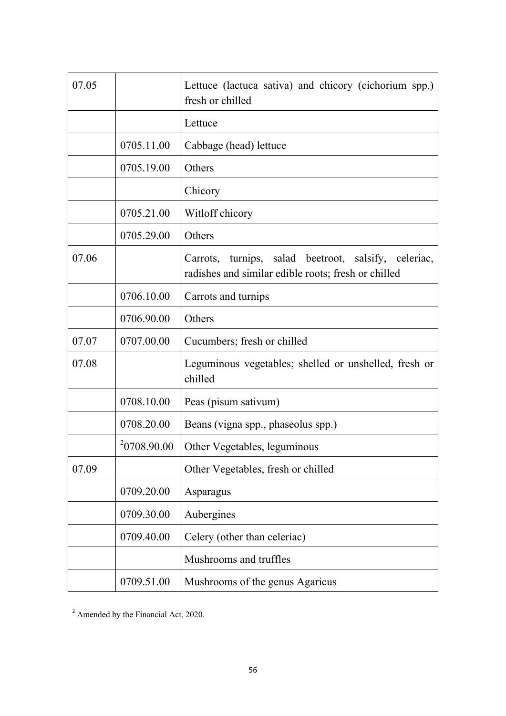| 07.05 |             | Lettuce (lactuca sativa) and chicory (cichorium spp.)<br>fresh or chilled                                   |
|-------|-------------|-------------------------------------------------------------------------------------------------------------|
|       |             | Lettuce                                                                                                     |
|       | 0705.11.00  | Cabbage (head) lettuce                                                                                      |
|       | 0705.19.00  | Others                                                                                                      |
|       |             | Chicory                                                                                                     |
|       | 0705.21.00  | Witloff chicory                                                                                             |
|       | 0705.29.00  | Others                                                                                                      |
| 07.06 |             | Carrots, turnips, salad beetroot, salsify, celeriac,<br>radishes and similar edible roots; fresh or chilled |
|       | 0706.10.00  | Carrots and turnips                                                                                         |
|       | 0706.90.00  | Others                                                                                                      |
| 07.07 | 0707.00.00  | Cucumbers; fresh or chilled                                                                                 |
| 07.08 |             | Leguminous vegetables; shelled or unshelled, fresh or<br>chilled                                            |
|       | 0708.10.00  | Peas (pisum sativum)                                                                                        |
|       | 0708.20.00  | Beans (vigna spp., phaseolus spp.)                                                                          |
|       | 20708.90.00 | Other Vegetables, leguminous                                                                                |
| 07.09 |             | Other Vegetables, fresh or chilled                                                                          |
|       | 0709.20.00  | Asparagus                                                                                                   |
|       | 0709.30.00  | Aubergines                                                                                                  |
|       | 0709.40.00  | Celery (other than celeriac)                                                                                |
|       |             | Mushrooms and truffles                                                                                      |
|       | 0709.51.00  | Mushrooms of the genus Agaricus                                                                             |

 $\overline{a^2}$  Amended by the Financial Act, 2020.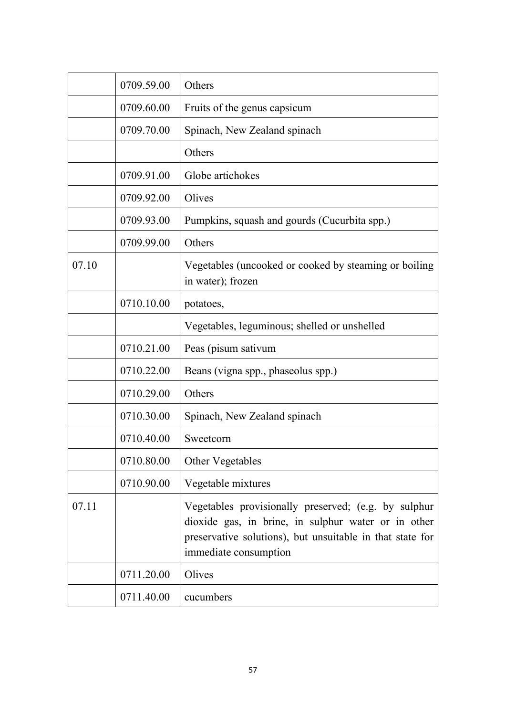|       | 0709.59.00 | Others                                                                                                                                                                                            |
|-------|------------|---------------------------------------------------------------------------------------------------------------------------------------------------------------------------------------------------|
|       | 0709.60.00 | Fruits of the genus capsicum                                                                                                                                                                      |
|       | 0709.70.00 | Spinach, New Zealand spinach                                                                                                                                                                      |
|       |            | Others                                                                                                                                                                                            |
|       | 0709.91.00 | Globe artichokes                                                                                                                                                                                  |
|       | 0709.92.00 | Olives                                                                                                                                                                                            |
|       | 0709.93.00 | Pumpkins, squash and gourds (Cucurbita spp.)                                                                                                                                                      |
|       | 0709.99.00 | Others                                                                                                                                                                                            |
| 07.10 |            | Vegetables (uncooked or cooked by steaming or boiling<br>in water); frozen                                                                                                                        |
|       | 0710.10.00 | potatoes,                                                                                                                                                                                         |
|       |            | Vegetables, leguminous; shelled or unshelled                                                                                                                                                      |
|       | 0710.21.00 | Peas (pisum sativum                                                                                                                                                                               |
|       | 0710.22.00 | Beans (vigna spp., phaseolus spp.)                                                                                                                                                                |
|       | 0710.29.00 | Others                                                                                                                                                                                            |
|       | 0710.30.00 | Spinach, New Zealand spinach                                                                                                                                                                      |
|       | 0710.40.00 | Sweetcorn                                                                                                                                                                                         |
|       | 0710.80.00 | Other Vegetables                                                                                                                                                                                  |
|       | 0710.90.00 | Vegetable mixtures                                                                                                                                                                                |
| 07.11 |            | Vegetables provisionally preserved; (e.g. by sulphur<br>dioxide gas, in brine, in sulphur water or in other<br>preservative solutions), but unsuitable in that state for<br>immediate consumption |
|       | 0711.20.00 | Olives                                                                                                                                                                                            |
|       | 0711.40.00 | cucumbers                                                                                                                                                                                         |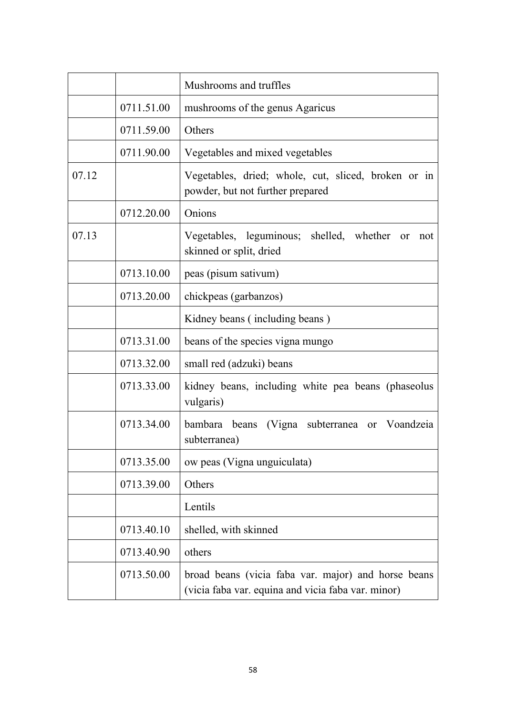|       |            | Mushrooms and truffles                                                                                    |
|-------|------------|-----------------------------------------------------------------------------------------------------------|
|       | 0711.51.00 | mushrooms of the genus Agaricus                                                                           |
|       | 0711.59.00 | Others                                                                                                    |
|       | 0711.90.00 | Vegetables and mixed vegetables                                                                           |
| 07.12 |            | Vegetables, dried; whole, cut, sliced, broken or in<br>powder, but not further prepared                   |
|       | 0712.20.00 | Onions                                                                                                    |
| 07.13 |            | Vegetables, leguminous; shelled, whether<br>or<br>not<br>skinned or split, dried                          |
|       | 0713.10.00 | peas (pisum sativum)                                                                                      |
|       | 0713.20.00 | chickpeas (garbanzos)                                                                                     |
|       |            | Kidney beans (including beans)                                                                            |
|       | 0713.31.00 | beans of the species vigna mungo                                                                          |
|       | 0713.32.00 | small red (adzuki) beans                                                                                  |
|       | 0713.33.00 | kidney beans, including white pea beans (phaseolus<br>vulgaris)                                           |
|       | 0713.34.00 | bambara beans (Vigna subterranea or Voandzeia<br>subterranea)                                             |
|       | 0713.35.00 | ow peas (Vigna unguiculata)                                                                               |
|       | 0713.39.00 | Others                                                                                                    |
|       |            | Lentils                                                                                                   |
|       | 0713.40.10 | shelled, with skinned                                                                                     |
|       | 0713.40.90 | others                                                                                                    |
|       | 0713.50.00 | broad beans (vicia faba var. major) and horse beans<br>(vicia faba var. equina and vicia faba var. minor) |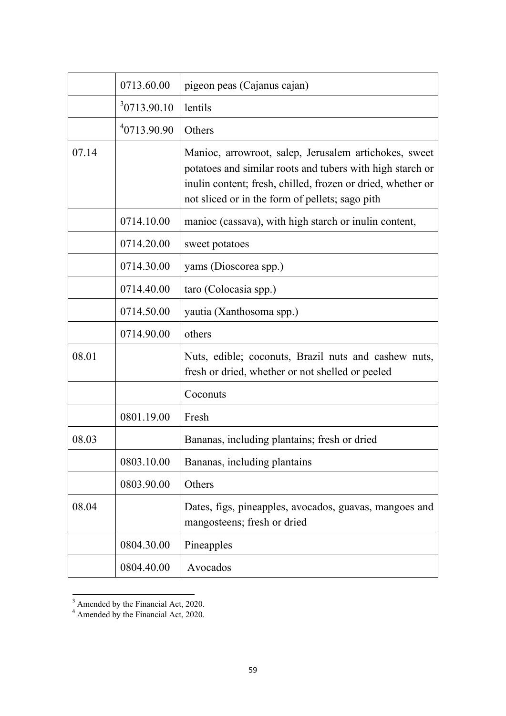|       | 0713.60.00  | pigeon peas (Cajanus cajan)                                                                                                                                                                                                          |
|-------|-------------|--------------------------------------------------------------------------------------------------------------------------------------------------------------------------------------------------------------------------------------|
|       | 30713.90.10 | lentils                                                                                                                                                                                                                              |
|       | 40713.90.90 | Others                                                                                                                                                                                                                               |
| 07.14 |             | Manioc, arrowroot, salep, Jerusalem artichokes, sweet<br>potatoes and similar roots and tubers with high starch or<br>inulin content; fresh, chilled, frozen or dried, whether or<br>not sliced or in the form of pellets; sago pith |
|       | 0714.10.00  | manioc (cassava), with high starch or inulin content,                                                                                                                                                                                |
|       | 0714.20.00  | sweet potatoes                                                                                                                                                                                                                       |
|       | 0714.30.00  | yams (Dioscorea spp.)                                                                                                                                                                                                                |
|       | 0714.40.00  | taro (Colocasia spp.)                                                                                                                                                                                                                |
|       | 0714.50.00  | yautia (Xanthosoma spp.)                                                                                                                                                                                                             |
|       | 0714.90.00  | others                                                                                                                                                                                                                               |
| 08.01 |             | Nuts, edible; coconuts, Brazil nuts and cashew nuts,<br>fresh or dried, whether or not shelled or peeled                                                                                                                             |
|       |             | Coconuts                                                                                                                                                                                                                             |
|       | 0801.19.00  | Fresh                                                                                                                                                                                                                                |
| 08.03 |             | Bananas, including plantains; fresh or dried                                                                                                                                                                                         |
|       | 0803.10.00  | Bananas, including plantains                                                                                                                                                                                                         |
|       | 0803.90.00  | Others                                                                                                                                                                                                                               |
| 08.04 |             | Dates, figs, pineapples, avocados, guavas, mangoes and<br>mangosteens; fresh or dried                                                                                                                                                |
|       | 0804.30.00  | Pineapples                                                                                                                                                                                                                           |
|       | 0804.40.00  | Avocados                                                                                                                                                                                                                             |

 $\frac{3}{3}$  Amended by the Financial Act, 2020.

<sup>&</sup>lt;sup>4</sup> Amended by the Financial Act, 2020.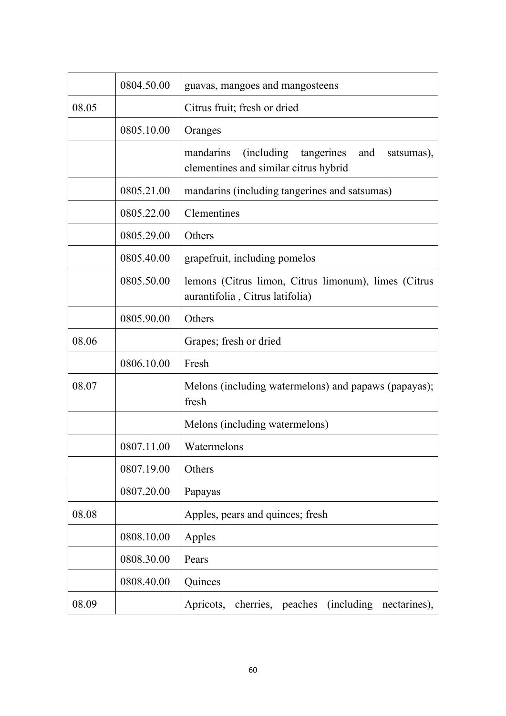|       | 0804.50.00 | guavas, mangoes and mangosteens                                                                      |
|-------|------------|------------------------------------------------------------------------------------------------------|
| 08.05 |            | Citrus fruit; fresh or dried                                                                         |
|       | 0805.10.00 | Oranges                                                                                              |
|       |            | tangerines<br>(including)<br>mandarins<br>and<br>satsumas),<br>clementines and similar citrus hybrid |
|       | 0805.21.00 | mandarins (including tangerines and satsumas)                                                        |
|       | 0805.22.00 | Clementines                                                                                          |
|       | 0805.29.00 | Others                                                                                               |
|       | 0805.40.00 | grapefruit, including pomelos                                                                        |
|       | 0805.50.00 | lemons (Citrus limon, Citrus limonum), limes (Citrus<br>aurantifolia, Citrus latifolia)              |
|       | 0805.90.00 | Others                                                                                               |
| 08.06 |            | Grapes; fresh or dried                                                                               |
|       | 0806.10.00 | Fresh                                                                                                |
| 08.07 |            | Melons (including watermelons) and papaws (papayas);<br>fresh                                        |
|       |            | Melons (including watermelons)                                                                       |
|       | 0807.11.00 | Watermelons                                                                                          |
|       | 0807.19.00 | Others                                                                                               |
|       | 0807.20.00 | Papayas                                                                                              |
| 08.08 |            | Apples, pears and quinces; fresh                                                                     |
|       | 0808.10.00 | Apples                                                                                               |
|       | 0808.30.00 | Pears                                                                                                |
|       | 0808.40.00 | Quinces                                                                                              |
| 08.09 |            | cherries, peaches<br>(including nectarines),<br>Apricots,                                            |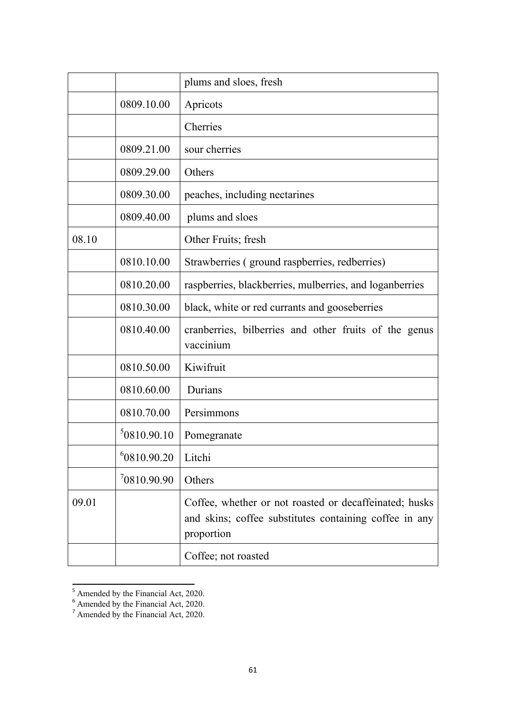|       |             | plums and sloes, fresh                                                                                                         |
|-------|-------------|--------------------------------------------------------------------------------------------------------------------------------|
|       | 0809.10.00  | Apricots                                                                                                                       |
|       |             | Cherries                                                                                                                       |
|       | 0809.21.00  | sour cherries                                                                                                                  |
|       | 0809.29.00  | Others                                                                                                                         |
|       | 0809.30.00  | peaches, including nectarines                                                                                                  |
|       | 0809.40.00  | plums and sloes                                                                                                                |
| 08.10 |             | Other Fruits; fresh                                                                                                            |
|       | 0810.10.00  | Strawberries (ground raspberries, redberries)                                                                                  |
|       | 0810.20.00  | raspberries, blackberries, mulberries, and loganberries                                                                        |
|       | 0810.30.00  | black, white or red currants and gooseberries                                                                                  |
|       | 0810.40.00  | cranberries, bilberries and other fruits of the genus<br>vaccinium                                                             |
|       | 0810.50.00  | Kiwifruit                                                                                                                      |
|       | 0810.60.00  | Durians                                                                                                                        |
|       | 0810.70.00  | Persimmons                                                                                                                     |
|       | 50810.90.10 | Pomegranate                                                                                                                    |
|       | 60810.90.20 | Litchi                                                                                                                         |
|       | 10.90.909   | Others                                                                                                                         |
| 09.01 |             | Coffee, whether or not roasted or decaffeinated; husks<br>and skins; coffee substitutes containing coffee in any<br>proportion |
|       |             | Coffee; not roasted                                                                                                            |

 $\frac{5}{5}$  Amended by the Financial Act, 2020.

 $6$  Amended by the Financial Act, 2020.

 $<sup>7</sup>$  Amended by the Financial Act, 2020.</sup>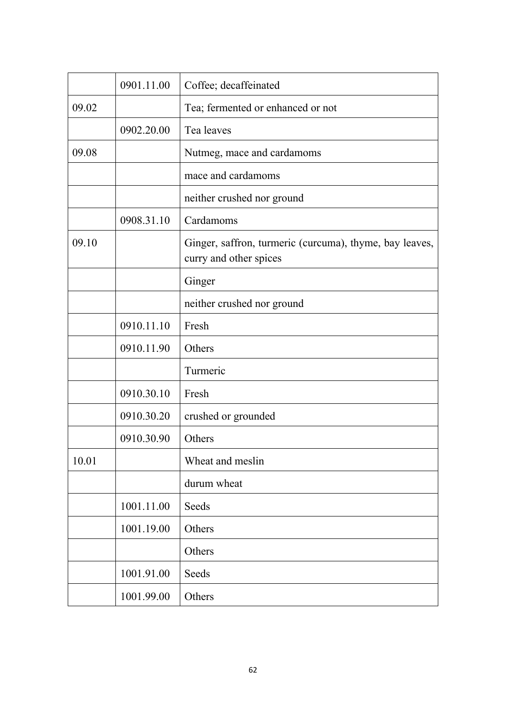|       | 0901.11.00 | Coffee; decaffeinated                                                             |
|-------|------------|-----------------------------------------------------------------------------------|
| 09.02 |            | Tea; fermented or enhanced or not                                                 |
|       | 0902.20.00 | Tea leaves                                                                        |
| 09.08 |            | Nutmeg, mace and cardamoms                                                        |
|       |            | mace and cardamoms                                                                |
|       |            | neither crushed nor ground                                                        |
|       | 0908.31.10 | Cardamoms                                                                         |
| 09.10 |            | Ginger, saffron, turmeric (curcuma), thyme, bay leaves,<br>curry and other spices |
|       |            | Ginger                                                                            |
|       |            | neither crushed nor ground                                                        |
|       | 0910.11.10 | Fresh                                                                             |
|       | 0910.11.90 | Others                                                                            |
|       |            | Turmeric                                                                          |
|       | 0910.30.10 | Fresh                                                                             |
|       | 0910.30.20 | crushed or grounded                                                               |
|       | 0910.30.90 | Others                                                                            |
| 10.01 |            | Wheat and meslin                                                                  |
|       |            | durum wheat                                                                       |
|       | 1001.11.00 | Seeds                                                                             |
|       | 1001.19.00 | Others                                                                            |
|       |            | Others                                                                            |
|       | 1001.91.00 | Seeds                                                                             |
|       | 1001.99.00 | Others                                                                            |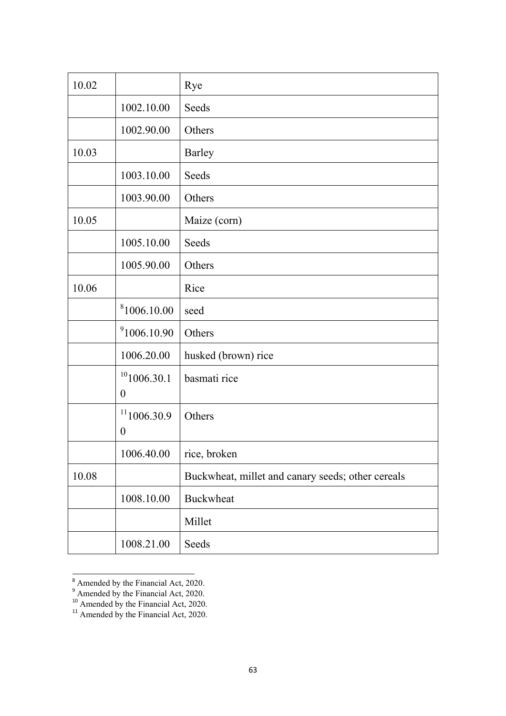| 10.02 |                                               | Rye                                               |
|-------|-----------------------------------------------|---------------------------------------------------|
|       | 1002.10.00                                    | Seeds                                             |
|       | 1002.90.00                                    | Others                                            |
| 10.03 |                                               | <b>Barley</b>                                     |
|       | 1003.10.00                                    | Seeds                                             |
|       | 1003.90.00                                    | Others                                            |
| 10.05 |                                               | Maize (corn)                                      |
|       | 1005.10.00                                    | Seeds                                             |
|       | 1005.90.00                                    | Others                                            |
| 10.06 |                                               | Rice                                              |
|       | <sup>8</sup> 1006.10.00                       | seed                                              |
|       | <sup>9</sup> 1006.10.90                       | Others                                            |
|       | 1006.20.00                                    | husked (brown) rice                               |
|       | 101006.30.1<br>$\boldsymbol{0}$               | basmati rice                                      |
|       | $11$ <sub>1006.30.9</sub><br>$\boldsymbol{0}$ | Others                                            |
|       | 1006.40.00                                    | rice, broken                                      |
| 10.08 |                                               | Buckwheat, millet and canary seeds; other cereals |
|       | 1008.10.00                                    | <b>Buckwheat</b>                                  |
|       |                                               | Millet                                            |
|       | 1008.21.00                                    | Seeds                                             |

 $8\overline{\smash{\big)}\xspace}$  Amended by the Financial Act, 2020.

<sup>&</sup>lt;sup>9</sup> Amended by the Financial Act, 2020.

<sup>&</sup>lt;sup>10</sup> Amended by the Financial Act, 2020.

<sup>&</sup>lt;sup>11</sup> Amended by the Financial Act, 2020.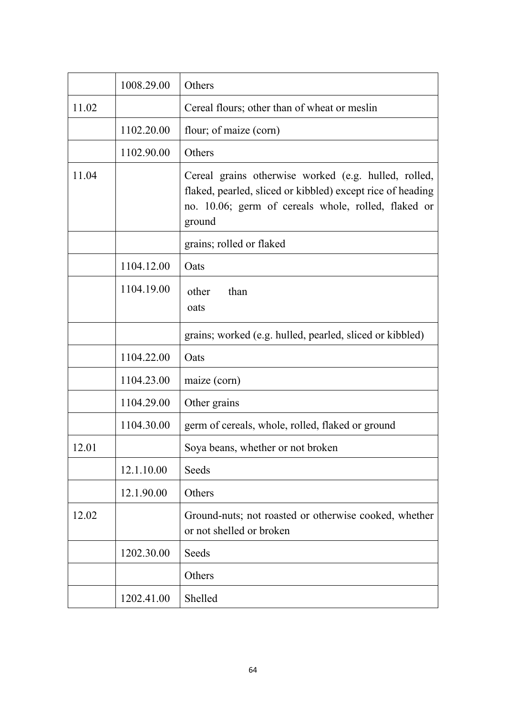|       | 1008.29.00 | Others                                                                                                                                                                              |
|-------|------------|-------------------------------------------------------------------------------------------------------------------------------------------------------------------------------------|
| 11.02 |            | Cereal flours; other than of wheat or meslin                                                                                                                                        |
|       | 1102.20.00 | flour; of maize (corn)                                                                                                                                                              |
|       | 1102.90.00 | Others                                                                                                                                                                              |
| 11.04 |            | Cereal grains otherwise worked (e.g. hulled, rolled,<br>flaked, pearled, sliced or kibbled) except rice of heading<br>no. 10.06; germ of cereals whole, rolled, flaked or<br>ground |
|       |            | grains; rolled or flaked                                                                                                                                                            |
|       | 1104.12.00 | Oats                                                                                                                                                                                |
|       | 1104.19.00 | other<br>than<br>oats                                                                                                                                                               |
|       |            | grains; worked (e.g. hulled, pearled, sliced or kibbled)                                                                                                                            |
|       | 1104.22.00 | Oats                                                                                                                                                                                |
|       | 1104.23.00 | maize (corn)                                                                                                                                                                        |
|       | 1104.29.00 | Other grains                                                                                                                                                                        |
|       | 1104.30.00 | germ of cereals, whole, rolled, flaked or ground                                                                                                                                    |
| 12.01 |            | Soya beans, whether or not broken                                                                                                                                                   |
|       | 12.1.10.00 | Seeds                                                                                                                                                                               |
|       | 12.1.90.00 | Others                                                                                                                                                                              |
| 12.02 |            | Ground-nuts; not roasted or otherwise cooked, whether<br>or not shelled or broken                                                                                                   |
|       | 1202.30.00 | Seeds                                                                                                                                                                               |
|       |            | Others                                                                                                                                                                              |
|       | 1202.41.00 | Shelled                                                                                                                                                                             |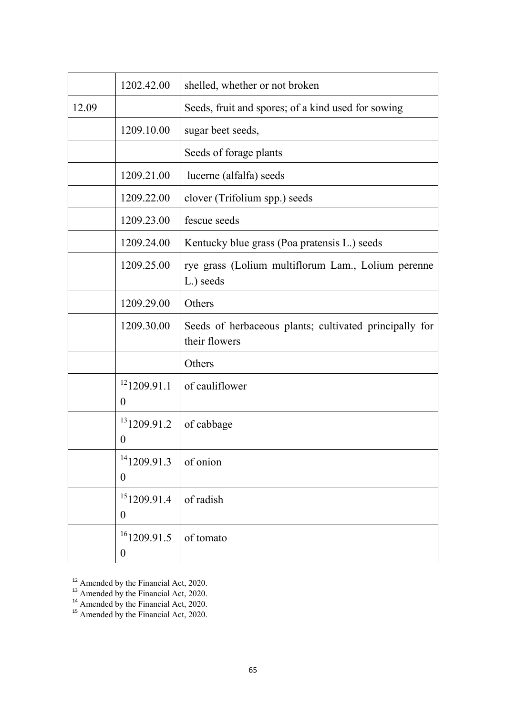|       | 1202.42.00                         | shelled, whether or not broken                                          |
|-------|------------------------------------|-------------------------------------------------------------------------|
| 12.09 |                                    | Seeds, fruit and spores; of a kind used for sowing                      |
|       | 1209.10.00                         | sugar beet seeds,                                                       |
|       |                                    | Seeds of forage plants                                                  |
|       | 1209.21.00                         | lucerne (alfalfa) seeds                                                 |
|       | 1209.22.00                         | clover (Trifolium spp.) seeds                                           |
|       | 1209.23.00                         | fescue seeds                                                            |
|       | 1209.24.00                         | Kentucky blue grass (Poa pratensis L.) seeds                            |
|       | 1209.25.00                         | rye grass (Lolium multiflorum Lam., Lolium perenne<br>L.) seeds         |
|       | 1209.29.00                         | Others                                                                  |
|       | 1209.30.00                         | Seeds of herbaceous plants; cultivated principally for<br>their flowers |
|       |                                    | Others                                                                  |
|       | 121209.91.1<br>$\theta$            | of cauliflower                                                          |
|       | 131209.91.2<br>$\boldsymbol{0}$    | of cabbage                                                              |
|       | $14$ 1209.91.3<br>$\boldsymbol{0}$ | of onion                                                                |
|       | 151209.91.4<br>$\boldsymbol{0}$    | of radish                                                               |
|       | $16$ 1209.91.5<br>$\boldsymbol{0}$ | of tomato                                                               |

 $\frac{12}{12}$  Amended by the Financial Act, 2020.

<sup>&</sup>lt;sup>13</sup> Amended by the Financial Act, 2020.

 $14$  Amended by the Financial Act, 2020.

<sup>&</sup>lt;sup>15</sup> Amended by the Financial Act, 2020.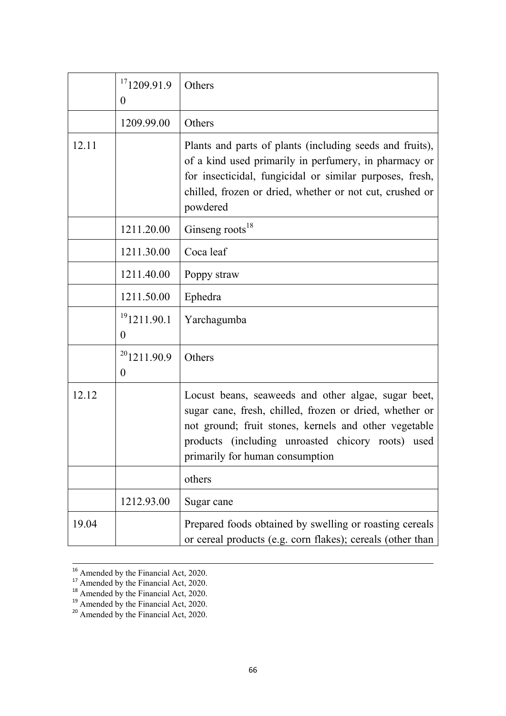|       | 171209.91.9<br>$\theta$              | Others                                                                                                                                                                                                                                                          |
|-------|--------------------------------------|-----------------------------------------------------------------------------------------------------------------------------------------------------------------------------------------------------------------------------------------------------------------|
|       | 1209.99.00                           | Others                                                                                                                                                                                                                                                          |
| 12.11 |                                      | Plants and parts of plants (including seeds and fruits),<br>of a kind used primarily in perfumery, in pharmacy or<br>for insecticidal, fungicidal or similar purposes, fresh,<br>chilled, frozen or dried, whether or not cut, crushed or<br>powdered           |
|       | 1211.20.00                           | Ginseng roots <sup>18</sup>                                                                                                                                                                                                                                     |
|       | 1211.30.00                           | Coca leaf                                                                                                                                                                                                                                                       |
|       | 1211.40.00                           | Poppy straw                                                                                                                                                                                                                                                     |
|       | 1211.50.00                           | Ephedra                                                                                                                                                                                                                                                         |
|       | $^{19}1211.90.1$<br>$\boldsymbol{0}$ | Yarchagumba                                                                                                                                                                                                                                                     |
|       | 201211.90.9<br>$\theta$              | Others                                                                                                                                                                                                                                                          |
| 12.12 |                                      | Locust beans, seaweeds and other algae, sugar beet,<br>sugar cane, fresh, chilled, frozen or dried, whether or<br>not ground; fruit stones, kernels and other vegetable<br>products (including unroasted chicory roots) used<br>primarily for human consumption |
|       |                                      | others                                                                                                                                                                                                                                                          |
|       | 1212.93.00                           | Sugar cane                                                                                                                                                                                                                                                      |
| 19.04 |                                      | Prepared foods obtained by swelling or roasting cereals<br>or cereal products (e.g. corn flakes); cereals (other than                                                                                                                                           |

<sup>&</sup>lt;sup>16</sup> Amended by the Financial Act, 2020.

 $17$  Amended by the Financial Act, 2020.

<sup>&</sup>lt;sup>18</sup> Amended by the Financial Act, 2020.

<sup>&</sup>lt;sup>19</sup> Amended by the Financial Act, 2020.

<sup>&</sup>lt;sup>20</sup> Amended by the Financial Act, 2020.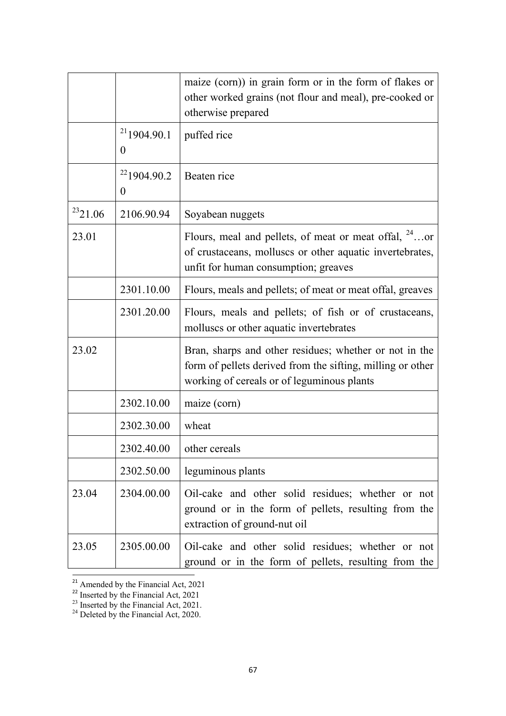|               |                               | maize (corn)) in grain form or in the form of flakes or<br>other worked grains (not flour and meal), pre-cooked or<br>otherwise prepared                           |
|---------------|-------------------------------|--------------------------------------------------------------------------------------------------------------------------------------------------------------------|
|               | $^{21}$ 1904.90.1<br>$\theta$ | puffed rice                                                                                                                                                        |
|               | $^{22}$ 1904.90.2<br>$\theta$ | Beaten rice                                                                                                                                                        |
| $^{23}$ 21.06 | 2106.90.94                    | Soyabean nuggets                                                                                                                                                   |
| 23.01         |                               | Flours, meal and pellets, of meat or meat offal, $24$ or<br>of crustaceans, molluscs or other aquatic invertebrates,<br>unfit for human consumption; greaves       |
|               | 2301.10.00                    | Flours, meals and pellets; of meat or meat offal, greaves                                                                                                          |
|               | 2301.20.00                    | Flours, meals and pellets; of fish or of crustaceans,<br>molluscs or other aquatic invertebrates                                                                   |
| 23.02         |                               | Bran, sharps and other residues; whether or not in the<br>form of pellets derived from the sifting, milling or other<br>working of cereals or of leguminous plants |
|               | 2302.10.00                    | maize (corn)                                                                                                                                                       |
|               | 2302.30.00                    | wheat                                                                                                                                                              |
|               | 2302.40.00                    | other cereals                                                                                                                                                      |
|               | 2302.50.00                    | leguminous plants                                                                                                                                                  |
| 23.04         | 2304.00.00                    | Oil-cake and other solid residues; whether or not<br>ground or in the form of pellets, resulting from the<br>extraction of ground-nut oil                          |
| 23.05         | 2305.00.00                    | Oil-cake and other solid residues; whether or not<br>ground or in the form of pellets, resulting from the                                                          |

 $\frac{21}{21}$  Amended by the Financial Act, 2021

 $22$  Inserted by the Financial Act, 2021

 $^{23}$  Inserted by the Financial Act, 2021.

<sup>&</sup>lt;sup>24</sup> Deleted by the Financial Act, 2020.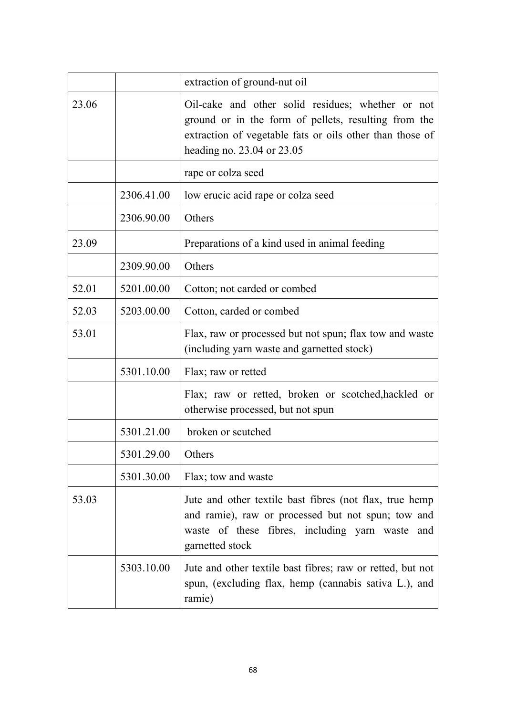|       |            | extraction of ground-nut oil                                                                                                                                                                        |
|-------|------------|-----------------------------------------------------------------------------------------------------------------------------------------------------------------------------------------------------|
| 23.06 |            | Oil-cake and other solid residues; whether or not<br>ground or in the form of pellets, resulting from the<br>extraction of vegetable fats or oils other than those of<br>heading no. 23.04 or 23.05 |
|       |            | rape or colza seed                                                                                                                                                                                  |
|       | 2306.41.00 | low erucic acid rape or colza seed                                                                                                                                                                  |
|       | 2306.90.00 | Others                                                                                                                                                                                              |
| 23.09 |            | Preparations of a kind used in animal feeding                                                                                                                                                       |
|       | 2309.90.00 | Others                                                                                                                                                                                              |
| 52.01 | 5201.00.00 | Cotton; not carded or combed                                                                                                                                                                        |
| 52.03 | 5203.00.00 | Cotton, carded or combed                                                                                                                                                                            |
| 53.01 |            | Flax, raw or processed but not spun; flax tow and waste<br>(including yarn waste and garnetted stock)                                                                                               |
|       | 5301.10.00 | Flax; raw or retted                                                                                                                                                                                 |
|       |            | Flax; raw or retted, broken or scotched, hackled or<br>otherwise processed, but not spun                                                                                                            |
|       | 5301.21.00 | broken or scutched                                                                                                                                                                                  |
|       | 5301.29.00 | Others                                                                                                                                                                                              |
|       | 5301.30.00 | Flax; tow and waste                                                                                                                                                                                 |
| 53.03 |            | Jute and other textile bast fibres (not flax, true hemp<br>and ramie), raw or processed but not spun; tow and<br>waste of these fibres, including yarn waste<br>and<br>garnetted stock              |
|       | 5303.10.00 | Jute and other textile bast fibres; raw or retted, but not<br>spun, (excluding flax, hemp (cannabis sativa L.), and<br>ramie)                                                                       |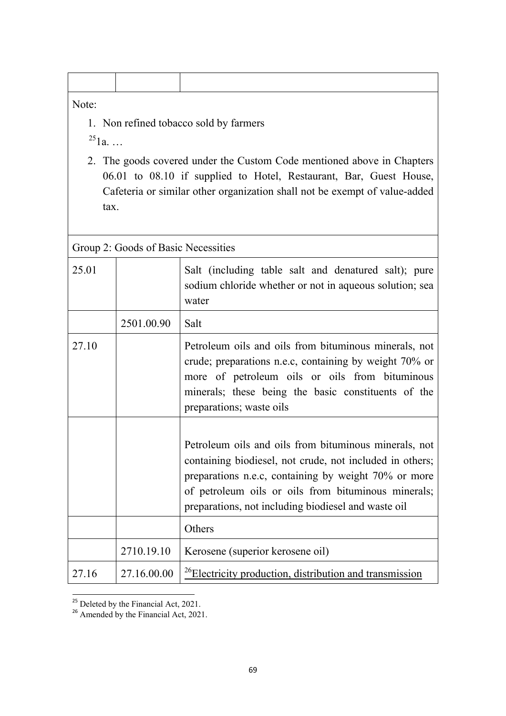## Note:

1. Non refined tobacco sold by farmers

 $^{25}1a.$  …

2. The goods covered under the Custom Code mentioned above in Chapters 06.01 to 08.10 if supplied to Hotel, Restaurant, Bar, Guest House, Cafeteria or similar other organization shall not be exempt of value-added tax.

| Group 2: Goods of Basic Necessities |             |                                                                                                                                                                                                                                                                                         |
|-------------------------------------|-------------|-----------------------------------------------------------------------------------------------------------------------------------------------------------------------------------------------------------------------------------------------------------------------------------------|
| 25.01                               |             | Salt (including table salt and denatured salt); pure<br>sodium chloride whether or not in aqueous solution; sea<br>water                                                                                                                                                                |
|                                     | 2501.00.90  | Salt                                                                                                                                                                                                                                                                                    |
| 27.10                               |             | Petroleum oils and oils from bituminous minerals, not<br>crude; preparations n.e.c, containing by weight 70% or<br>more of petroleum oils or oils from bituminous<br>minerals; these being the basic constituents of the<br>preparations; waste oils                                    |
|                                     |             | Petroleum oils and oils from bituminous minerals, not<br>containing biodiesel, not crude, not included in others;<br>preparations n.e.c, containing by weight 70% or more<br>of petroleum oils or oils from bituminous minerals;<br>preparations, not including biodiesel and waste oil |
|                                     |             | Others                                                                                                                                                                                                                                                                                  |
|                                     | 2710.19.10  | Kerosene (superior kerosene oil)                                                                                                                                                                                                                                                        |
| 27.16                               | 27.16.00.00 | <sup>26</sup> Electricity production, distribution and transmission                                                                                                                                                                                                                     |

 $\frac{25}{25}$  Deleted by the Financial Act, 2021.

<sup>&</sup>lt;sup>26</sup> Amended by the Financial Act, 2021.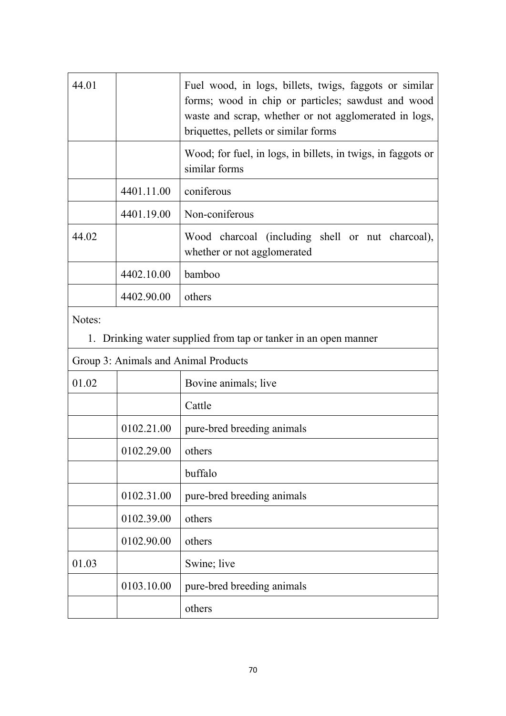| 44.01 |            | Fuel wood, in logs, billets, twigs, faggots or similar<br>forms; wood in chip or particles; sawdust and wood<br>waste and scrap, whether or not agglomerated in logs,<br>briquettes, pellets or similar forms |
|-------|------------|---------------------------------------------------------------------------------------------------------------------------------------------------------------------------------------------------------------|
|       |            | Wood; for fuel, in logs, in billets, in twigs, in faggots or<br>similar forms                                                                                                                                 |
|       | 4401.11.00 | coniferous                                                                                                                                                                                                    |
|       | 4401.19.00 | Non-coniferous                                                                                                                                                                                                |
| 44.02 |            | Wood charcoal (including shell or nut charcoal),<br>whether or not agglomerated                                                                                                                               |
|       | 4402.10.00 | bamboo                                                                                                                                                                                                        |
|       | 4402.90.00 | others                                                                                                                                                                                                        |

Notes:

1. Drinking water supplied from tap or tanker in an open manner

| Group 3: Animals and Animal Products |            |                            |  |
|--------------------------------------|------------|----------------------------|--|
| 01.02                                |            | Bovine animals; live       |  |
|                                      |            | Cattle                     |  |
|                                      | 0102.21.00 | pure-bred breeding animals |  |
|                                      | 0102.29.00 | others                     |  |
|                                      |            | buffalo                    |  |
|                                      | 0102.31.00 | pure-bred breeding animals |  |
|                                      | 0102.39.00 | others                     |  |
|                                      | 0102.90.00 | others                     |  |
| 01.03                                |            | Swine; live                |  |
|                                      | 0103.10.00 | pure-bred breeding animals |  |
|                                      |            | others                     |  |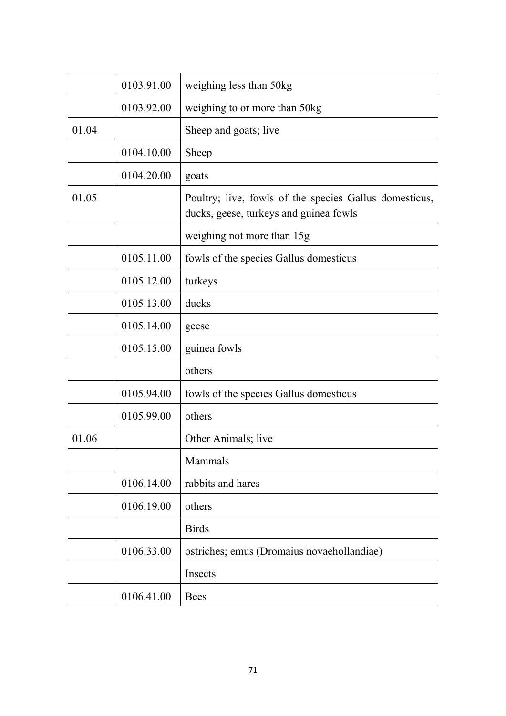|       | 0103.91.00 | weighing less than 50kg                                                                          |
|-------|------------|--------------------------------------------------------------------------------------------------|
|       | 0103.92.00 | weighing to or more than 50kg                                                                    |
| 01.04 |            | Sheep and goats; live                                                                            |
|       | 0104.10.00 | Sheep                                                                                            |
|       | 0104.20.00 | goats                                                                                            |
| 01.05 |            | Poultry; live, fowls of the species Gallus domesticus,<br>ducks, geese, turkeys and guinea fowls |
|       |            | weighing not more than 15g                                                                       |
|       | 0105.11.00 | fowls of the species Gallus domesticus                                                           |
|       | 0105.12.00 | turkeys                                                                                          |
|       | 0105.13.00 | ducks                                                                                            |
|       | 0105.14.00 | geese                                                                                            |
|       | 0105.15.00 | guinea fowls                                                                                     |
|       |            | others                                                                                           |
|       | 0105.94.00 | fowls of the species Gallus domesticus                                                           |
|       | 0105.99.00 | others                                                                                           |
| 01.06 |            | Other Animals; live                                                                              |
|       |            | Mammals                                                                                          |
|       | 0106.14.00 | rabbits and hares                                                                                |
|       | 0106.19.00 | others                                                                                           |
|       |            | <b>Birds</b>                                                                                     |
|       | 0106.33.00 | ostriches; emus (Dromaius novaehollandiae)                                                       |
|       |            | Insects                                                                                          |
|       | 0106.41.00 | <b>Bees</b>                                                                                      |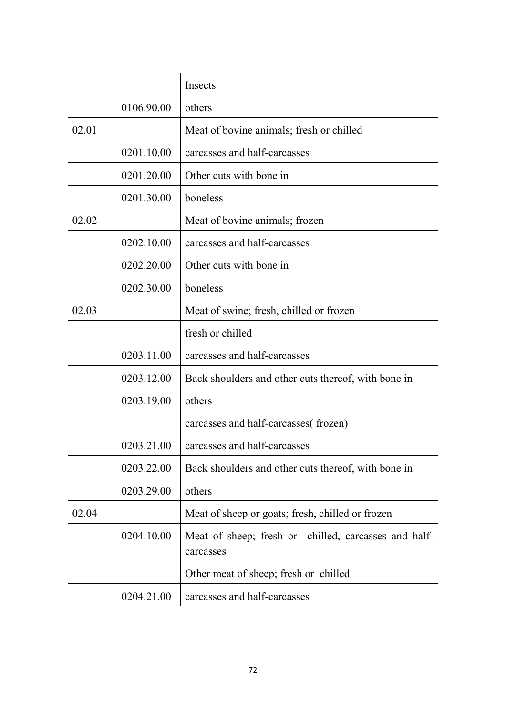|       |            | Insects                                                           |
|-------|------------|-------------------------------------------------------------------|
|       | 0106.90.00 | others                                                            |
| 02.01 |            | Meat of bovine animals; fresh or chilled                          |
|       | 0201.10.00 | carcasses and half-carcasses                                      |
|       | 0201.20.00 | Other cuts with bone in                                           |
|       | 0201.30.00 | boneless                                                          |
| 02.02 |            | Meat of bovine animals; frozen                                    |
|       | 0202.10.00 | carcasses and half-carcasses                                      |
|       | 0202.20.00 | Other cuts with bone in                                           |
|       | 0202.30.00 | boneless                                                          |
| 02.03 |            | Meat of swine; fresh, chilled or frozen                           |
|       |            | fresh or chilled                                                  |
|       | 0203.11.00 | carcasses and half-carcasses                                      |
|       | 0203.12.00 | Back shoulders and other cuts thereof, with bone in               |
|       | 0203.19.00 | others                                                            |
|       |            | carcasses and half-carcasses (frozen)                             |
|       | 0203.21.00 | carcasses and half-carcasses                                      |
|       | 0203.22.00 | Back shoulders and other cuts thereof, with bone in               |
|       | 0203.29.00 | others                                                            |
| 02.04 |            | Meat of sheep or goats; fresh, chilled or frozen                  |
|       | 0204.10.00 | Meat of sheep; fresh or chilled, carcasses and half-<br>carcasses |
|       |            | Other meat of sheep; fresh or chilled                             |
|       | 0204.21.00 | carcasses and half-carcasses                                      |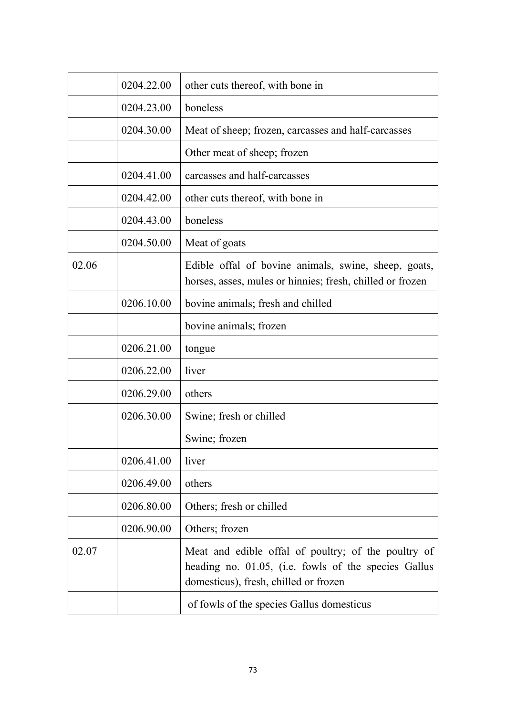|       | 0204.22.00 | other cuts thereof, with bone in                                                                                                                     |
|-------|------------|------------------------------------------------------------------------------------------------------------------------------------------------------|
|       | 0204.23.00 | boneless                                                                                                                                             |
|       | 0204.30.00 | Meat of sheep; frozen, carcasses and half-carcasses                                                                                                  |
|       |            | Other meat of sheep; frozen                                                                                                                          |
|       | 0204.41.00 | carcasses and half-carcasses                                                                                                                         |
|       | 0204.42.00 | other cuts thereof, with bone in                                                                                                                     |
|       | 0204.43.00 | boneless                                                                                                                                             |
|       | 0204.50.00 | Meat of goats                                                                                                                                        |
| 02.06 |            | Edible offal of bovine animals, swine, sheep, goats,<br>horses, asses, mules or hinnies; fresh, chilled or frozen                                    |
|       | 0206.10.00 | bovine animals; fresh and chilled                                                                                                                    |
|       |            | bovine animals; frozen                                                                                                                               |
|       | 0206.21.00 | tongue                                                                                                                                               |
|       | 0206.22.00 | liver                                                                                                                                                |
|       | 0206.29.00 | others                                                                                                                                               |
|       | 0206.30.00 | Swine; fresh or chilled                                                                                                                              |
|       |            | Swine; frozen                                                                                                                                        |
|       | 0206.41.00 | liver                                                                                                                                                |
|       | 0206.49.00 | others                                                                                                                                               |
|       | 0206.80.00 | Others; fresh or chilled                                                                                                                             |
|       | 0206.90.00 | Others; frozen                                                                                                                                       |
| 02.07 |            | Meat and edible offal of poultry; of the poultry of<br>heading no. 01.05, (i.e. fowls of the species Gallus<br>domesticus), fresh, chilled or frozen |
|       |            | of fowls of the species Gallus domesticus                                                                                                            |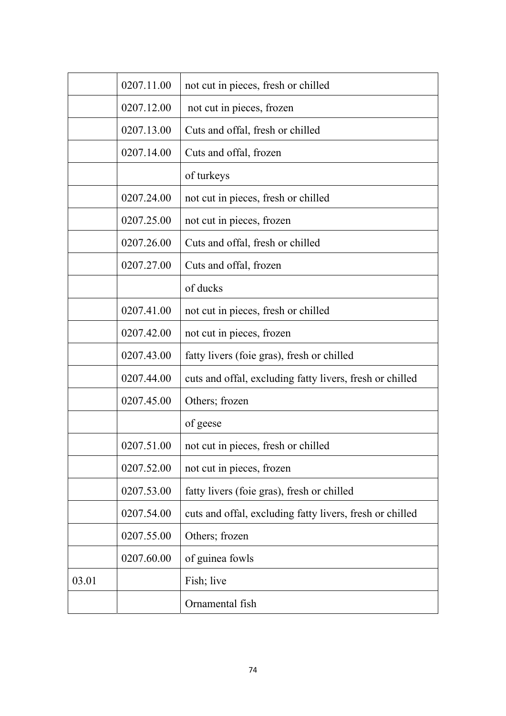|       | 0207.11.00 | not cut in pieces, fresh or chilled                      |
|-------|------------|----------------------------------------------------------|
|       | 0207.12.00 | not cut in pieces, frozen                                |
|       | 0207.13.00 | Cuts and offal, fresh or chilled                         |
|       | 0207.14.00 | Cuts and offal, frozen                                   |
|       |            | of turkeys                                               |
|       | 0207.24.00 | not cut in pieces, fresh or chilled                      |
|       | 0207.25.00 | not cut in pieces, frozen                                |
|       | 0207.26.00 | Cuts and offal, fresh or chilled                         |
|       | 0207.27.00 | Cuts and offal, frozen                                   |
|       |            | of ducks                                                 |
|       | 0207.41.00 | not cut in pieces, fresh or chilled                      |
|       | 0207.42.00 | not cut in pieces, frozen                                |
|       | 0207.43.00 | fatty livers (foie gras), fresh or chilled               |
|       | 0207.44.00 | cuts and offal, excluding fatty livers, fresh or chilled |
|       | 0207.45.00 | Others; frozen                                           |
|       |            | of geese                                                 |
|       | 0207.51.00 | not cut in pieces, fresh or chilled                      |
|       | 0207.52.00 | not cut in pieces, frozen                                |
|       | 0207.53.00 | fatty livers (foie gras), fresh or chilled               |
|       | 0207.54.00 | cuts and offal, excluding fatty livers, fresh or chilled |
|       | 0207.55.00 | Others; frozen                                           |
|       | 0207.60.00 | of guinea fowls                                          |
| 03.01 |            | Fish; live                                               |
|       |            | Ornamental fish                                          |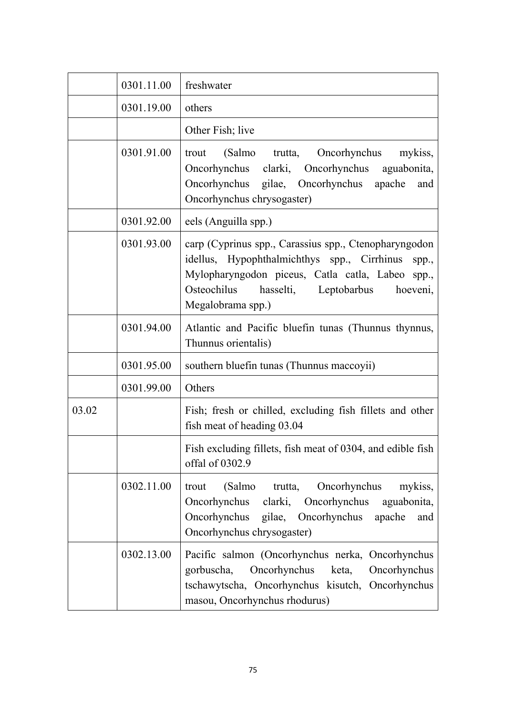|       | 0301.11.00 | freshwater                                                                                                                                                                                                                                 |
|-------|------------|--------------------------------------------------------------------------------------------------------------------------------------------------------------------------------------------------------------------------------------------|
|       | 0301.19.00 | others                                                                                                                                                                                                                                     |
|       |            | Other Fish; live                                                                                                                                                                                                                           |
|       | 0301.91.00 | (Salmo trutta,<br>Oncorhynchus<br>trout<br>mykiss,<br>Oncorhynchus clarki, Oncorhynchus<br>aguabonita,<br>Oncorhynchus gilae, Oncorhynchus<br>apache<br>and<br>Oncorhynchus chrysogaster)                                                  |
|       | 0301.92.00 | eels (Anguilla spp.)                                                                                                                                                                                                                       |
|       | 0301.93.00 | carp (Cyprinus spp., Carassius spp., Ctenopharyngodon<br>idellus, Hypophthalmichthys spp., Cirrhinus<br>spp.,<br>Mylopharyngodon piceus, Catla catla, Labeo spp.,<br>hasselti, Leptobarbus<br>Osteochilus<br>hoeveni,<br>Megalobrama spp.) |
|       | 0301.94.00 | Atlantic and Pacific bluefin tunas (Thunnus thynnus,<br>Thunnus orientalis)                                                                                                                                                                |
|       | 0301.95.00 | southern bluefin tunas (Thunnus maccoyii)                                                                                                                                                                                                  |
|       | 0301.99.00 | Others                                                                                                                                                                                                                                     |
| 03.02 |            | Fish; fresh or chilled, excluding fish fillets and other<br>fish meat of heading 03.04                                                                                                                                                     |
|       |            | Fish excluding fillets, fish meat of 0304, and edible fish<br>offal of 0302.9                                                                                                                                                              |
|       | 0302.11.00 | trutta,<br>Oncorhynchus<br>mykiss,<br>(Salmo<br>trout<br>clarki,<br>aguabonita,<br>Oncorhynchus<br>Oncorhynchus<br>Oncorhynchus<br>gilae, Oncorhynchus<br>apache<br>and<br>Oncorhynchus chrysogaster)                                      |
|       | 0302.13.00 | Pacific salmon (Oncorhynchus nerka, Oncorhynchus<br>gorbuscha,<br>Oncorhynchus<br>Oncorhynchus<br>keta,<br>tschawytscha, Oncorhynchus kisutch, Oncorhynchus<br>masou, Oncorhynchus rhodurus)                                               |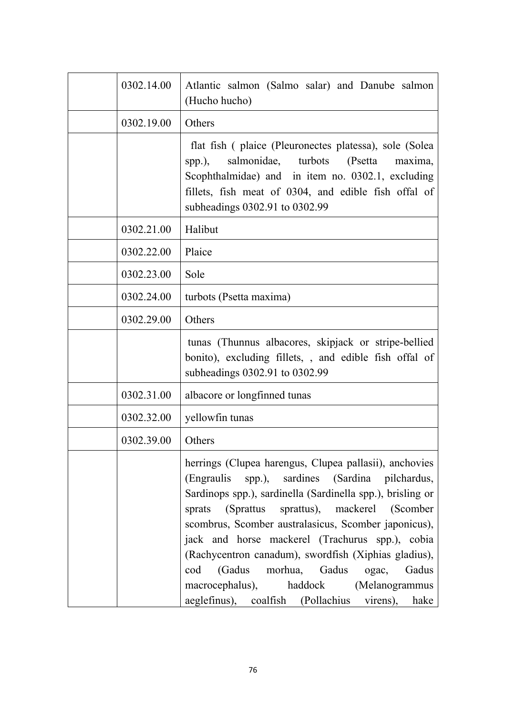| 0302.14.00 | Atlantic salmon (Salmo salar) and Danube salmon<br>(Hucho hucho)                                                                                                                                                                                                                                                                                                                                                                                                                                                                                      |
|------------|-------------------------------------------------------------------------------------------------------------------------------------------------------------------------------------------------------------------------------------------------------------------------------------------------------------------------------------------------------------------------------------------------------------------------------------------------------------------------------------------------------------------------------------------------------|
| 0302.19.00 | Others                                                                                                                                                                                                                                                                                                                                                                                                                                                                                                                                                |
|            | flat fish (plaice (Pleuronectes platessa), sole (Solea<br>salmonidae, turbots<br>(Psetta<br>maxima,<br>spp.),<br>Scophthalmidae) and in item no. 0302.1, excluding<br>fillets, fish meat of 0304, and edible fish offal of<br>subheadings 0302.91 to 0302.99                                                                                                                                                                                                                                                                                          |
| 0302.21.00 | Halibut                                                                                                                                                                                                                                                                                                                                                                                                                                                                                                                                               |
| 0302.22.00 | Plaice                                                                                                                                                                                                                                                                                                                                                                                                                                                                                                                                                |
| 0302.23.00 | Sole                                                                                                                                                                                                                                                                                                                                                                                                                                                                                                                                                  |
| 0302.24.00 | turbots (Psetta maxima)                                                                                                                                                                                                                                                                                                                                                                                                                                                                                                                               |
| 0302.29.00 | Others                                                                                                                                                                                                                                                                                                                                                                                                                                                                                                                                                |
|            | tunas (Thunnus albacores, skipjack or stripe-bellied<br>bonito), excluding fillets,, and edible fish offal of<br>subheadings 0302.91 to 0302.99                                                                                                                                                                                                                                                                                                                                                                                                       |
| 0302.31.00 | albacore or longfinned tunas                                                                                                                                                                                                                                                                                                                                                                                                                                                                                                                          |
| 0302.32.00 | yellowfin tunas                                                                                                                                                                                                                                                                                                                                                                                                                                                                                                                                       |
| 0302.39.00 | Others                                                                                                                                                                                                                                                                                                                                                                                                                                                                                                                                                |
|            | herrings (Clupea harengus, Clupea pallasii), anchovies<br>(Engraulis spp.), sardines (Sardina pilchardus,<br>Sardinops spp.), sardinella (Sardinella spp.), brisling or<br>(Sprattus sprattus), mackerel (Scomber<br>sprats<br>scombrus, Scomber australasicus, Scomber japonicus),<br>jack and horse mackerel (Trachurus spp.), cobia<br>(Rachycentron canadum), swordfish (Xiphias gladius),<br>(Gadus<br>morhua, Gadus<br>cod<br>ogac,<br>Gadus<br>macrocephalus),<br>haddock<br>(Melanogrammus<br>aeglefinus), coalfish (Pollachius virens), hake |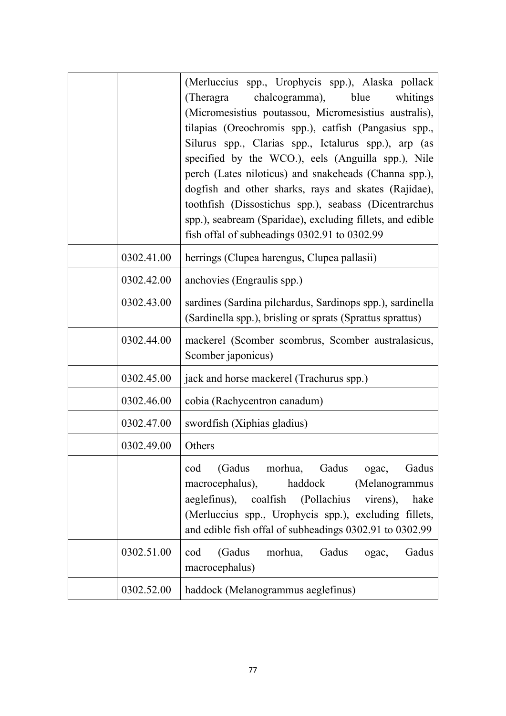|            | (Merluccius spp., Urophycis spp.), Alaska pollack<br>(Theragra)<br>chalcogramma), blue<br>whitings<br>(Micromesistius poutassou, Micromesistius australis),<br>tilapias (Oreochromis spp.), catfish (Pangasius spp.,<br>Silurus spp., Clarias spp., Ictalurus spp.), arp (as<br>specified by the WCO.), eels (Anguilla spp.), Nile<br>perch (Lates niloticus) and snakeheads (Channa spp.),<br>dogfish and other sharks, rays and skates (Rajidae),<br>toothfish (Dissostichus spp.), seabass (Dicentrarchus<br>spp.), seabream (Sparidae), excluding fillets, and edible<br>fish offal of subheadings 0302.91 to 0302.99 |
|------------|---------------------------------------------------------------------------------------------------------------------------------------------------------------------------------------------------------------------------------------------------------------------------------------------------------------------------------------------------------------------------------------------------------------------------------------------------------------------------------------------------------------------------------------------------------------------------------------------------------------------------|
| 0302.41.00 | herrings (Clupea harengus, Clupea pallasii)                                                                                                                                                                                                                                                                                                                                                                                                                                                                                                                                                                               |
| 0302.42.00 | anchovies (Engraulis spp.)                                                                                                                                                                                                                                                                                                                                                                                                                                                                                                                                                                                                |
| 0302.43.00 | sardines (Sardina pilchardus, Sardinops spp.), sardinella<br>(Sardinella spp.), brisling or sprats (Sprattus sprattus)                                                                                                                                                                                                                                                                                                                                                                                                                                                                                                    |
| 0302.44.00 | mackerel (Scomber scombrus, Scomber australasicus,<br>Scomber japonicus)                                                                                                                                                                                                                                                                                                                                                                                                                                                                                                                                                  |
| 0302.45.00 | jack and horse mackerel (Trachurus spp.)                                                                                                                                                                                                                                                                                                                                                                                                                                                                                                                                                                                  |
| 0302.46.00 | cobia (Rachycentron canadum)                                                                                                                                                                                                                                                                                                                                                                                                                                                                                                                                                                                              |
| 0302.47.00 | swordfish (Xiphias gladius)                                                                                                                                                                                                                                                                                                                                                                                                                                                                                                                                                                                               |
| 0302.49.00 | Others                                                                                                                                                                                                                                                                                                                                                                                                                                                                                                                                                                                                                    |
|            | (Gadus morhua, Gadus<br>Gadus<br>cod<br>ogac,<br>macrocephalus),<br>haddock<br>(Melanogrammus<br>aeglefinus), coalfish (Pollachius<br>virens),<br>hake<br>(Merluccius spp., Urophycis spp.), excluding fillets,<br>and edible fish offal of subheadings 0302.91 to 0302.99                                                                                                                                                                                                                                                                                                                                                |
| 0302.51.00 | (Gadus<br>morhua,<br>Gadus<br>cod<br>Gadus<br>ogac,<br>macrocephalus)                                                                                                                                                                                                                                                                                                                                                                                                                                                                                                                                                     |
| 0302.52.00 | haddock (Melanogrammus aeglefinus)                                                                                                                                                                                                                                                                                                                                                                                                                                                                                                                                                                                        |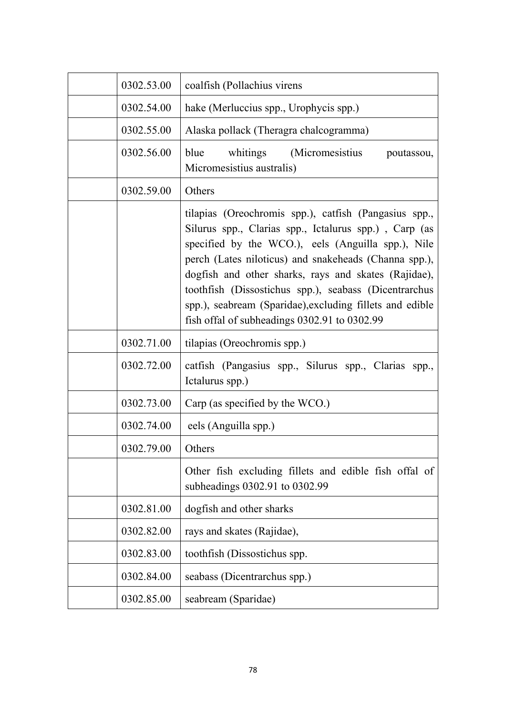| 0302.53.00 | coalfish (Pollachius virens                                                                                                                                                                                                                                                                                                                                                                                                                                |
|------------|------------------------------------------------------------------------------------------------------------------------------------------------------------------------------------------------------------------------------------------------------------------------------------------------------------------------------------------------------------------------------------------------------------------------------------------------------------|
| 0302.54.00 | hake (Merluccius spp., Urophycis spp.)                                                                                                                                                                                                                                                                                                                                                                                                                     |
| 0302.55.00 | Alaska pollack (Theragra chalcogramma)                                                                                                                                                                                                                                                                                                                                                                                                                     |
| 0302.56.00 | whitings<br>(Micromesistius<br>blue<br>poutassou,<br>Micromesistius australis)                                                                                                                                                                                                                                                                                                                                                                             |
| 0302.59.00 | Others                                                                                                                                                                                                                                                                                                                                                                                                                                                     |
|            | tilapias (Oreochromis spp.), catfish (Pangasius spp.,<br>Silurus spp., Clarias spp., Ictalurus spp.), Carp (as<br>specified by the WCO.), eels (Anguilla spp.), Nile<br>perch (Lates niloticus) and snakeheads (Channa spp.),<br>dogfish and other sharks, rays and skates (Rajidae),<br>toothfish (Dissostichus spp.), seabass (Dicentrarchus<br>spp.), seabream (Sparidae), excluding fillets and edible<br>fish offal of subheadings 0302.91 to 0302.99 |
| 0302.71.00 | tilapias (Oreochromis spp.)                                                                                                                                                                                                                                                                                                                                                                                                                                |
| 0302.72.00 | catfish (Pangasius spp., Silurus spp., Clarias spp.,<br>Ictalurus spp.)                                                                                                                                                                                                                                                                                                                                                                                    |
| 0302.73.00 | Carp (as specified by the WCO.)                                                                                                                                                                                                                                                                                                                                                                                                                            |
| 0302.74.00 | eels (Anguilla spp.)                                                                                                                                                                                                                                                                                                                                                                                                                                       |
| 0302.79.00 | Others                                                                                                                                                                                                                                                                                                                                                                                                                                                     |
|            | Other fish excluding fillets and edible fish offal of<br>subheadings 0302.91 to 0302.99                                                                                                                                                                                                                                                                                                                                                                    |
| 0302.81.00 | dogfish and other sharks                                                                                                                                                                                                                                                                                                                                                                                                                                   |
| 0302.82.00 | rays and skates (Rajidae),                                                                                                                                                                                                                                                                                                                                                                                                                                 |
| 0302.83.00 | toothfish (Dissostichus spp.                                                                                                                                                                                                                                                                                                                                                                                                                               |
| 0302.84.00 | seabass (Dicentrarchus spp.)                                                                                                                                                                                                                                                                                                                                                                                                                               |
| 0302.85.00 | seabream (Sparidae)                                                                                                                                                                                                                                                                                                                                                                                                                                        |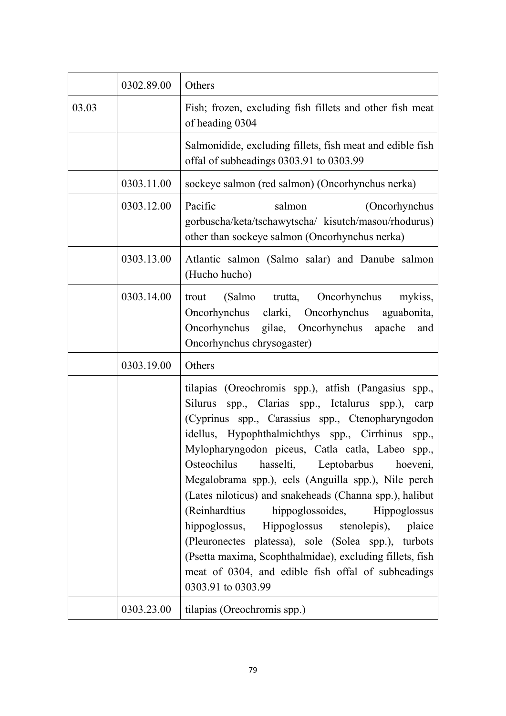|       | 0302.89.00 | Others                                                                                                                                                                                                                                                                                                                                                                                                                                                                                                                                                                                                                                                                                                                                                |
|-------|------------|-------------------------------------------------------------------------------------------------------------------------------------------------------------------------------------------------------------------------------------------------------------------------------------------------------------------------------------------------------------------------------------------------------------------------------------------------------------------------------------------------------------------------------------------------------------------------------------------------------------------------------------------------------------------------------------------------------------------------------------------------------|
| 03.03 |            | Fish; frozen, excluding fish fillets and other fish meat<br>of heading 0304                                                                                                                                                                                                                                                                                                                                                                                                                                                                                                                                                                                                                                                                           |
|       |            | Salmonidide, excluding fillets, fish meat and edible fish<br>offal of subheadings 0303.91 to 0303.99                                                                                                                                                                                                                                                                                                                                                                                                                                                                                                                                                                                                                                                  |
|       | 0303.11.00 | sockeye salmon (red salmon) (Oncorhynchus nerka)                                                                                                                                                                                                                                                                                                                                                                                                                                                                                                                                                                                                                                                                                                      |
|       | 0303.12.00 | Pacific<br>salmon<br>(Oncorhynchus<br>gorbuscha/keta/tschawytscha/ kisutch/masou/rhodurus)<br>other than sockeye salmon (Oncorhynchus nerka)                                                                                                                                                                                                                                                                                                                                                                                                                                                                                                                                                                                                          |
|       | 0303.13.00 | Atlantic salmon (Salmo salar) and Danube salmon<br>(Hucho hucho)                                                                                                                                                                                                                                                                                                                                                                                                                                                                                                                                                                                                                                                                                      |
|       | 0303.14.00 | (Salmo trutta, Oncorhynchus<br>mykiss,<br>trout<br>Oncorhynchus clarki, Oncorhynchus aguabonita,<br>Oncorhynchus gilae, Oncorhynchus<br>apache<br>and<br>Oncorhynchus chrysogaster)                                                                                                                                                                                                                                                                                                                                                                                                                                                                                                                                                                   |
|       | 0303.19.00 | Others                                                                                                                                                                                                                                                                                                                                                                                                                                                                                                                                                                                                                                                                                                                                                |
|       |            | tilapias (Oreochromis spp.), atfish (Pangasius<br>spp.,<br>Silurus spp., Clarias spp., Ictalurus spp.),<br>carp<br>(Cyprinus spp., Carassius spp., Ctenopharyngodon<br>idellus, Hypophthalmichthys spp., Cirrhinus<br>spp.,<br>Mylopharyngodon piceus, Catla catla, Labeo<br>spp.,<br>hasselti, Leptobarbus hoeveni,<br>Osteochilus<br>Megalobrama spp.), eels (Anguilla spp.), Nile perch<br>(Lates niloticus) and snakeheads (Channa spp.), halibut<br>(Reinhardtius hippoglossoides, Hippoglossus<br>hippoglossus, Hippoglossus stenolepis), plaice<br>(Pleuronectes platessa), sole (Solea spp.), turbots<br>(Psetta maxima, Scophthalmidae), excluding fillets, fish<br>meat of 0304, and edible fish offal of subheadings<br>0303.91 to 0303.99 |
|       | 0303.23.00 | tilapias (Oreochromis spp.)                                                                                                                                                                                                                                                                                                                                                                                                                                                                                                                                                                                                                                                                                                                           |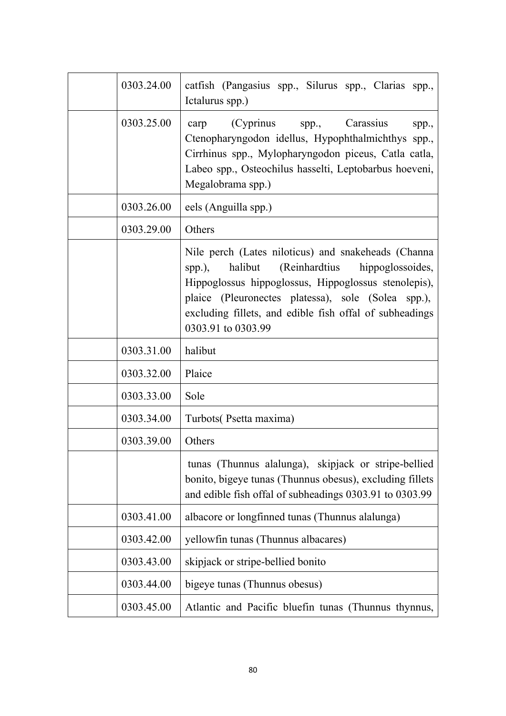| 0303.24.00 | catfish (Pangasius spp., Silurus spp., Clarias spp.,<br>Ictalurus spp.)                                                                                                                                                                                                                                   |
|------------|-----------------------------------------------------------------------------------------------------------------------------------------------------------------------------------------------------------------------------------------------------------------------------------------------------------|
| 0303.25.00 | (Cyprinus spp.,<br>carp<br>Carassius<br>spp.,<br>Ctenopharyngodon idellus, Hypophthalmichthys spp.,<br>Cirrhinus spp., Mylopharyngodon piceus, Catla catla,<br>Labeo spp., Osteochilus hasselti, Leptobarbus hoeveni,<br>Megalobrama spp.)                                                                |
| 0303.26.00 | eels (Anguilla spp.)                                                                                                                                                                                                                                                                                      |
| 0303.29.00 | Others                                                                                                                                                                                                                                                                                                    |
|            | Nile perch (Lates niloticus) and snakeheads (Channa<br>halibut<br>(Reinhardtius hippoglossoides,<br>spp.),<br>Hippoglossus hippoglossus, Hippoglossus stenolepis),<br>plaice (Pleuronectes platessa), sole (Solea spp.),<br>excluding fillets, and edible fish offal of subheadings<br>0303.91 to 0303.99 |
| 0303.31.00 | halibut                                                                                                                                                                                                                                                                                                   |
| 0303.32.00 | Plaice                                                                                                                                                                                                                                                                                                    |
| 0303.33.00 | Sole                                                                                                                                                                                                                                                                                                      |
| 0303.34.00 | Turbots (Psetta maxima)                                                                                                                                                                                                                                                                                   |
| 0303.39.00 | Others                                                                                                                                                                                                                                                                                                    |
|            | tunas (Thunnus alalunga), skipjack or stripe-bellied<br>bonito, bigeye tunas (Thunnus obesus), excluding fillets<br>and edible fish offal of subheadings 0303.91 to 0303.99                                                                                                                               |
| 0303.41.00 | albacore or longfinned tunas (Thunnus alalunga)                                                                                                                                                                                                                                                           |
| 0303.42.00 | yellowfin tunas (Thunnus albacares)                                                                                                                                                                                                                                                                       |
| 0303.43.00 | skipjack or stripe-bellied bonito                                                                                                                                                                                                                                                                         |
| 0303.44.00 | bigeye tunas (Thunnus obesus)                                                                                                                                                                                                                                                                             |
| 0303.45.00 | Atlantic and Pacific bluefin tunas (Thunnus thynnus,                                                                                                                                                                                                                                                      |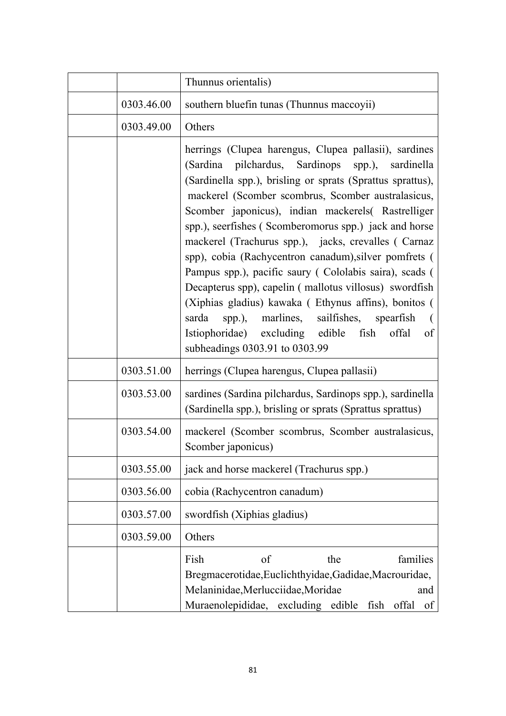|            | Thunnus orientalis)                                                                                                                                                                                                                                                                                                                                                                                                                                                                                                                                                                                                                                                                                                                                                                  |
|------------|--------------------------------------------------------------------------------------------------------------------------------------------------------------------------------------------------------------------------------------------------------------------------------------------------------------------------------------------------------------------------------------------------------------------------------------------------------------------------------------------------------------------------------------------------------------------------------------------------------------------------------------------------------------------------------------------------------------------------------------------------------------------------------------|
| 0303.46.00 | southern bluefin tunas (Thunnus maccoyii)                                                                                                                                                                                                                                                                                                                                                                                                                                                                                                                                                                                                                                                                                                                                            |
| 0303.49.00 | Others                                                                                                                                                                                                                                                                                                                                                                                                                                                                                                                                                                                                                                                                                                                                                                               |
|            | herrings (Clupea harengus, Clupea pallasii), sardines<br>(Sardina pilchardus, Sardinops spp.), sardinella<br>(Sardinella spp.), brisling or sprats (Sprattus sprattus),<br>mackerel (Scomber scombrus, Scomber australasicus,<br>Scomber japonicus), indian mackerels( Rastrelliger<br>spp.), seerfishes (Scomberomorus spp.) jack and horse<br>mackerel (Trachurus spp.), jacks, crevalles (Carnaz<br>spp), cobia (Rachycentron canadum), silver pomfrets (<br>Pampus spp.), pacific saury (Cololabis saira), scads (<br>Decapterus spp), capelin (mallotus villosus) swordfish<br>(Xiphias gladius) kawaka (Ethynus affins), bonitos (<br>spp.), marlines, sailfishes, spearfish<br>sarda<br>Istiophoridae) excluding edible fish<br>offal<br>of<br>subheadings 0303.91 to 0303.99 |
| 0303.51.00 | herrings (Clupea harengus, Clupea pallasii)                                                                                                                                                                                                                                                                                                                                                                                                                                                                                                                                                                                                                                                                                                                                          |
| 0303.53.00 | sardines (Sardina pilchardus, Sardinops spp.), sardinella<br>(Sardinella spp.), brisling or sprats (Sprattus sprattus)                                                                                                                                                                                                                                                                                                                                                                                                                                                                                                                                                                                                                                                               |
| 0303.54.00 | mackerel (Scomber scombrus, Scomber australasicus,<br>Scomber japonicus)                                                                                                                                                                                                                                                                                                                                                                                                                                                                                                                                                                                                                                                                                                             |
| 0303.55.00 | jack and horse mackerel (Trachurus spp.)                                                                                                                                                                                                                                                                                                                                                                                                                                                                                                                                                                                                                                                                                                                                             |
| 0303.56.00 | cobia (Rachycentron canadum)                                                                                                                                                                                                                                                                                                                                                                                                                                                                                                                                                                                                                                                                                                                                                         |
| 0303.57.00 | swordfish (Xiphias gladius)                                                                                                                                                                                                                                                                                                                                                                                                                                                                                                                                                                                                                                                                                                                                                          |
| 0303.59.00 | Others                                                                                                                                                                                                                                                                                                                                                                                                                                                                                                                                                                                                                                                                                                                                                                               |
|            | of<br>Fish<br>families<br>the<br>Bregmacerotidae, Euclichthyidae, Gadidae, Macrouridae,<br>Melaninidae, Merlucciidae, Moridae<br>and<br>Muraenolepididae, excluding edible fish<br>offal<br>of                                                                                                                                                                                                                                                                                                                                                                                                                                                                                                                                                                                       |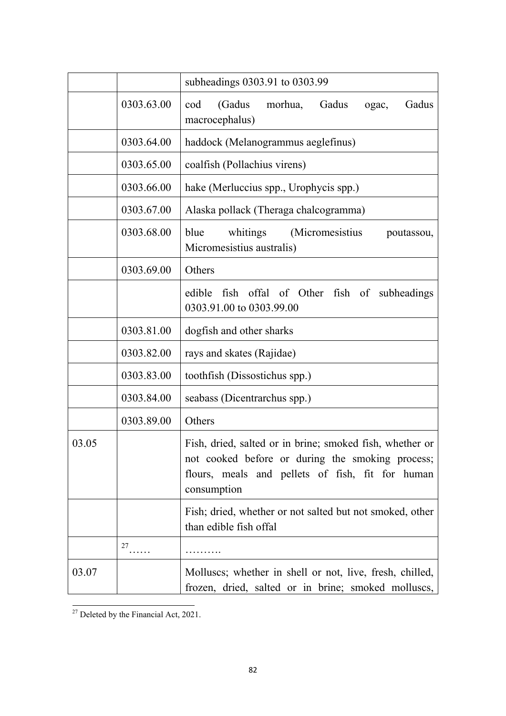|       |            | subheadings 0303.91 to 0303.99                                                                                                                                                  |
|-------|------------|---------------------------------------------------------------------------------------------------------------------------------------------------------------------------------|
|       | 0303.63.00 | (Gadus<br>Gadus<br>cod<br>morhua,<br>Gadus<br>ogac,<br>macrocephalus)                                                                                                           |
|       | 0303.64.00 | haddock (Melanogrammus aeglefinus)                                                                                                                                              |
|       | 0303.65.00 | coalfish (Pollachius virens)                                                                                                                                                    |
|       | 0303.66.00 | hake (Merluccius spp., Urophycis spp.)                                                                                                                                          |
|       | 0303.67.00 | Alaska pollack (Theraga chalcogramma)                                                                                                                                           |
|       | 0303.68.00 | whitings<br>blue<br>(Micromesistius)<br>poutassou,<br>Micromesistius australis)                                                                                                 |
|       | 0303.69.00 | Others                                                                                                                                                                          |
|       |            | fish offal of Other fish of subheadings<br>edible<br>0303.91.00 to 0303.99.00                                                                                                   |
|       | 0303.81.00 | dogfish and other sharks                                                                                                                                                        |
|       | 0303.82.00 | rays and skates (Rajidae)                                                                                                                                                       |
|       | 0303.83.00 | toothfish (Dissostichus spp.)                                                                                                                                                   |
|       | 0303.84.00 | seabass (Dicentrarchus spp.)                                                                                                                                                    |
|       | 0303.89.00 | Others                                                                                                                                                                          |
| 03.05 |            | Fish, dried, salted or in brine; smoked fish, whether or<br>not cooked before or during the smoking process;<br>flours, meals and pellets of fish, fit for human<br>consumption |
|       |            | Fish; dried, whether or not salted but not smoked, other<br>than edible fish offal                                                                                              |
|       | 27         |                                                                                                                                                                                 |
| 03.07 |            | Molluscs; whether in shell or not, live, fresh, chilled,<br>frozen, dried, salted or in brine; smoked molluscs,                                                                 |

 $\overline{^{27}}$  Deleted by the Financial Act, 2021.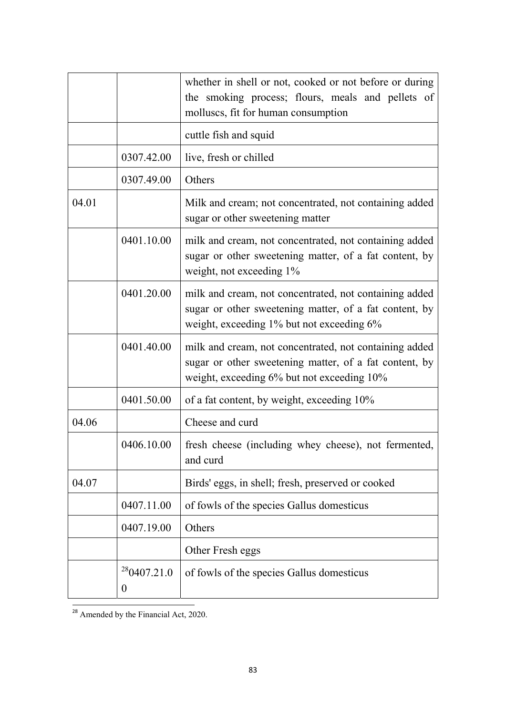|       |                                 | whether in shell or not, cooked or not before or during<br>the smoking process; flours, meals and pellets of<br>molluscs, fit for human consumption            |
|-------|---------------------------------|----------------------------------------------------------------------------------------------------------------------------------------------------------------|
|       |                                 | cuttle fish and squid                                                                                                                                          |
|       | 0307.42.00                      | live, fresh or chilled                                                                                                                                         |
|       | 0307.49.00                      | Others                                                                                                                                                         |
| 04.01 |                                 | Milk and cream; not concentrated, not containing added<br>sugar or other sweetening matter                                                                     |
|       | 0401.10.00                      | milk and cream, not concentrated, not containing added<br>sugar or other sweetening matter, of a fat content, by<br>weight, not exceeding 1%                   |
|       | 0401.20.00                      | milk and cream, not concentrated, not containing added<br>sugar or other sweetening matter, of a fat content, by<br>weight, exceeding 1% but not exceeding 6%  |
|       | 0401.40.00                      | milk and cream, not concentrated, not containing added<br>sugar or other sweetening matter, of a fat content, by<br>weight, exceeding 6% but not exceeding 10% |
|       | 0401.50.00                      | of a fat content, by weight, exceeding 10%                                                                                                                     |
| 04.06 |                                 | Cheese and curd                                                                                                                                                |
|       | 0406.10.00                      | fresh cheese (including whey cheese), not fermented,<br>and curd                                                                                               |
| 04.07 |                                 | Birds' eggs, in shell; fresh, preserved or cooked                                                                                                              |
|       | 0407.11.00                      | of fowls of the species Gallus domesticus                                                                                                                      |
|       | 0407.19.00                      | Others                                                                                                                                                         |
|       |                                 | Other Fresh eggs                                                                                                                                               |
|       | 280407.21.0<br>$\boldsymbol{0}$ | of fowls of the species Gallus domesticus                                                                                                                      |

 $\overline{\phantom{a}^{28}$  Amended by the Financial Act, 2020.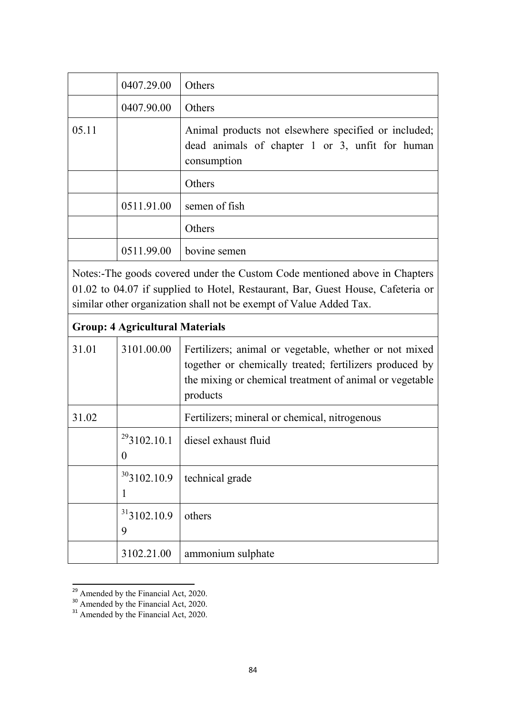|       | 0407.29.00 | Others                                                                                                                 |
|-------|------------|------------------------------------------------------------------------------------------------------------------------|
|       | 0407.90.00 | Others                                                                                                                 |
| 05.11 |            | Animal products not elsewhere specified or included;<br>dead animals of chapter 1 or 3, unfit for human<br>consumption |
|       |            | Others                                                                                                                 |
|       | 0511.91.00 | semen of fish                                                                                                          |
|       |            | Others                                                                                                                 |
|       | 0511.99.00 | bovine semen                                                                                                           |

Notes:-The goods covered under the Custom Code mentioned above in Chapters 01.02 to 04.07 if supplied to Hotel, Restaurant, Bar, Guest House, Cafeteria or similar other organization shall not be exempt of Value Added Tax.

|       | <b>Group: 4 Agricultural Materials</b> |                                                                                                                                                                                          |  |
|-------|----------------------------------------|------------------------------------------------------------------------------------------------------------------------------------------------------------------------------------------|--|
| 31.01 | 3101.00.00                             | Fertilizers; animal or vegetable, whether or not mixed<br>together or chemically treated; fertilizers produced by<br>the mixing or chemical treatment of animal or vegetable<br>products |  |
| 31.02 |                                        | Fertilizers; mineral or chemical, nitrogenous                                                                                                                                            |  |
|       | $^{29}$ 3102.10.1<br>$\theta$          | diesel exhaust fluid                                                                                                                                                                     |  |
|       | 303102.10.9                            | technical grade                                                                                                                                                                          |  |
|       | 313102.10.9<br>9                       | others                                                                                                                                                                                   |  |
|       | 3102.21.00                             | ammonium sulphate                                                                                                                                                                        |  |

 $\frac{29}{29}$  Amended by the Financial Act, 2020.

<sup>&</sup>lt;sup>30</sup> Amended by the Financial Act, 2020.

<sup>&</sup>lt;sup>31</sup> Amended by the Financial Act, 2020.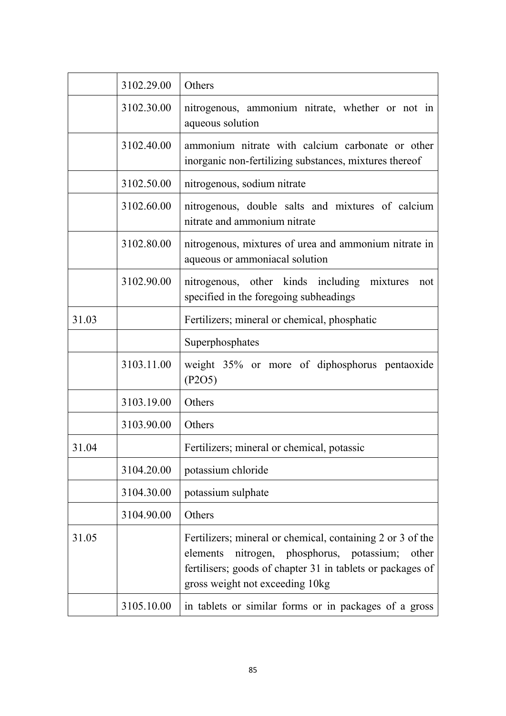|       | 3102.29.00 | Others                                                                                                                                                                                                               |
|-------|------------|----------------------------------------------------------------------------------------------------------------------------------------------------------------------------------------------------------------------|
|       | 3102.30.00 | nitrogenous, ammonium nitrate, whether or not in<br>aqueous solution                                                                                                                                                 |
|       | 3102.40.00 | ammonium nitrate with calcium carbonate or other<br>inorganic non-fertilizing substances, mixtures thereof                                                                                                           |
|       | 3102.50.00 | nitrogenous, sodium nitrate                                                                                                                                                                                          |
|       | 3102.60.00 | nitrogenous, double salts and mixtures of calcium<br>nitrate and ammonium nitrate                                                                                                                                    |
|       | 3102.80.00 | nitrogenous, mixtures of urea and ammonium nitrate in<br>aqueous or ammoniacal solution                                                                                                                              |
|       | 3102.90.00 | nitrogenous, other kinds including mixtures<br>not<br>specified in the foregoing subheadings                                                                                                                         |
| 31.03 |            | Fertilizers; mineral or chemical, phosphatic                                                                                                                                                                         |
|       |            | Superphosphates                                                                                                                                                                                                      |
|       | 3103.11.00 | weight 35% or more of diphosphorus pentaoxide<br>(P2O5)                                                                                                                                                              |
|       | 3103.19.00 | Others                                                                                                                                                                                                               |
|       | 3103.90.00 | Others                                                                                                                                                                                                               |
| 31.04 |            | Fertilizers; mineral or chemical, potassic                                                                                                                                                                           |
|       | 3104.20.00 | potassium chloride                                                                                                                                                                                                   |
|       | 3104.30.00 | potassium sulphate                                                                                                                                                                                                   |
|       | 3104.90.00 | Others                                                                                                                                                                                                               |
| 31.05 |            | Fertilizers; mineral or chemical, containing 2 or 3 of the<br>elements<br>nitrogen, phosphorus, potassium;<br>other<br>fertilisers; goods of chapter 31 in tablets or packages of<br>gross weight not exceeding 10kg |
|       | 3105.10.00 | in tablets or similar forms or in packages of a gross                                                                                                                                                                |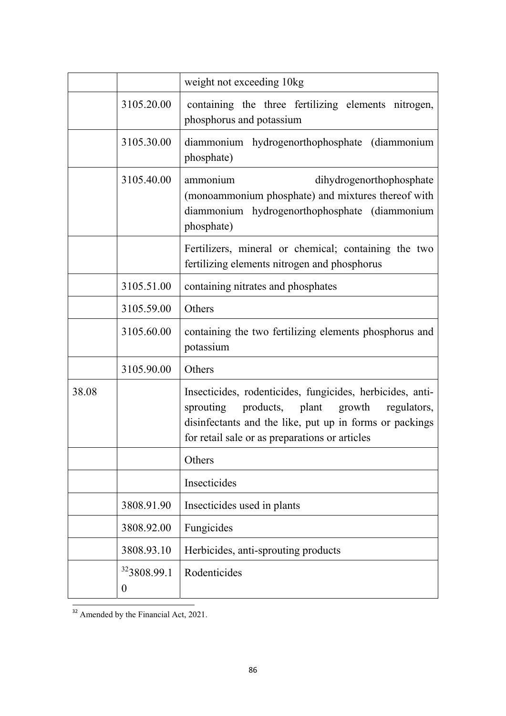|       |                                     | weight not exceeding 10kg                                                                                                                                                                                                    |
|-------|-------------------------------------|------------------------------------------------------------------------------------------------------------------------------------------------------------------------------------------------------------------------------|
|       | 3105.20.00                          | containing the three fertilizing elements nitrogen,<br>phosphorus and potassium                                                                                                                                              |
|       | 3105.30.00                          | diammonium hydrogenorthophosphate (diammonium<br>phosphate)                                                                                                                                                                  |
|       | 3105.40.00                          | ammonium<br>dihydrogenorthophosphate<br>(monoammonium phosphate) and mixtures thereof with<br>diammonium hydrogenorthophosphate (diammonium<br>phosphate)                                                                    |
|       |                                     | Fertilizers, mineral or chemical; containing the two<br>fertilizing elements nitrogen and phosphorus                                                                                                                         |
|       | 3105.51.00                          | containing nitrates and phosphates                                                                                                                                                                                           |
|       | 3105.59.00                          | Others                                                                                                                                                                                                                       |
|       | 3105.60.00                          | containing the two fertilizing elements phosphorus and<br>potassium                                                                                                                                                          |
|       | 3105.90.00                          | Others                                                                                                                                                                                                                       |
| 38.08 |                                     | Insecticides, rodenticides, fungicides, herbicides, anti-<br>products, plant growth<br>sprouting<br>regulators,<br>disinfectants and the like, put up in forms or packings<br>for retail sale or as preparations or articles |
|       |                                     | Others                                                                                                                                                                                                                       |
|       |                                     | <b>Insecticides</b>                                                                                                                                                                                                          |
|       | 3808.91.90                          | Insecticides used in plants                                                                                                                                                                                                  |
|       | 3808.92.00                          | Fungicides                                                                                                                                                                                                                   |
|       | 3808.93.10                          | Herbicides, anti-sprouting products                                                                                                                                                                                          |
|       | <sup>32</sup> 3808.99.1<br>$\theta$ | Rodenticides                                                                                                                                                                                                                 |

 $\overline{\phantom{a}^{32}$  Amended by the Financial Act, 2021.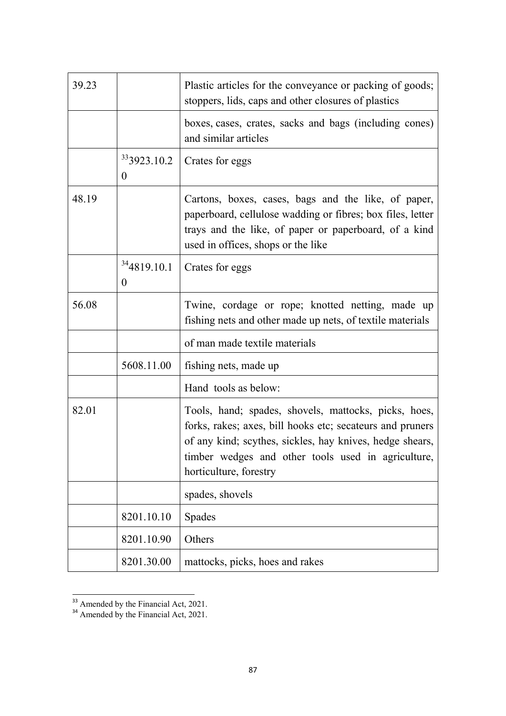| 39.23 |                                             | Plastic articles for the conveyance or packing of goods;<br>stoppers, lids, caps and other closures of plastics                                                                                                                                               |
|-------|---------------------------------------------|---------------------------------------------------------------------------------------------------------------------------------------------------------------------------------------------------------------------------------------------------------------|
|       |                                             | boxes, cases, crates, sacks and bags (including cones)<br>and similar articles                                                                                                                                                                                |
|       | <sup>33</sup> 3923.10.2<br>$\boldsymbol{0}$ | Crates for eggs                                                                                                                                                                                                                                               |
| 48.19 |                                             | Cartons, boxes, cases, bags and the like, of paper,<br>paperboard, cellulose wadding or fibres; box files, letter<br>trays and the like, of paper or paperboard, of a kind<br>used in offices, shops or the like                                              |
|       | 344819.10.1<br>$\overline{0}$               | Crates for eggs                                                                                                                                                                                                                                               |
| 56.08 |                                             | Twine, cordage or rope; knotted netting, made up<br>fishing nets and other made up nets, of textile materials                                                                                                                                                 |
|       |                                             | of man made textile materials                                                                                                                                                                                                                                 |
|       | 5608.11.00                                  | fishing nets, made up                                                                                                                                                                                                                                         |
|       |                                             | Hand tools as below:                                                                                                                                                                                                                                          |
| 82.01 |                                             | Tools, hand; spades, shovels, mattocks, picks, hoes,<br>forks, rakes; axes, bill hooks etc; secateurs and pruners<br>of any kind; scythes, sickles, hay knives, hedge shears,<br>timber wedges and other tools used in agriculture,<br>horticulture, forestry |
|       |                                             | spades, shovels                                                                                                                                                                                                                                               |
|       | 8201.10.10                                  | <b>Spades</b>                                                                                                                                                                                                                                                 |
|       | 8201.10.90                                  | Others                                                                                                                                                                                                                                                        |
|       | 8201.30.00                                  | mattocks, picks, hoes and rakes                                                                                                                                                                                                                               |

 $\frac{33}{33}$  Amended by the Financial Act, 2021.

<sup>&</sup>lt;sup>34</sup> Amended by the Financial Act, 2021.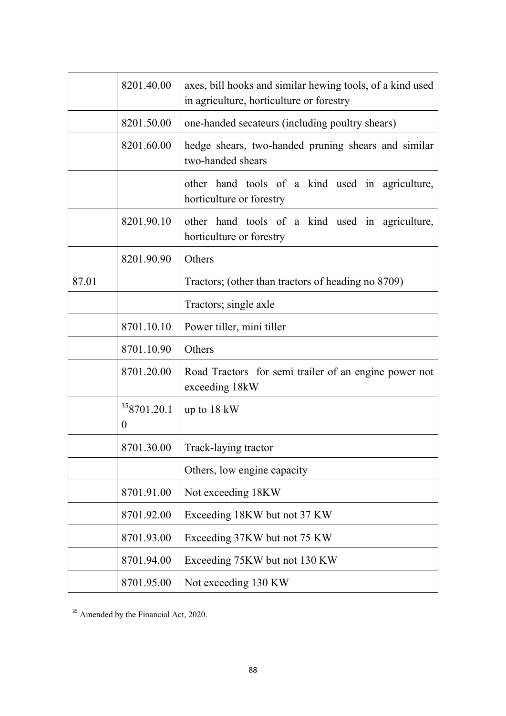|       | 8201.40.00                      | axes, bill hooks and similar hewing tools, of a kind used<br>in agriculture, horticulture or forestry |
|-------|---------------------------------|-------------------------------------------------------------------------------------------------------|
|       | 8201.50.00                      | one-handed secateurs (including poultry shears)                                                       |
|       | 8201.60.00                      | hedge shears, two-handed pruning shears and similar<br>two-handed shears                              |
|       |                                 | other hand tools of a kind used in agriculture,<br>horticulture or forestry                           |
|       | 8201.90.10                      | other hand tools of a kind used in agriculture,<br>horticulture or forestry                           |
|       | 8201.90.90                      | Others                                                                                                |
| 87.01 |                                 | Tractors; (other than tractors of heading no 8709)                                                    |
|       |                                 | Tractors; single axle                                                                                 |
|       | 8701.10.10                      | Power tiller, mini tiller                                                                             |
|       | 8701.10.90                      | Others                                                                                                |
|       | 8701.20.00                      | Road Tractors for semi trailer of an engine power not<br>exceeding 18kW                               |
|       | 358701.20.1<br>$\boldsymbol{0}$ | up to $18 \text{ kW}$                                                                                 |
|       | 8701.30.00                      | Track-laying tractor                                                                                  |
|       |                                 | Others, low engine capacity                                                                           |
|       | 8701.91.00                      | Not exceeding 18KW                                                                                    |
|       | 8701.92.00                      | Exceeding 18KW but not 37 KW                                                                          |
|       | 8701.93.00                      | Exceeding 37KW but not 75 KW                                                                          |
|       | 8701.94.00                      | Exceeding 75KW but not 130 KW                                                                         |
|       | 8701.95.00                      | Not exceeding 130 KW                                                                                  |

 $\frac{35}{35}$  Amended by the Financial Act, 2020.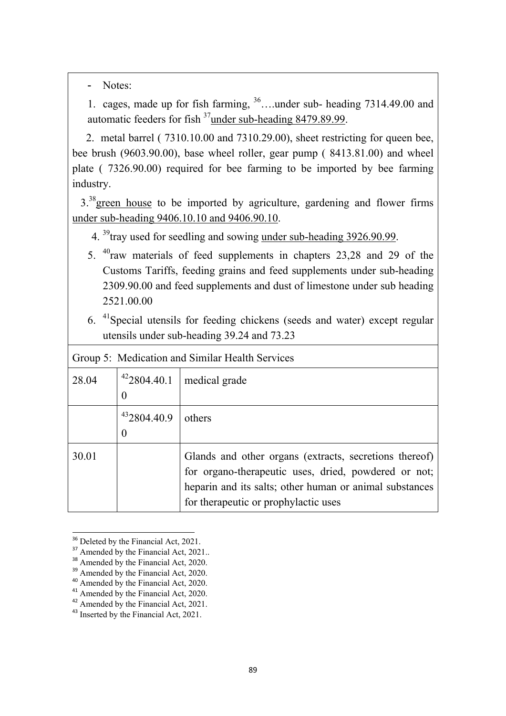- Notes:

1. cages, made up for fish farming, 36….under sub- heading 7314.49.00 and automatic feeders for fish 37under sub-heading 8479.89.99.

 2. metal barrel ( 7310.10.00 and 7310.29.00), sheet restricting for queen bee, bee brush (9603.90.00), base wheel roller, gear pump ( 8413.81.00) and wheel plate ( 7326.90.00) required for bee farming to be imported by bee farming industry.

3.<sup>38</sup> green house to be imported by agriculture, gardening and flower firms under sub-heading 9406.10.10 and 9406.90.10.

4. <sup>39</sup>tray used for seedling and sowing under sub-heading 3926.90.99.

- 5. 40raw materials of feed supplements in chapters 23,28 and 29 of the Customs Tariffs, feeding grains and feed supplements under sub-heading 2309.90.00 and feed supplements and dust of limestone under sub heading 2521.00.00
- 6. 41Special utensils for feeding chickens (seeds and water) except regular utensils under sub-heading 39.24 and 73.23

| Group 5: Medication and Similar Health Services |             |                                                                                                                                                                                                                   |  |
|-------------------------------------------------|-------------|-------------------------------------------------------------------------------------------------------------------------------------------------------------------------------------------------------------------|--|
| 28.04                                           |             | $422804.40.1$ medical grade                                                                                                                                                                                       |  |
|                                                 | 432804.40.9 | others                                                                                                                                                                                                            |  |
| 30.01                                           |             | Glands and other organs (extracts, secretions thereof)<br>for organo-therapeutic uses, dried, powdered or not;<br>heparin and its salts; other human or animal substances<br>for therapeutic or prophylactic uses |  |

<sup>&</sup>lt;sup>36</sup> Deleted by the Financial Act, 2021.

<sup>&</sup>lt;sup>37</sup> Amended by the Financial Act, 2021..

<sup>&</sup>lt;sup>38</sup> Amended by the Financial Act, 2020.

<sup>&</sup>lt;sup>39</sup> Amended by the Financial Act, 2020.

<sup>&</sup>lt;sup>40</sup> Amended by the Financial Act, 2020.

Amended by the Financial Act, 2020.

<sup>&</sup>lt;sup>42</sup> Amended by the Financial Act, 2021.

<sup>&</sup>lt;sup>43</sup> Inserted by the Financial Act, 2021.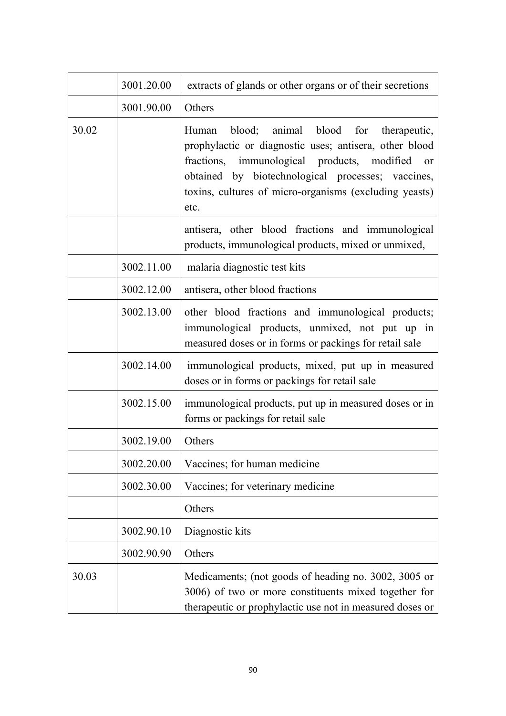|       | 3001.20.00 | extracts of glands or other organs or of their secretions                                                                                                                                                                                                                                      |
|-------|------------|------------------------------------------------------------------------------------------------------------------------------------------------------------------------------------------------------------------------------------------------------------------------------------------------|
|       | 3001.90.00 | Others                                                                                                                                                                                                                                                                                         |
| 30.02 |            | blood; animal blood for therapeutic,<br>Human<br>prophylactic or diagnostic uses; antisera, other blood<br>fractions, immunological products, modified<br><sub>or</sub><br>obtained by biotechnological processes; vaccines,<br>toxins, cultures of micro-organisms (excluding yeasts)<br>etc. |
|       |            | antisera, other blood fractions and immunological<br>products, immunological products, mixed or unmixed,                                                                                                                                                                                       |
|       | 3002.11.00 | malaria diagnostic test kits                                                                                                                                                                                                                                                                   |
|       | 3002.12.00 | antisera, other blood fractions                                                                                                                                                                                                                                                                |
|       | 3002.13.00 | other blood fractions and immunological products;<br>immunological products, unmixed, not put up in<br>measured doses or in forms or packings for retail sale                                                                                                                                  |
|       | 3002.14.00 | immunological products, mixed, put up in measured<br>doses or in forms or packings for retail sale                                                                                                                                                                                             |
|       | 3002.15.00 | immunological products, put up in measured doses or in<br>forms or packings for retail sale                                                                                                                                                                                                    |
|       | 3002.19.00 | Others                                                                                                                                                                                                                                                                                         |
|       | 3002.20.00 | Vaccines; for human medicine                                                                                                                                                                                                                                                                   |
|       | 3002.30.00 | Vaccines; for veterinary medicine                                                                                                                                                                                                                                                              |
|       |            | Others                                                                                                                                                                                                                                                                                         |
|       | 3002.90.10 | Diagnostic kits                                                                                                                                                                                                                                                                                |
|       | 3002.90.90 | Others                                                                                                                                                                                                                                                                                         |
| 30.03 |            | Medicaments; (not goods of heading no. 3002, 3005 or<br>3006) of two or more constituents mixed together for<br>therapeutic or prophylactic use not in measured doses or                                                                                                                       |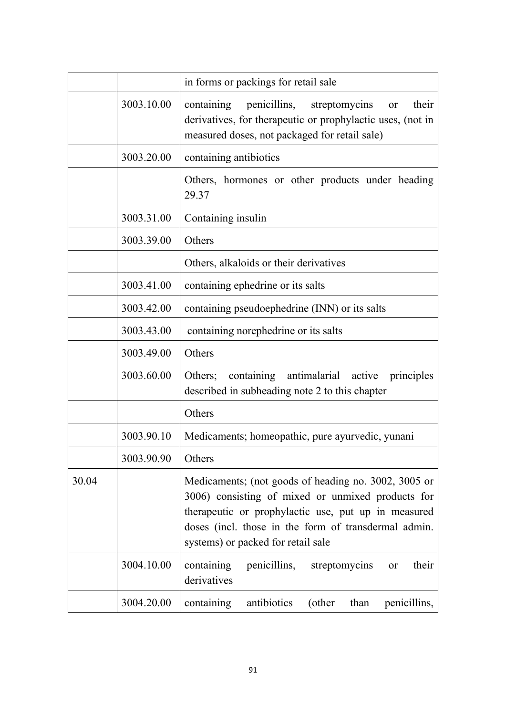|       |            | in forms or packings for retail sale                                                                                                                                                                                                                           |
|-------|------------|----------------------------------------------------------------------------------------------------------------------------------------------------------------------------------------------------------------------------------------------------------------|
|       | 3003.10.00 | containing penicillins,<br>their<br>streptomycins or<br>derivatives, for therapeutic or prophylactic uses, (not in<br>measured doses, not packaged for retail sale)                                                                                            |
|       | 3003.20.00 | containing antibiotics                                                                                                                                                                                                                                         |
|       |            | Others, hormones or other products under heading<br>29.37                                                                                                                                                                                                      |
|       | 3003.31.00 | Containing insulin                                                                                                                                                                                                                                             |
|       | 3003.39.00 | Others                                                                                                                                                                                                                                                         |
|       |            | Others, alkaloids or their derivatives                                                                                                                                                                                                                         |
|       | 3003.41.00 | containing ephedrine or its salts                                                                                                                                                                                                                              |
|       | 3003.42.00 | containing pseudoephedrine (INN) or its salts                                                                                                                                                                                                                  |
|       | 3003.43.00 | containing norephedrine or its salts                                                                                                                                                                                                                           |
|       | 3003.49.00 | Others                                                                                                                                                                                                                                                         |
|       | 3003.60.00 | containing<br>antimalarial active<br>Others;<br>principles<br>described in subheading note 2 to this chapter                                                                                                                                                   |
|       |            | Others                                                                                                                                                                                                                                                         |
|       | 3003.90.10 | Medicaments; homeopathic, pure ayurvedic, yunani                                                                                                                                                                                                               |
|       | 3003.90.90 | Others                                                                                                                                                                                                                                                         |
| 30.04 |            | Medicaments; (not goods of heading no. 3002, 3005 or<br>3006) consisting of mixed or unmixed products for<br>therapeutic or prophylactic use, put up in measured<br>doses (incl. those in the form of transdermal admin.<br>systems) or packed for retail sale |
|       | 3004.10.00 | containing<br>penicillins,<br>streptomycins<br>their<br>or<br>derivatives                                                                                                                                                                                      |
|       | 3004.20.00 | antibiotics<br>containing<br>(other<br>than<br>penicillins,                                                                                                                                                                                                    |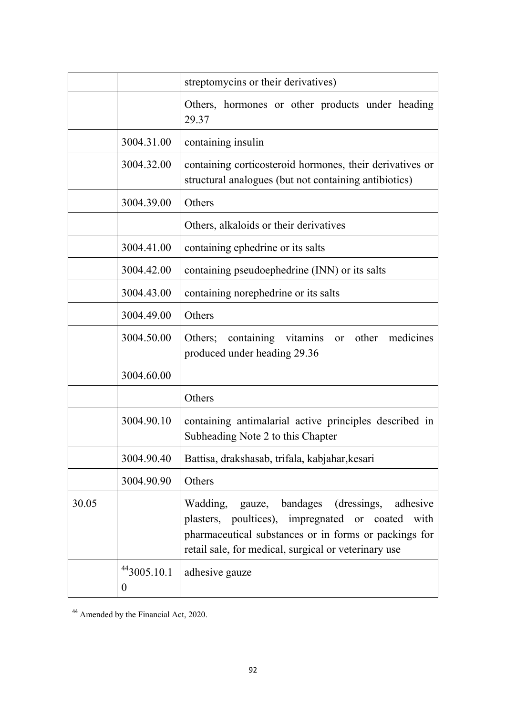|       |                  | streptomycins or their derivatives)                                                                                                                                                                                   |
|-------|------------------|-----------------------------------------------------------------------------------------------------------------------------------------------------------------------------------------------------------------------|
|       |                  | Others, hormones or other products under heading<br>29.37                                                                                                                                                             |
|       | 3004.31.00       | containing insulin                                                                                                                                                                                                    |
|       | 3004.32.00       | containing corticosteroid hormones, their derivatives or<br>structural analogues (but not containing antibiotics)                                                                                                     |
|       | 3004.39.00       | Others                                                                                                                                                                                                                |
|       |                  | Others, alkaloids or their derivatives                                                                                                                                                                                |
|       | 3004.41.00       | containing ephedrine or its salts                                                                                                                                                                                     |
|       | 3004.42.00       | containing pseudoephedrine (INN) or its salts                                                                                                                                                                         |
|       | 3004.43.00       | containing norephedrine or its salts                                                                                                                                                                                  |
|       | 3004.49.00       | Others                                                                                                                                                                                                                |
|       | 3004.50.00       | containing vitamins or other medicines<br>Others;<br>produced under heading 29.36                                                                                                                                     |
|       | 3004.60.00       |                                                                                                                                                                                                                       |
|       |                  | Others                                                                                                                                                                                                                |
|       | 3004.90.10       | containing antimalarial active principles described in<br>Subheading Note 2 to this Chapter                                                                                                                           |
|       | 3004.90.40       | Battisa, drakshasab, trifala, kabjahar, kesari                                                                                                                                                                        |
|       | 3004.90.90       | Others                                                                                                                                                                                                                |
| 30.05 |                  | Wadding, gauze, bandages (dressings,<br>adhesive<br>plasters, poultices), impregnated or coated with<br>pharmaceutical substances or in forms or packings for<br>retail sale, for medical, surgical or veterinary use |
|       | 443005.10.1<br>0 | adhesive gauze                                                                                                                                                                                                        |

<sup>44</sup> Amended by the Financial Act, 2020.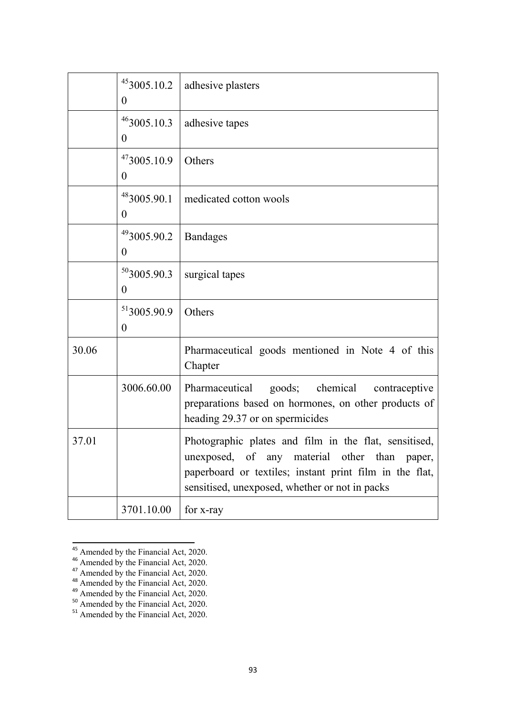|       | 453005.10.2<br>$\boldsymbol{0}$ | adhesive plasters                                                                                                                                                                                                  |
|-------|---------------------------------|--------------------------------------------------------------------------------------------------------------------------------------------------------------------------------------------------------------------|
|       | $46$ 3005.10.3<br>$\theta$      | adhesive tapes                                                                                                                                                                                                     |
|       | 473005.10.9<br>$\boldsymbol{0}$ | Others                                                                                                                                                                                                             |
|       | 483005.90.1<br>$\boldsymbol{0}$ | medicated cotton wools                                                                                                                                                                                             |
|       | 493005.90.2<br>$\theta$         | <b>Bandages</b>                                                                                                                                                                                                    |
|       | 50,005.90.3<br>$\boldsymbol{0}$ | surgical tapes                                                                                                                                                                                                     |
|       | 513005.90.9<br>$\overline{0}$   | Others                                                                                                                                                                                                             |
| 30.06 |                                 | Pharmaceutical goods mentioned in Note 4 of this<br>Chapter                                                                                                                                                        |
|       | 3006.60.00                      | goods; chemical<br>Pharmaceutical<br>contraceptive<br>preparations based on hormones, on other products of<br>heading 29.37 or on spermicides                                                                      |
| 37.01 |                                 | Photographic plates and film in the flat, sensitised,<br>unexposed, of any material other than paper,<br>paperboard or textiles; instant print film in the flat,<br>sensitised, unexposed, whether or not in packs |
|       | 3701.10.00                      | for x-ray                                                                                                                                                                                                          |

<sup>&</sup>lt;sup>45</sup> Amended by the Financial Act, 2020.

<sup>&</sup>lt;sup>46</sup> Amended by the Financial Act, 2020.

<sup>&</sup>lt;sup>47</sup> Amended by the Financial Act, 2020.

<sup>&</sup>lt;sup>48</sup> Amended by the Financial Act, 2020.

<sup>&</sup>lt;sup>49</sup> Amended by the Financial Act, 2020.

<sup>&</sup>lt;sup>50</sup> Amended by the Financial Act, 2020.

<sup>&</sup>lt;sup>51</sup> Amended by the Financial Act, 2020.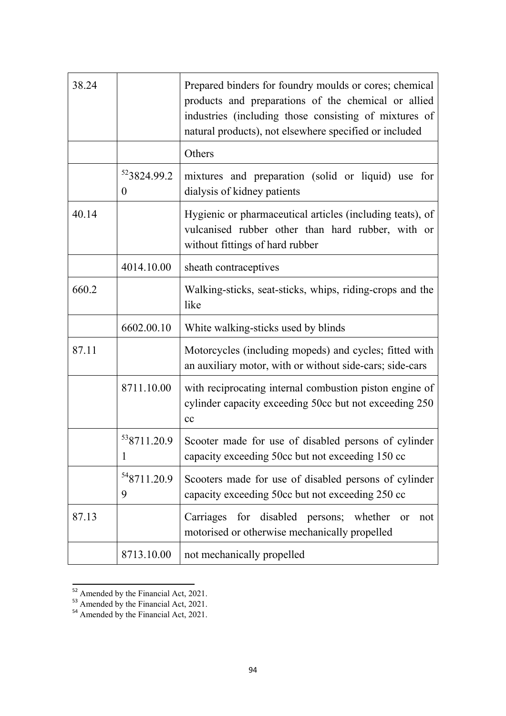| 38.24 |                               | Prepared binders for foundry moulds or cores; chemical<br>products and preparations of the chemical or allied<br>industries (including those consisting of mixtures of<br>natural products), not elsewhere specified or included |
|-------|-------------------------------|----------------------------------------------------------------------------------------------------------------------------------------------------------------------------------------------------------------------------------|
|       |                               | Others                                                                                                                                                                                                                           |
|       | 523824.99.2<br>$\overline{0}$ | mixtures and preparation (solid or liquid) use for<br>dialysis of kidney patients                                                                                                                                                |
| 40.14 |                               | Hygienic or pharmaceutical articles (including teats), of<br>vulcanised rubber other than hard rubber, with or<br>without fittings of hard rubber                                                                                |
|       | 4014.10.00                    | sheath contraceptives                                                                                                                                                                                                            |
| 660.2 |                               | Walking-sticks, seat-sticks, whips, riding-crops and the<br>like                                                                                                                                                                 |
|       | 6602.00.10                    | White walking-sticks used by blinds                                                                                                                                                                                              |
| 87.11 |                               | Motorcycles (including mopeds) and cycles; fitted with<br>an auxiliary motor, with or without side-cars; side-cars                                                                                                               |
|       | 8711.10.00                    | with reciprocating internal combustion piston engine of<br>cylinder capacity exceeding 50cc but not exceeding 250<br>cc                                                                                                          |
|       | <sup>53</sup> 8711.20.9<br>1  | Scooter made for use of disabled persons of cylinder<br>capacity exceeding 50cc but not exceeding 150 cc                                                                                                                         |
|       | 548711.20.9<br>9              | Scooters made for use of disabled persons of cylinder<br>capacity exceeding 50cc but not exceeding 250 cc                                                                                                                        |
| 87.13 |                               | Carriages for disabled persons; whether<br>not<br>or<br>motorised or otherwise mechanically propelled                                                                                                                            |
|       | 8713.10.00                    | not mechanically propelled                                                                                                                                                                                                       |

 $\frac{52}{2}$  Amended by the Financial Act, 2021.

<sup>&</sup>lt;sup>53</sup> Amended by the Financial Act, 2021.

<sup>&</sup>lt;sup>54</sup> Amended by the Financial Act, 2021.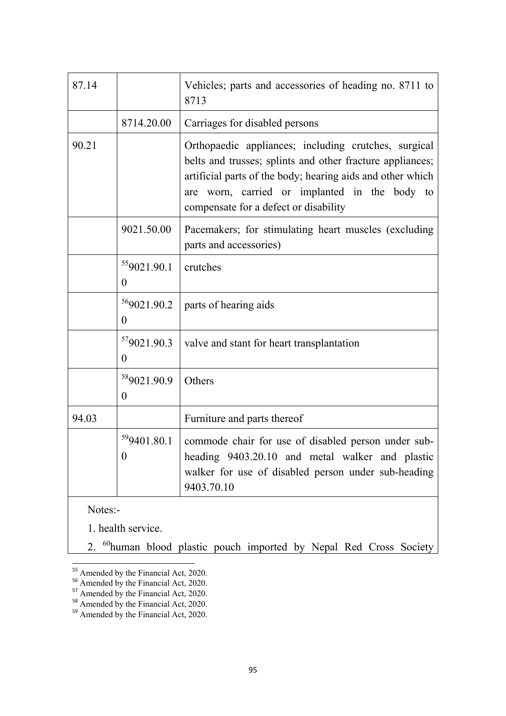| 87.14   |                                           | Vehicles; parts and accessories of heading no. 8711 to<br>8713                                                                                                                                                                                                            |
|---------|-------------------------------------------|---------------------------------------------------------------------------------------------------------------------------------------------------------------------------------------------------------------------------------------------------------------------------|
|         | 8714.20.00                                | Carriages for disabled persons                                                                                                                                                                                                                                            |
| 90.21   |                                           | Orthopaedic appliances; including crutches, surgical<br>belts and trusses; splints and other fracture appliances;<br>artificial parts of the body; hearing aids and other which<br>are worn, carried or implanted in the body to<br>compensate for a defect or disability |
|         | 9021.50.00                                | Pacemakers; for stimulating heart muscles (excluding<br>parts and accessories)                                                                                                                                                                                            |
|         | 559021.90.1<br>0                          | crutches                                                                                                                                                                                                                                                                  |
|         | <sup>56</sup> 9021.90.2<br>$\overline{0}$ | parts of hearing aids                                                                                                                                                                                                                                                     |
|         | 579021.90.3<br>$\overline{0}$             | valve and stant for heart transplantation                                                                                                                                                                                                                                 |
|         | <sup>58</sup> 9021.90.9<br>$\overline{0}$ | Others                                                                                                                                                                                                                                                                    |
| 94.03   |                                           | Furniture and parts thereof                                                                                                                                                                                                                                               |
|         | 59401.80.1<br>0                           | commode chair for use of disabled person under sub-<br>heading 9403.20.10 and metal walker and plastic<br>walker for use of disabled person under sub-heading<br>9403.70.10                                                                                               |
| Notes:- |                                           |                                                                                                                                                                                                                                                                           |
|         | 1. health service.                        |                                                                                                                                                                                                                                                                           |

2. <sup>60</sup>human blood plastic pouch imported by Nepal Red Cross Society

<sup>&</sup>lt;sup>55</sup> Amended by the Financial Act, 2020.

<sup>&</sup>lt;sup>56</sup> Amended by the Financial Act, 2020.

<sup>&</sup>lt;sup>57</sup> Amended by the Financial Act, 2020.

<sup>&</sup>lt;sup>58</sup> Amended by the Financial Act, 2020.

<sup>&</sup>lt;sup>59</sup> Amended by the Financial Act, 2020.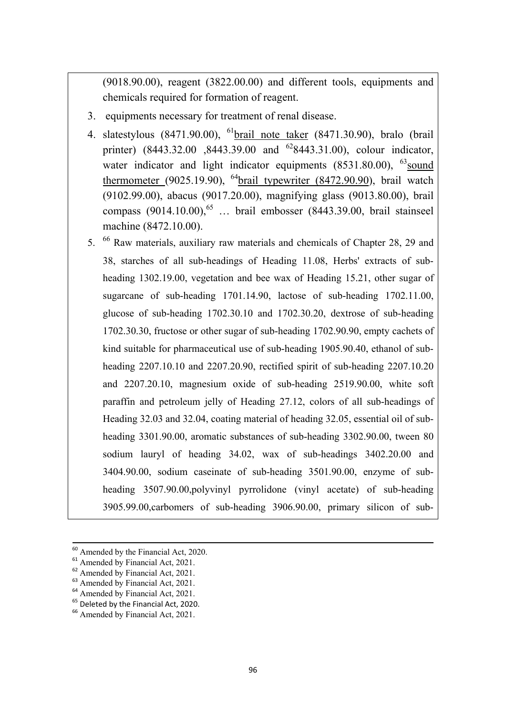(9018.90.00), reagent (3822.00.00) and different tools, equipments and chemicals required for formation of reagent.

- 3. equipments necessary for treatment of renal disease.
- 4. slatestylous (8471.90.00), 61brail note taker (8471.30.90), bralo (brail printer) (8443.32.00 ,8443.39.00 and <sup>62</sup>8443.31.00), colour indicator, water indicator and light indicator equipments  $(8531.80.00)$ ,  $^{63}$ sound thermometer (9025.19.90),  $^{64}$ brail typewriter (8472.90.90), brail watch (9102.99.00), abacus (9017.20.00), magnifying glass (9013.80.00), brail compass  $(9014.10.00)$ <sup>65</sup> ... brail embosser  $(8443.39.00, \text{ braid stained})$ machine (8472.10.00).
- 5. 66 Raw materials, auxiliary raw materials and chemicals of Chapter 28, 29 and 38, starches of all sub-headings of Heading 11.08, Herbs' extracts of subheading 1302.19.00, vegetation and bee wax of Heading 15.21, other sugar of sugarcane of sub-heading 1701.14.90, lactose of sub-heading 1702.11.00, glucose of sub-heading 1702.30.10 and 1702.30.20, dextrose of sub-heading 1702.30.30, fructose or other sugar of sub-heading 1702.90.90, empty cachets of kind suitable for pharmaceutical use of sub-heading 1905.90.40, ethanol of subheading 2207.10.10 and 2207.20.90, rectified spirit of sub-heading 2207.10.20 and 2207.20.10, magnesium oxide of sub-heading 2519.90.00, white soft paraffin and petroleum jelly of Heading 27.12, colors of all sub-headings of Heading 32.03 and 32.04, coating material of heading 32.05, essential oil of subheading 3301.90.00, aromatic substances of sub-heading 3302.90.00, tween 80 sodium lauryl of heading 34.02, wax of sub-headings 3402.20.00 and 3404.90.00, sodium caseinate of sub-heading 3501.90.00, enzyme of subheading 3507.90.00,polyvinyl pyrrolidone (vinyl acetate) of sub-heading 3905.99.00,carbomers of sub-heading 3906.90.00, primary silicon of sub-

<sup>&</sup>lt;sup>60</sup> Amended by the Financial Act, 2020.

<sup>&</sup>lt;sup>61</sup> Amended by Financial Act, 2021.

<sup>62</sup> Amended by Financial Act, 2021.

<sup>&</sup>lt;sup>63</sup> Amended by Financial Act, 2021.

<sup>&</sup>lt;sup>64</sup> Amended by Financial Act, 2021.

<sup>&</sup>lt;sup>65</sup> Deleted by the Financial Act, 2020.

<sup>&</sup>lt;sup>66</sup> Amended by Financial Act, 2021.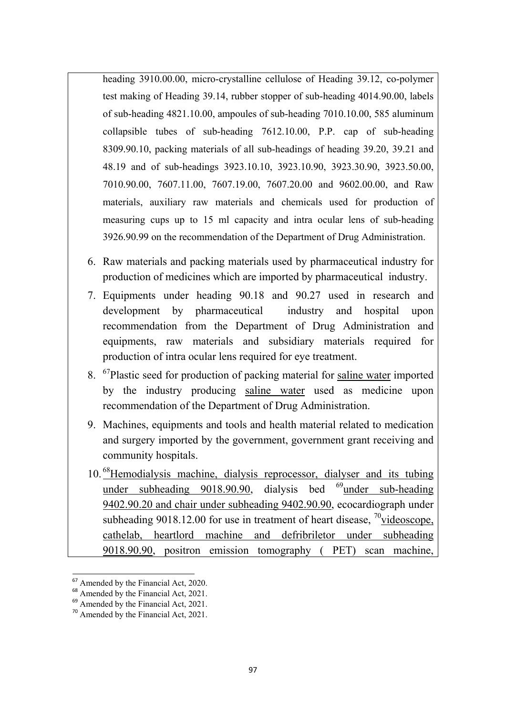heading 3910.00.00, micro-crystalline cellulose of Heading 39.12, co-polymer test making of Heading 39.14, rubber stopper of sub-heading 4014.90.00, labels of sub-heading 4821.10.00, ampoules of sub-heading 7010.10.00, 585 aluminum collapsible tubes of sub-heading 7612.10.00, P.P. cap of sub-heading 8309.90.10, packing materials of all sub-headings of heading 39.20, 39.21 and 48.19 and of sub-headings 3923.10.10, 3923.10.90, 3923.30.90, 3923.50.00, 7010.90.00, 7607.11.00, 7607.19.00, 7607.20.00 and 9602.00.00, and Raw materials, auxiliary raw materials and chemicals used for production of measuring cups up to 15 ml capacity and intra ocular lens of sub-heading 3926.90.99 on the recommendation of the Department of Drug Administration.

- 6. Raw materials and packing materials used by pharmaceutical industry for production of medicines which are imported by pharmaceutical industry.
- 7. Equipments under heading 90.18 and 90.27 used in research and development by pharmaceutical industry and hospital upon recommendation from the Department of Drug Administration and equipments, raw materials and subsidiary materials required for production of intra ocular lens required for eye treatment.
- 8. <sup>67</sup>Plastic seed for production of packing material for saline water imported by the industry producing saline water used as medicine upon recommendation of the Department of Drug Administration.
- 9. Machines, equipments and tools and health material related to medication and surgery imported by the government, government grant receiving and community hospitals.
- 10. 68Hemodialysis machine, dialysis reprocessor, dialyser and its tubing under subheading  $9018.90.90$ , dialysis bed  $^{69}$ under sub-heading 9402.90.20 and chair under subheading 9402.90.90, ecocardiograph under subheading 9018.12.00 for use in treatment of heart disease,  $\frac{70}{10}$ videoscope, cathelab, heartlord machine and defribriletor under subheading 9018.90.90, positron emission tomography ( PET) scan machine,

<sup>&</sup>lt;sup>67</sup> Amended by the Financial Act, 2020.

<sup>&</sup>lt;sup>68</sup> Amended by the Financial Act, 2021.

<sup>&</sup>lt;sup>69</sup> Amended by the Financial Act, 2021.

<sup>70</sup> Amended by the Financial Act, 2021.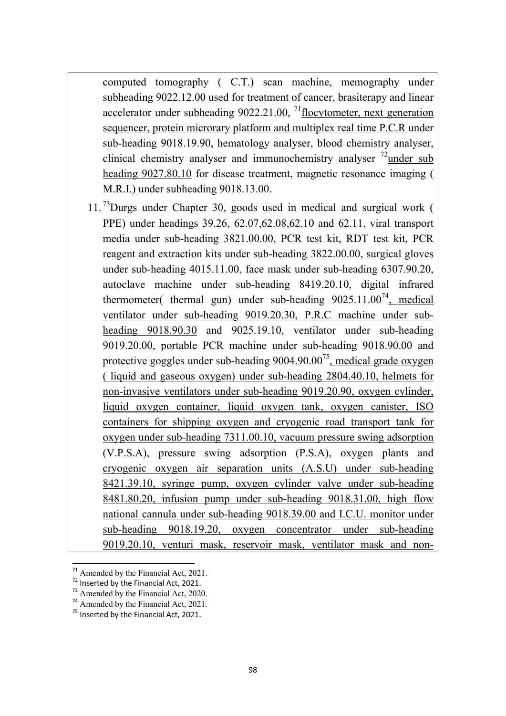computed tomography ( C.T.) scan machine, memography under subheading 9022.12.00 used for treatment of cancer, brasiterapy and linear accelerator under subheading  $9022.21.00$ , <sup>71</sup>flocytometer, next generation sequencer, protein microrary platform and multiplex real time P.C.R under sub-heading 9018.19.90, hematology analyser, blood chemistry analyser, clinical chemistry analyser and immunochemistry analyser  $\frac{72}{2}$  under sub heading 9027.80.10 for disease treatment, magnetic resonance imaging ( M.R.I.) under subheading 9018.13.00.

 $11.^{73}$ Durgs under Chapter 30, goods used in medical and surgical work ( PPE) under headings 39.26, 62.07,62.08,62.10 and 62.11, viral transport media under sub-heading 3821.00.00, PCR test kit, RDT test kit, PCR reagent and extraction kits under sub-heading 3822.00.00, surgical gloves under sub-heading 4015.11.00, face mask under sub-heading 6307.90.20, autoclave machine under sub-heading 8419.20.10, digital infrared thermometer( thermal gun) under sub-heading  $9025.11.00^{74}$ , medical ventilator under sub-heading 9019.20.30, P.R.C machine under subheading 9018.90.30 and 9025.19.10, ventilator under sub-heading 9019.20.00, portable PCR machine under sub-heading 9018.90.00 and protective goggles under sub-heading  $9004.90.00^{75}$ , medical grade oxygen ( liquid and gaseous oxygen) under sub-heading 2804.40.10, helmets for non-invasive ventilators under sub-heading 9019.20.90, oxygen cylinder, liquid oxygen container, liquid oxygen tank, oxygen canister, ISO containers for shipping oxygen and cryogenic road transport tank for oxygen under sub-heading 7311.00.10, vacuum pressure swing adsorption (V.P.S.A), pressure swing adsorption (P.S.A), oxygen plants and cryogenic oxygen air separation units (A.S.U) under sub-heading 8421.39.10, syringe pump, oxygen cylinder valve under sub-heading 8481.80.20, infusion pump under sub-heading 9018.31.00, high flow national cannula under sub-heading 9018.39.00 and I.C.U. monitor under sub-heading 9018.19.20, oxygen concentrator under sub-heading 9019.20.10, venturi mask, reservoir mask, ventilator mask and non-

 $71$  Amended by the Financial Act, 2021.

 $72$  Inserted by the Financial Act, 2021.

<sup>73</sup> Amended by the Financial Act, 2020.

<sup>&</sup>lt;sup>74</sup> Amended by the Financial Act, 2021.

 $75$  Inserted by the Financial Act, 2021.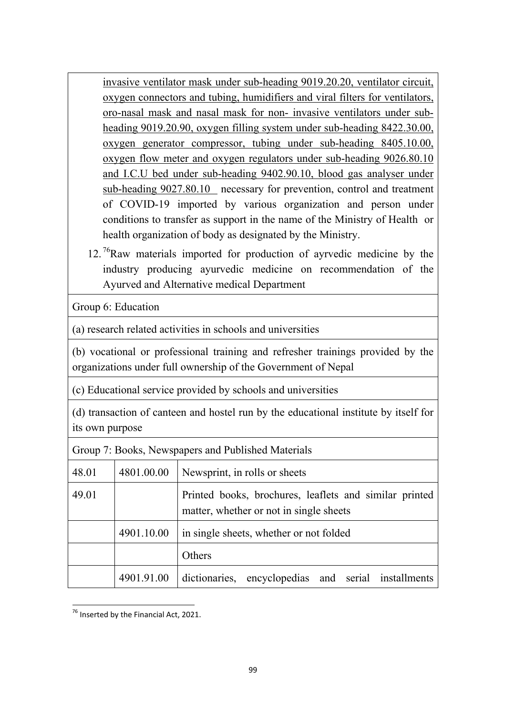invasive ventilator mask under sub-heading 9019.20.20, ventilator circuit, oxygen connectors and tubing, humidifiers and viral filters for ventilators, oro-nasal mask and nasal mask for non- invasive ventilators under subheading 9019.20.90, oxygen filling system under sub-heading 8422.30.00, oxygen generator compressor, tubing under sub-heading 8405.10.00, oxygen flow meter and oxygen regulators under sub-heading 9026.80.10 and I.C.U bed under sub-heading 9402.90.10, blood gas analyser under sub-heading 9027.80.10 necessary for prevention, control and treatment of COVID-19 imported by various organization and person under conditions to transfer as support in the name of the Ministry of Health or health organization of body as designated by the Ministry.

12.<sup>76</sup>Raw materials imported for production of ayrvedic medicine by the industry producing ayurvedic medicine on recommendation of the Ayurved and Alternative medical Department

Group 6: Education

(a) research related activities in schools and universities

(b) vocational or professional training and refresher trainings provided by the organizations under full ownership of the Government of Nepal

(c) Educational service provided by schools and universities

(d) transaction of canteen and hostel run by the educational institute by itself for its own purpose

Group 7: Books, Newspapers and Published Materials

| 48.01 | 4801.00.00 | Newsprint, in rolls or sheets                                                                     |
|-------|------------|---------------------------------------------------------------------------------------------------|
| 49.01 |            | Printed books, brochures, leaflets and similar printed<br>matter, whether or not in single sheets |
|       | 4901.10.00 | in single sheets, whether or not folded                                                           |
|       |            | Others                                                                                            |
|       | 4901.91.00 | dictionaries, encyclopedias and serial installments                                               |

 $76$  Inserted by the Financial Act, 2021.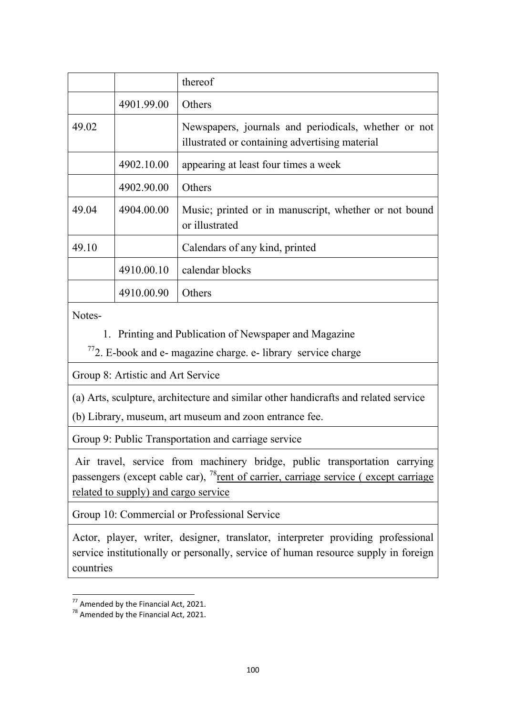|       |            | thereof                                                                                                |
|-------|------------|--------------------------------------------------------------------------------------------------------|
|       | 4901.99.00 | Others                                                                                                 |
| 49.02 |            | Newspapers, journals and periodicals, whether or not<br>illustrated or containing advertising material |
|       | 4902.10.00 | appearing at least four times a week                                                                   |
|       | 4902.90.00 | Others                                                                                                 |
| 49.04 | 4904.00.00 | Music; printed or in manuscript, whether or not bound<br>or illustrated                                |
| 49.10 |            | Calendars of any kind, printed                                                                         |
|       | 4910.00.10 | calendar blocks                                                                                        |
|       | 4910.00.90 | Others                                                                                                 |

Notes-

1. Printing and Publication of Newspaper and Magazine

 $772$ . E-book and e- magazine charge. e- library service charge

Group 8: Artistic and Art Service

(a) Arts, sculpture, architecture and similar other handicrafts and related service

(b) Library, museum, art museum and zoon entrance fee.

Group 9: Public Transportation and carriage service

 Air travel, service from machinery bridge, public transportation carrying passengers (except cable car),  $^{78}$ rent of carrier, carriage service (except carriage related to supply) and cargo service

Group 10: Commercial or Professional Service

Actor, player, writer, designer, translator, interpreter providing professional service institutionally or personally, service of human resource supply in foreign countries

 $\frac{1}{77}$  Amended by the Financial Act, 2021.

 $78$  Amended by the Financial Act, 2021.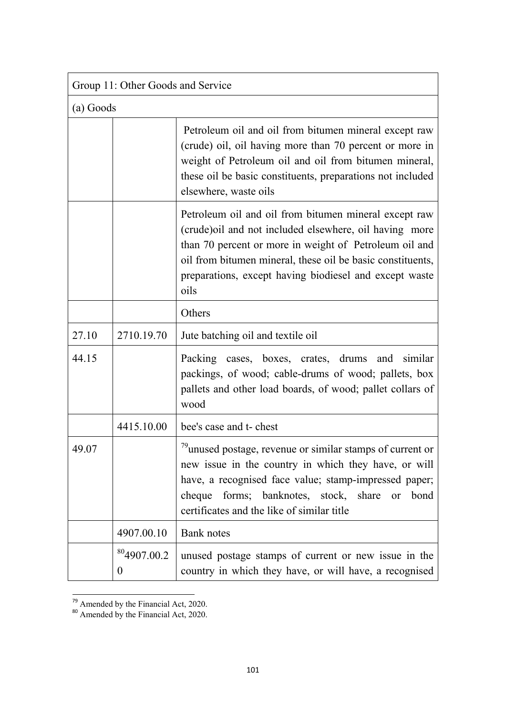| Group 11: Other Goods and Service |                                     |                                                                                                                                                                                                                                                                                                            |  |
|-----------------------------------|-------------------------------------|------------------------------------------------------------------------------------------------------------------------------------------------------------------------------------------------------------------------------------------------------------------------------------------------------------|--|
|                                   | (a) Goods                           |                                                                                                                                                                                                                                                                                                            |  |
|                                   |                                     | Petroleum oil and oil from bitumen mineral except raw<br>(crude) oil, oil having more than 70 percent or more in<br>weight of Petroleum oil and oil from bitumen mineral,<br>these oil be basic constituents, preparations not included<br>elsewhere, waste oils                                           |  |
|                                   |                                     | Petroleum oil and oil from bitumen mineral except raw<br>(crude) oil and not included elsewhere, oil having more<br>than 70 percent or more in weight of Petroleum oil and<br>oil from bitumen mineral, these oil be basic constituents,<br>preparations, except having biodiesel and except waste<br>oils |  |
|                                   |                                     | Others                                                                                                                                                                                                                                                                                                     |  |
| 27.10                             | 2710.19.70                          | Jute batching oil and textile oil                                                                                                                                                                                                                                                                          |  |
| 44.15                             |                                     | Packing cases, boxes, crates, drums and similar<br>packings, of wood; cable-drums of wood; pallets, box<br>pallets and other load boards, of wood; pallet collars of<br>wood                                                                                                                               |  |
|                                   | 4415.10.00                          | bee's case and t- chest                                                                                                                                                                                                                                                                                    |  |
| 49.07                             |                                     | $79$ unused postage, revenue or similar stamps of current or<br>new issue in the country in which they have, or will<br>have, a recognised face value; stamp-impressed paper;<br>cheque forms; banknotes, stock, share<br>bond<br>or<br>certificates and the like of similar title                         |  |
|                                   | 4907.00.10                          | Bank notes                                                                                                                                                                                                                                                                                                 |  |
|                                   | <sup>80</sup> 4907.00.2<br>$\theta$ | unused postage stamps of current or new issue in the<br>country in which they have, or will have, a recognised                                                                                                                                                                                             |  |

 $\frac{79}{79}$  Amended by the Financial Act, 2020.

<sup>&</sup>lt;sup>80</sup> Amended by the Financial Act, 2020.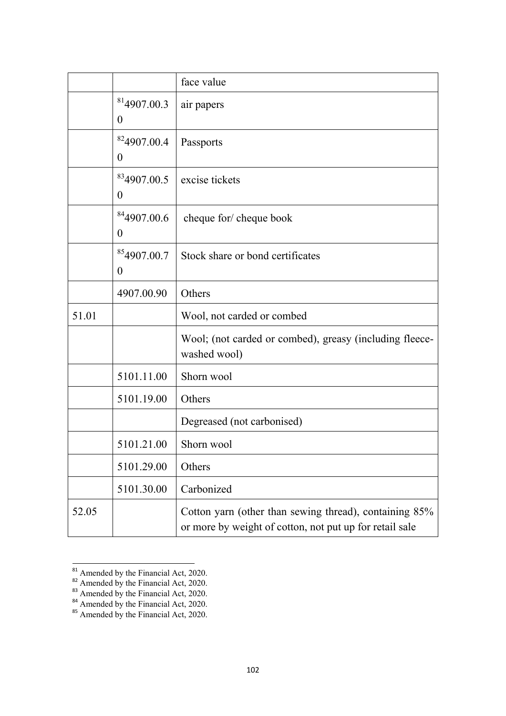|       |                                             | face value                                                                                                        |
|-------|---------------------------------------------|-------------------------------------------------------------------------------------------------------------------|
|       | 814907.00.3<br>$\boldsymbol{0}$             | air papers                                                                                                        |
|       | <sup>82</sup> 4907.00.4<br>$\overline{0}$   | Passports                                                                                                         |
|       | <sup>83</sup> 4907.00.5<br>$\boldsymbol{0}$ | excise tickets                                                                                                    |
|       | <sup>84</sup> 4907.00.6<br>$\boldsymbol{0}$ | cheque for/ cheque book                                                                                           |
|       | <sup>85</sup> 4907.00.7<br>$\boldsymbol{0}$ | Stock share or bond certificates                                                                                  |
|       | 4907.00.90                                  | Others                                                                                                            |
| 51.01 |                                             | Wool, not carded or combed                                                                                        |
|       |                                             | Wool; (not carded or combed), greasy (including fleece-<br>washed wool)                                           |
|       | 5101.11.00                                  | Shorn wool                                                                                                        |
|       | 5101.19.00                                  | Others                                                                                                            |
|       |                                             | Degreased (not carbonised)                                                                                        |
|       | 5101.21.00                                  | Shorn wool                                                                                                        |
|       | 5101.29.00                                  | Others                                                                                                            |
|       | 5101.30.00                                  | Carbonized                                                                                                        |
| 52.05 |                                             | Cotton yarn (other than sewing thread), containing 85%<br>or more by weight of cotton, not put up for retail sale |

 $\frac{81}{20}$  Amended by the Financial Act, 2020.

<sup>&</sup>lt;sup>82</sup> Amended by the Financial Act, 2020.

<sup>&</sup>lt;sup>83</sup> Amended by the Financial Act, 2020.

<sup>&</sup>lt;sup>84</sup> Amended by the Financial Act, 2020.

<sup>&</sup>lt;sup>85</sup> Amended by the Financial Act, 2020.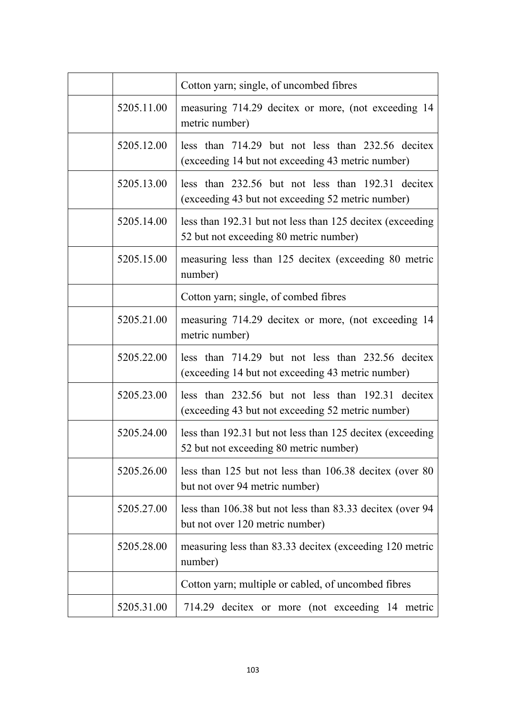|            | Cotton yarn; single, of uncombed fibres                                                                |
|------------|--------------------------------------------------------------------------------------------------------|
| 5205.11.00 | measuring 714.29 decitex or more, (not exceeding 14<br>metric number)                                  |
| 5205.12.00 | less than 714.29 but not less than 232.56 decitex<br>(exceeding 14 but not exceeding 43 metric number) |
| 5205.13.00 | less than 232.56 but not less than 192.31 decitex<br>(exceeding 43 but not exceeding 52 metric number) |
| 5205.14.00 | less than 192.31 but not less than 125 decitex (exceeding<br>52 but not exceeding 80 metric number)    |
| 5205.15.00 | measuring less than 125 decitex (exceeding 80 metric<br>number)                                        |
|            | Cotton yarn; single, of combed fibres                                                                  |
| 5205.21.00 | measuring 714.29 decitex or more, (not exceeding 14<br>metric number)                                  |
| 5205.22.00 | less than 714.29 but not less than 232.56 decitex<br>(exceeding 14 but not exceeding 43 metric number) |
| 5205.23.00 | less than 232.56 but not less than 192.31 decitex<br>(exceeding 43 but not exceeding 52 metric number) |
| 5205.24.00 | less than 192.31 but not less than 125 decitex (exceeding<br>52 but not exceeding 80 metric number)    |
| 5205.26.00 | less than 125 but not less than 106.38 decitex (over 80<br>but not over 94 metric number)              |
| 5205.27.00 | less than 106.38 but not less than 83.33 decitex (over 94<br>but not over 120 metric number)           |
| 5205.28.00 | measuring less than 83.33 decitex (exceeding 120 metric<br>number)                                     |
|            | Cotton yarn; multiple or cabled, of uncombed fibres                                                    |
| 5205.31.00 | 714.29 decitex or more (not exceeding 14 metric                                                        |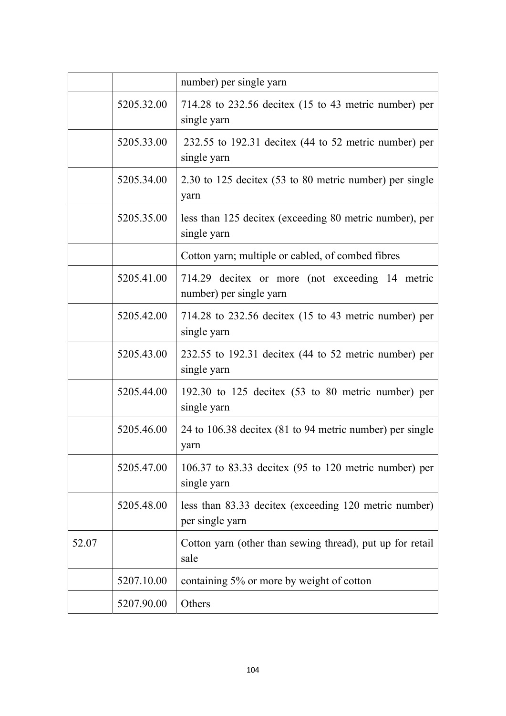|       |            | number) per single yarn                                                                 |
|-------|------------|-----------------------------------------------------------------------------------------|
|       | 5205.32.00 | 714.28 to $232.56$ decitex (15 to 43 metric number) per<br>single yarn                  |
|       | 5205.33.00 | 232.55 to 192.31 decitex $(44$ to 52 metric number) per<br>single yarn                  |
|       | 5205.34.00 | 2.30 to 125 decitex (53 to 80 metric number) per single<br>yarn                         |
|       | 5205.35.00 | less than 125 decitex (exceeding 80 metric number), per<br>single yarn                  |
|       |            | Cotton yarn; multiple or cabled, of combed fibres                                       |
|       | 5205.41.00 | 714.29 decitex or more (not exceeding 14 metric<br>number) per single yarn              |
|       | 5205.42.00 | 714.28 to $232.56$ decitex (15 to 43 metric number) per<br>single yarn                  |
|       | 5205.43.00 | 232.55 to 192.31 decitex $(44 \text{ to } 52 \text{ metric number})$ per<br>single yarn |
|       | 5205.44.00 | 192.30 to 125 decitex $(53 \text{ to } 80 \text{ metric number})$ per<br>single yarn    |
|       | 5205.46.00 | 24 to 106.38 decitex (81 to 94 metric number) per single<br>yarn                        |
|       | 5205.47.00 | 106.37 to 83.33 decitex $(95$ to 120 metric number) per<br>single yarn                  |
|       | 5205.48.00 | less than 83.33 decitex (exceeding 120 metric number)<br>per single yarn                |
| 52.07 |            | Cotton yarn (other than sewing thread), put up for retail<br>sale                       |
|       | 5207.10.00 | containing 5% or more by weight of cotton                                               |
|       | 5207.90.00 | Others                                                                                  |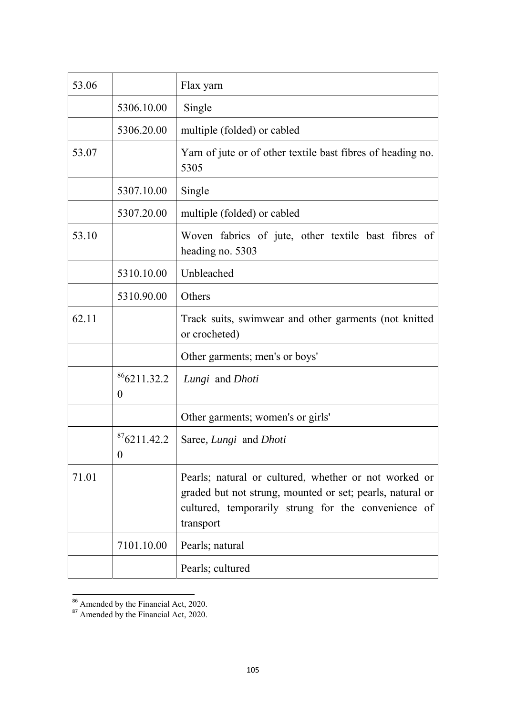| 53.06 |                                 | Flax yarn                                                                                                                                                                              |
|-------|---------------------------------|----------------------------------------------------------------------------------------------------------------------------------------------------------------------------------------|
|       | 5306.10.00                      | Single                                                                                                                                                                                 |
|       | 5306.20.00                      | multiple (folded) or cabled                                                                                                                                                            |
| 53.07 |                                 | Yarn of jute or of other textile bast fibres of heading no.<br>5305                                                                                                                    |
|       | 5307.10.00                      | Single                                                                                                                                                                                 |
|       | 5307.20.00                      | multiple (folded) or cabled                                                                                                                                                            |
| 53.10 |                                 | Woven fabrics of jute, other textile bast fibres of<br>heading no. 5303                                                                                                                |
|       | 5310.10.00                      | Unbleached                                                                                                                                                                             |
|       | 5310.90.00                      | Others                                                                                                                                                                                 |
| 62.11 |                                 | Track suits, swimwear and other garments (not knitted<br>or crocheted)                                                                                                                 |
|       |                                 | Other garments; men's or boys'                                                                                                                                                         |
|       | 866211.32.2<br>$\boldsymbol{0}$ | Lungi and Dhoti                                                                                                                                                                        |
|       |                                 | Other garments; women's or girls'                                                                                                                                                      |
|       | 876211.42.2<br>$\theta$         | Saree, Lungi and Dhoti                                                                                                                                                                 |
| 71.01 |                                 | Pearls; natural or cultured, whether or not worked or<br>graded but not strung, mounted or set; pearls, natural or<br>cultured, temporarily strung for the convenience of<br>transport |
|       | 7101.10.00                      | Pearls; natural                                                                                                                                                                        |
|       |                                 | Pearls; cultured                                                                                                                                                                       |

<sup>&</sup>lt;sup>86</sup> Amended by the Financial Act, 2020.

<sup>&</sup>lt;sup>87</sup> Amended by the Financial Act, 2020.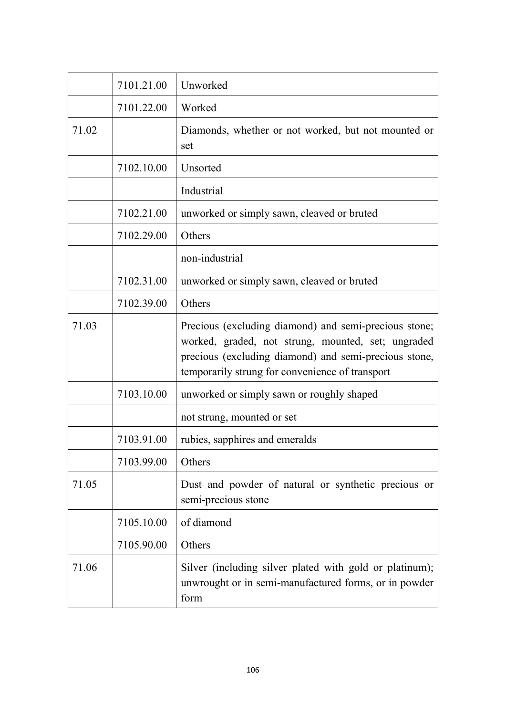|       | 7101.21.00 | Unworked                                                                                                                                                                                                                |
|-------|------------|-------------------------------------------------------------------------------------------------------------------------------------------------------------------------------------------------------------------------|
|       | 7101.22.00 | Worked                                                                                                                                                                                                                  |
| 71.02 |            | Diamonds, whether or not worked, but not mounted or<br>set                                                                                                                                                              |
|       | 7102.10.00 | Unsorted                                                                                                                                                                                                                |
|       |            | Industrial                                                                                                                                                                                                              |
|       | 7102.21.00 | unworked or simply sawn, cleaved or bruted                                                                                                                                                                              |
|       | 7102.29.00 | Others                                                                                                                                                                                                                  |
|       |            | non-industrial                                                                                                                                                                                                          |
|       | 7102.31.00 | unworked or simply sawn, cleaved or bruted                                                                                                                                                                              |
|       | 7102.39.00 | Others                                                                                                                                                                                                                  |
| 71.03 |            | Precious (excluding diamond) and semi-precious stone;<br>worked, graded, not strung, mounted, set; ungraded<br>precious (excluding diamond) and semi-precious stone,<br>temporarily strung for convenience of transport |
|       | 7103.10.00 | unworked or simply sawn or roughly shaped                                                                                                                                                                               |
|       |            | not strung, mounted or set                                                                                                                                                                                              |
|       | 7103.91.00 | rubies, sapphires and emeralds                                                                                                                                                                                          |
|       | 7103.99.00 | Others                                                                                                                                                                                                                  |
| 71.05 |            | Dust and powder of natural or synthetic precious or<br>semi-precious stone                                                                                                                                              |
|       | 7105.10.00 | of diamond                                                                                                                                                                                                              |
|       | 7105.90.00 | Others                                                                                                                                                                                                                  |
| 71.06 |            | Silver (including silver plated with gold or platinum);<br>unwrought or in semi-manufactured forms, or in powder<br>form                                                                                                |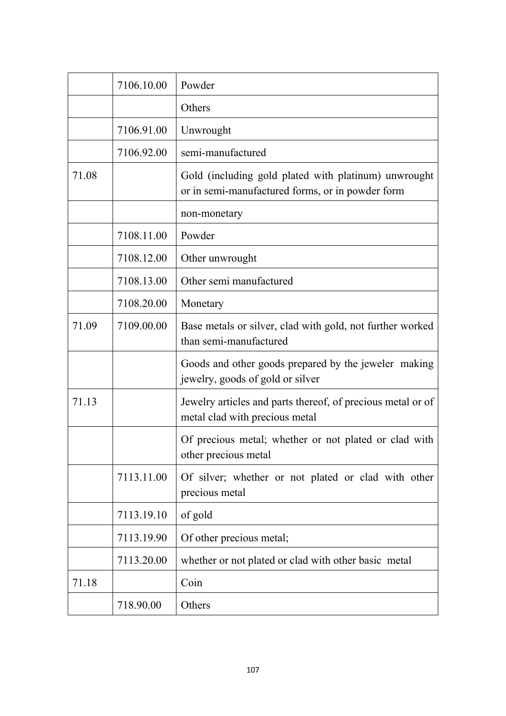|       | 7106.10.00 | Powder                                                                                                   |
|-------|------------|----------------------------------------------------------------------------------------------------------|
|       |            | Others                                                                                                   |
|       | 7106.91.00 | Unwrought                                                                                                |
|       | 7106.92.00 | semi-manufactured                                                                                        |
| 71.08 |            | Gold (including gold plated with platinum) unwrought<br>or in semi-manufactured forms, or in powder form |
|       |            | non-monetary                                                                                             |
|       | 7108.11.00 | Powder                                                                                                   |
|       | 7108.12.00 | Other unwrought                                                                                          |
|       | 7108.13.00 | Other semi manufactured                                                                                  |
|       | 7108.20.00 | Monetary                                                                                                 |
| 71.09 | 7109.00.00 | Base metals or silver, clad with gold, not further worked<br>than semi-manufactured                      |
|       |            | Goods and other goods prepared by the jeweler making<br>jewelry, goods of gold or silver                 |
| 71.13 |            | Jewelry articles and parts thereof, of precious metal or of<br>metal clad with precious metal            |
|       |            | Of precious metal; whether or not plated or clad with<br>other precious metal                            |
|       | 7113.11.00 | Of silver; whether or not plated or clad with other<br>precious metal                                    |
|       | 7113.19.10 | of gold                                                                                                  |
|       | 7113.19.90 | Of other precious metal;                                                                                 |
|       | 7113.20.00 | whether or not plated or clad with other basic metal                                                     |
| 71.18 |            | Coin                                                                                                     |
|       | 718.90.00  | Others                                                                                                   |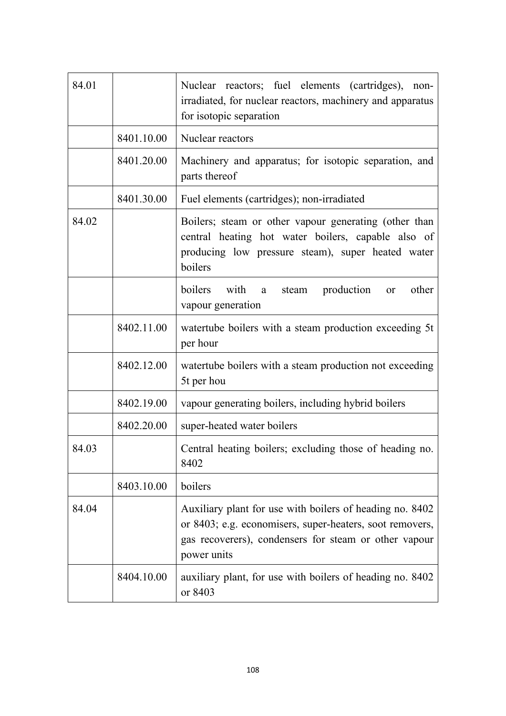| 84.01 |            | Nuclear reactors; fuel elements (cartridges),<br>non-<br>irradiated, for nuclear reactors, machinery and apparatus<br>for isotopic separation                                                |
|-------|------------|----------------------------------------------------------------------------------------------------------------------------------------------------------------------------------------------|
|       | 8401.10.00 | Nuclear reactors                                                                                                                                                                             |
|       | 8401.20.00 | Machinery and apparatus; for isotopic separation, and<br>parts thereof                                                                                                                       |
|       | 8401.30.00 | Fuel elements (cartridges); non-irradiated                                                                                                                                                   |
| 84.02 |            | Boilers; steam or other vapour generating (other than<br>central heating hot water boilers, capable also of<br>producing low pressure steam), super heated water<br>boilers                  |
|       |            | boilers<br>with<br>production<br>other<br>steam<br>a<br>or<br>vapour generation                                                                                                              |
|       | 8402.11.00 | watertube boilers with a steam production exceeding 5t<br>per hour                                                                                                                           |
|       | 8402.12.00 | watertube boilers with a steam production not exceeding<br>5t per hou                                                                                                                        |
|       | 8402.19.00 | vapour generating boilers, including hybrid boilers                                                                                                                                          |
|       | 8402.20.00 | super-heated water boilers                                                                                                                                                                   |
| 84.03 |            | Central heating boilers; excluding those of heading no.<br>8402                                                                                                                              |
|       | 8403.10.00 | boilers                                                                                                                                                                                      |
| 84.04 |            | Auxiliary plant for use with boilers of heading no. 8402<br>or 8403; e.g. economisers, super-heaters, soot removers,<br>gas recoverers), condensers for steam or other vapour<br>power units |
|       | 8404.10.00 | auxiliary plant, for use with boilers of heading no. 8402<br>or 8403                                                                                                                         |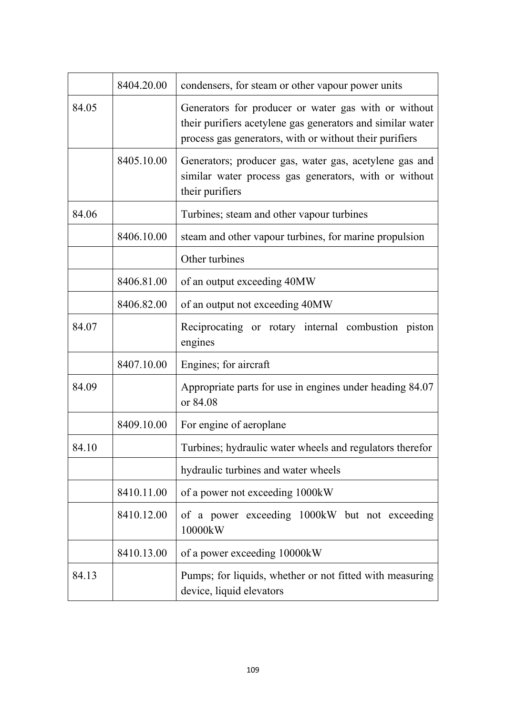|       | 8404.20.00 | condensers, for steam or other vapour power units                                                                                                                             |
|-------|------------|-------------------------------------------------------------------------------------------------------------------------------------------------------------------------------|
| 84.05 |            | Generators for producer or water gas with or without<br>their purifiers acetylene gas generators and similar water<br>process gas generators, with or without their purifiers |
|       | 8405.10.00 | Generators; producer gas, water gas, acetylene gas and<br>similar water process gas generators, with or without<br>their purifiers                                            |
| 84.06 |            | Turbines; steam and other vapour turbines                                                                                                                                     |
|       | 8406.10.00 | steam and other vapour turbines, for marine propulsion                                                                                                                        |
|       |            | Other turbines                                                                                                                                                                |
|       | 8406.81.00 | of an output exceeding 40MW                                                                                                                                                   |
|       | 8406.82.00 | of an output not exceeding 40MW                                                                                                                                               |
| 84.07 |            | Reciprocating or rotary internal combustion piston<br>engines                                                                                                                 |
|       | 8407.10.00 | Engines; for aircraft                                                                                                                                                         |
| 84.09 |            | Appropriate parts for use in engines under heading 84.07<br>or 84.08                                                                                                          |
|       | 8409.10.00 | For engine of aeroplane                                                                                                                                                       |
| 84.10 |            | Turbines; hydraulic water wheels and regulators therefor                                                                                                                      |
|       |            | hydraulic turbines and water wheels                                                                                                                                           |
|       | 8410.11.00 | of a power not exceeding 1000kW                                                                                                                                               |
|       | 8410.12.00 | of a power exceeding 1000kW but not exceeding<br>10000kW                                                                                                                      |
|       | 8410.13.00 | of a power exceeding 10000kW                                                                                                                                                  |
| 84.13 |            | Pumps; for liquids, whether or not fitted with measuring<br>device, liquid elevators                                                                                          |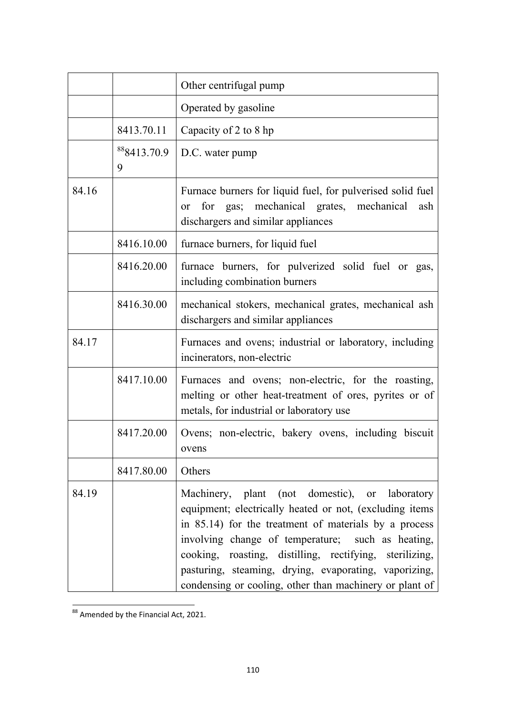|       |                  | Other centrifugal pump                                                                                                                                                                                                                                                                                                                                                                                 |
|-------|------------------|--------------------------------------------------------------------------------------------------------------------------------------------------------------------------------------------------------------------------------------------------------------------------------------------------------------------------------------------------------------------------------------------------------|
|       |                  | Operated by gasoline                                                                                                                                                                                                                                                                                                                                                                                   |
|       | 8413.70.11       | Capacity of 2 to 8 hp                                                                                                                                                                                                                                                                                                                                                                                  |
|       | 888413.70.9<br>9 | D.C. water pump                                                                                                                                                                                                                                                                                                                                                                                        |
| 84.16 |                  | Furnace burners for liquid fuel, for pulverised solid fuel<br>gas; mechanical grates, mechanical<br>for<br>ash<br><b>or</b><br>dischargers and similar appliances                                                                                                                                                                                                                                      |
|       | 8416.10.00       | furnace burners, for liquid fuel                                                                                                                                                                                                                                                                                                                                                                       |
|       | 8416.20.00       | furnace burners, for pulverized solid fuel or gas,<br>including combination burners                                                                                                                                                                                                                                                                                                                    |
|       | 8416.30.00       | mechanical stokers, mechanical grates, mechanical ash<br>dischargers and similar appliances                                                                                                                                                                                                                                                                                                            |
| 84.17 |                  | Furnaces and ovens; industrial or laboratory, including<br>incinerators, non-electric                                                                                                                                                                                                                                                                                                                  |
|       | 8417.10.00       | Furnaces and ovens; non-electric, for the roasting,<br>melting or other heat-treatment of ores, pyrites or of<br>metals, for industrial or laboratory use                                                                                                                                                                                                                                              |
|       | 8417.20.00       | Ovens; non-electric, bakery ovens, including biscuit<br>ovens                                                                                                                                                                                                                                                                                                                                          |
|       | 8417.80.00       | Others                                                                                                                                                                                                                                                                                                                                                                                                 |
| 84.19 |                  | Machinery, plant (not domestic), or laboratory<br>equipment; electrically heated or not, (excluding items<br>in 85.14) for the treatment of materials by a process<br>involving change of temperature; such as heating,<br>cooking, roasting, distilling, rectifying, sterilizing,<br>pasturing, steaming, drying, evaporating, vaporizing,<br>condensing or cooling, other than machinery or plant of |

 $\overline{\phantom{1}}^{88}$  Amended by the Financial Act, 2021.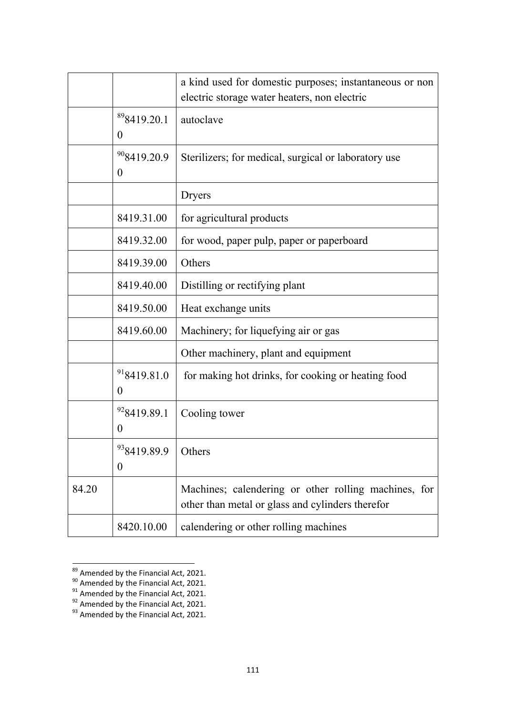|       |                                             | a kind used for domestic purposes; instantaneous or non<br>electric storage water heaters, non electric  |
|-------|---------------------------------------------|----------------------------------------------------------------------------------------------------------|
|       | <sup>89</sup> 8419.20.1<br>$\boldsymbol{0}$ | autoclave                                                                                                |
|       | <sup>90</sup> 8419.20.9<br>$\boldsymbol{0}$ | Sterilizers; for medical, surgical or laboratory use                                                     |
|       |                                             | Dryers                                                                                                   |
|       | 8419.31.00                                  | for agricultural products                                                                                |
|       | 8419.32.00                                  | for wood, paper pulp, paper or paperboard                                                                |
|       | 8419.39.00                                  | Others                                                                                                   |
|       | 8419.40.00                                  | Distilling or rectifying plant                                                                           |
|       | 8419.50.00                                  | Heat exchange units                                                                                      |
|       | 8419.60.00                                  | Machinery; for liquefying air or gas                                                                     |
|       |                                             | Other machinery, plant and equipment                                                                     |
|       | 918419.81.0<br>$\boldsymbol{0}$             | for making hot drinks, for cooking or heating food                                                       |
|       | <sup>92</sup> 8419.89.1<br>$\boldsymbol{0}$ | Cooling tower                                                                                            |
|       | <sup>93</sup> 8419.89.9<br>$\theta$         | Others                                                                                                   |
| 84.20 |                                             | Machines; calendering or other rolling machines, for<br>other than metal or glass and cylinders therefor |
|       | 8420.10.00                                  | calendering or other rolling machines                                                                    |

**<sup>189</sup> Amended by the Financial Act, 2021.** 

 $90$  Amended by the Financial Act, 2021.

 $91$  Amended by the Financial Act, 2021.

 $92$  Amended by the Financial Act, 2021.

 $93$  Amended by the Financial Act, 2021.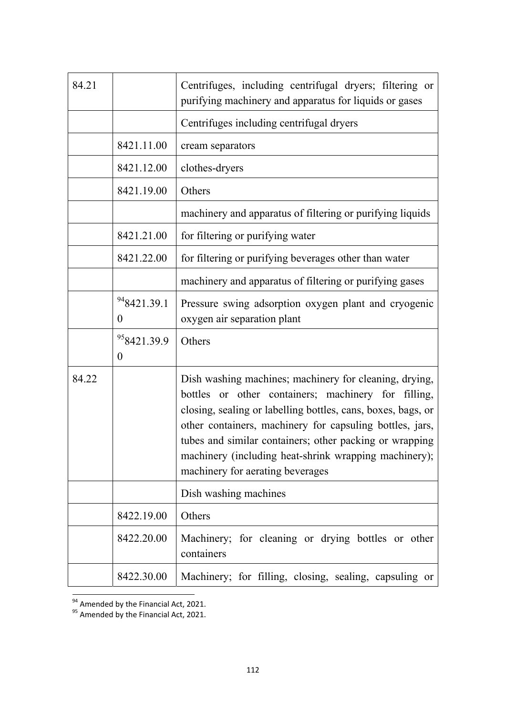| 84.21 |                                             | Centrifuges, including centrifugal dryers; filtering or<br>purifying machinery and apparatus for liquids or gases                                                                                                                                                                                                                                                                                 |
|-------|---------------------------------------------|---------------------------------------------------------------------------------------------------------------------------------------------------------------------------------------------------------------------------------------------------------------------------------------------------------------------------------------------------------------------------------------------------|
|       |                                             | Centrifuges including centrifugal dryers                                                                                                                                                                                                                                                                                                                                                          |
|       | 8421.11.00                                  | cream separators                                                                                                                                                                                                                                                                                                                                                                                  |
|       | 8421.12.00                                  | clothes-dryers                                                                                                                                                                                                                                                                                                                                                                                    |
|       | 8421.19.00                                  | Others                                                                                                                                                                                                                                                                                                                                                                                            |
|       |                                             | machinery and apparatus of filtering or purifying liquids                                                                                                                                                                                                                                                                                                                                         |
|       | 8421.21.00                                  | for filtering or purifying water                                                                                                                                                                                                                                                                                                                                                                  |
|       | 8421.22.00                                  | for filtering or purifying beverages other than water                                                                                                                                                                                                                                                                                                                                             |
|       |                                             | machinery and apparatus of filtering or purifying gases                                                                                                                                                                                                                                                                                                                                           |
|       | 948421.39.1<br>$\theta$                     | Pressure swing adsorption oxygen plant and cryogenic<br>oxygen air separation plant                                                                                                                                                                                                                                                                                                               |
|       | <sup>95</sup> 8421.39.9<br>$\boldsymbol{0}$ | Others                                                                                                                                                                                                                                                                                                                                                                                            |
| 84.22 |                                             | Dish washing machines; machinery for cleaning, drying,<br>bottles or other containers; machinery for filling,<br>closing, sealing or labelling bottles, cans, boxes, bags, or<br>other containers, machinery for capsuling bottles, jars,<br>tubes and similar containers; other packing or wrapping<br>machinery (including heat-shrink wrapping machinery);<br>machinery for aerating beverages |
|       |                                             | Dish washing machines                                                                                                                                                                                                                                                                                                                                                                             |
|       | 8422.19.00                                  | Others                                                                                                                                                                                                                                                                                                                                                                                            |
|       | 8422.20.00                                  | Machinery; for cleaning or drying bottles or other<br>containers                                                                                                                                                                                                                                                                                                                                  |
|       | 8422.30.00                                  | Machinery; for filling, closing, sealing, capsuling or                                                                                                                                                                                                                                                                                                                                            |

 $\frac{1}{94}$  Amended by the Financial Act, 2021.

<sup>&</sup>lt;sup>95</sup> Amended by the Financial Act, 2021.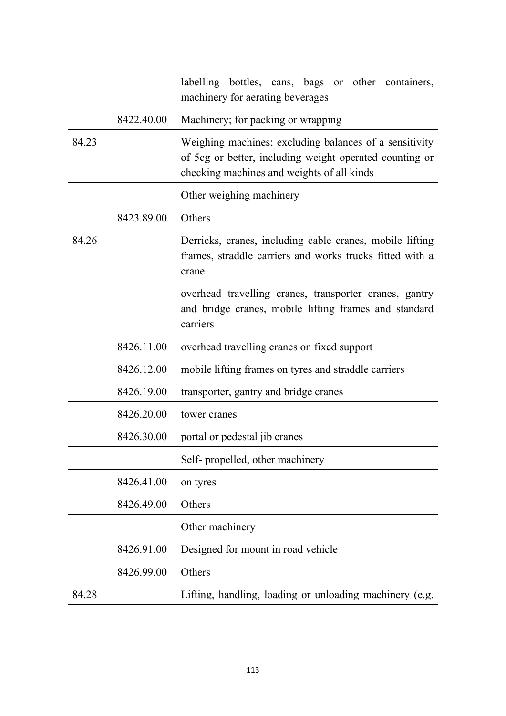|       |            | labelling bottles, cans, bags or other containers,<br>machinery for aerating beverages                                                                          |
|-------|------------|-----------------------------------------------------------------------------------------------------------------------------------------------------------------|
|       | 8422.40.00 | Machinery; for packing or wrapping                                                                                                                              |
| 84.23 |            | Weighing machines; excluding balances of a sensitivity<br>of 5cg or better, including weight operated counting or<br>checking machines and weights of all kinds |
|       |            | Other weighing machinery                                                                                                                                        |
|       | 8423.89.00 | Others                                                                                                                                                          |
| 84.26 |            | Derricks, cranes, including cable cranes, mobile lifting<br>frames, straddle carriers and works trucks fitted with a<br>crane                                   |
|       |            | overhead travelling cranes, transporter cranes, gantry<br>and bridge cranes, mobile lifting frames and standard<br>carriers                                     |
|       | 8426.11.00 | overhead travelling cranes on fixed support                                                                                                                     |
|       | 8426.12.00 | mobile lifting frames on tyres and straddle carriers                                                                                                            |
|       | 8426.19.00 | transporter, gantry and bridge cranes                                                                                                                           |
|       | 8426.20.00 | tower cranes                                                                                                                                                    |
|       | 8426.30.00 | portal or pedestal jib cranes                                                                                                                                   |
|       |            | Self- propelled, other machinery                                                                                                                                |
|       | 8426.41.00 | on tyres                                                                                                                                                        |
|       | 8426.49.00 | Others                                                                                                                                                          |
|       |            | Other machinery                                                                                                                                                 |
|       | 8426.91.00 | Designed for mount in road vehicle                                                                                                                              |
|       | 8426.99.00 | Others                                                                                                                                                          |
| 84.28 |            | Lifting, handling, loading or unloading machinery (e.g.                                                                                                         |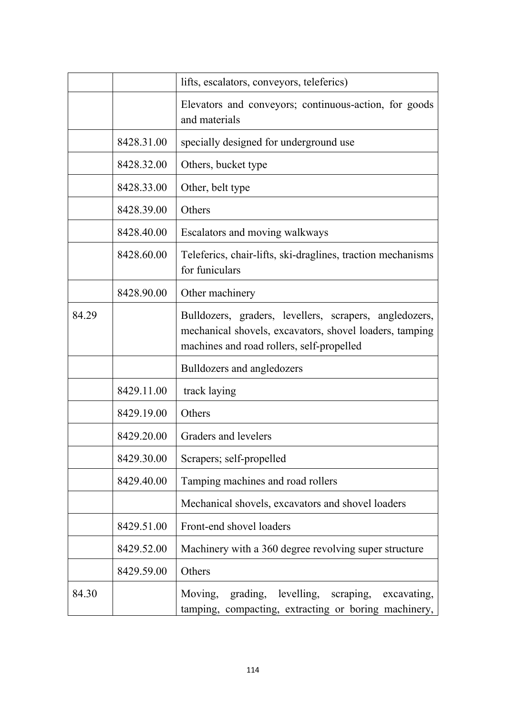|       |            | lifts, escalators, conveyors, teleferics)                                                                                                                      |
|-------|------------|----------------------------------------------------------------------------------------------------------------------------------------------------------------|
|       |            | Elevators and conveyors; continuous-action, for goods<br>and materials                                                                                         |
|       | 8428.31.00 | specially designed for underground use                                                                                                                         |
|       | 8428.32.00 | Others, bucket type                                                                                                                                            |
|       | 8428.33.00 | Other, belt type                                                                                                                                               |
|       | 8428.39.00 | Others                                                                                                                                                         |
|       | 8428.40.00 | Escalators and moving walkways                                                                                                                                 |
|       | 8428.60.00 | Teleferics, chair-lifts, ski-draglines, traction mechanisms<br>for funiculars                                                                                  |
|       | 8428.90.00 | Other machinery                                                                                                                                                |
| 84.29 |            | Bulldozers, graders, levellers, scrapers, angledozers,<br>mechanical shovels, excavators, shovel loaders, tamping<br>machines and road rollers, self-propelled |
|       |            | Bulldozers and angledozers                                                                                                                                     |
|       | 8429.11.00 | track laying                                                                                                                                                   |
|       | 8429.19.00 | Others                                                                                                                                                         |
|       | 8429.20.00 | Graders and levelers                                                                                                                                           |
|       | 8429.30.00 | Scrapers; self-propelled                                                                                                                                       |
|       | 8429.40.00 | Tamping machines and road rollers                                                                                                                              |
|       |            | Mechanical shovels, excavators and shovel loaders                                                                                                              |
|       | 8429.51.00 | Front-end shovel loaders                                                                                                                                       |
|       | 8429.52.00 | Machinery with a 360 degree revolving super structure                                                                                                          |
|       | 8429.59.00 | Others                                                                                                                                                         |
| 84.30 |            | levelling, scraping,<br>grading,<br>Moving,<br>excavating,<br>tamping, compacting, extracting or boring machinery,                                             |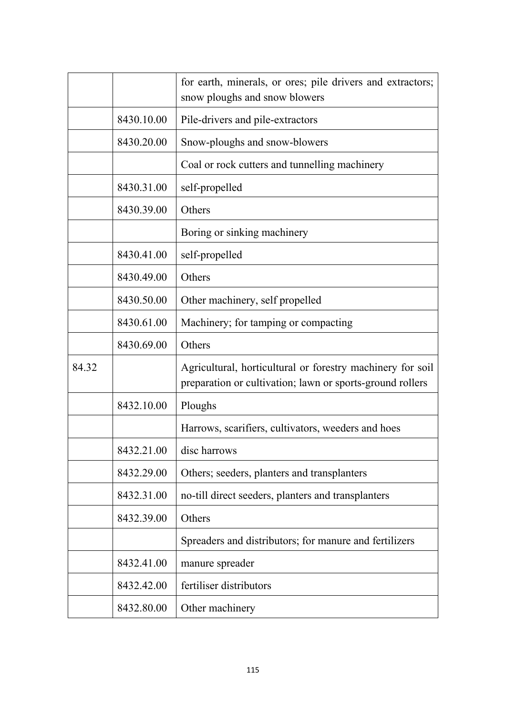|       |            | for earth, minerals, or ores; pile drivers and extractors;<br>snow ploughs and snow blowers                             |
|-------|------------|-------------------------------------------------------------------------------------------------------------------------|
|       | 8430.10.00 | Pile-drivers and pile-extractors                                                                                        |
|       | 8430.20.00 | Snow-ploughs and snow-blowers                                                                                           |
|       |            | Coal or rock cutters and tunnelling machinery                                                                           |
|       | 8430.31.00 | self-propelled                                                                                                          |
|       | 8430.39.00 | Others                                                                                                                  |
|       |            | Boring or sinking machinery                                                                                             |
|       | 8430.41.00 | self-propelled                                                                                                          |
|       | 8430.49.00 | Others                                                                                                                  |
|       | 8430.50.00 | Other machinery, self propelled                                                                                         |
|       | 8430.61.00 | Machinery; for tamping or compacting                                                                                    |
|       | 8430.69.00 | Others                                                                                                                  |
| 84.32 |            | Agricultural, horticultural or forestry machinery for soil<br>preparation or cultivation; lawn or sports-ground rollers |
|       | 8432.10.00 | Ploughs                                                                                                                 |
|       |            | Harrows, scarifiers, cultivators, weeders and hoes                                                                      |
|       | 8432.21.00 | disc harrows                                                                                                            |
|       | 8432.29.00 | Others; seeders, planters and transplanters                                                                             |
|       | 8432.31.00 | no-till direct seeders, planters and transplanters                                                                      |
|       | 8432.39.00 | Others                                                                                                                  |
|       |            | Spreaders and distributors; for manure and fertilizers                                                                  |
|       | 8432.41.00 | manure spreader                                                                                                         |
|       | 8432.42.00 | fertiliser distributors                                                                                                 |
|       | 8432.80.00 | Other machinery                                                                                                         |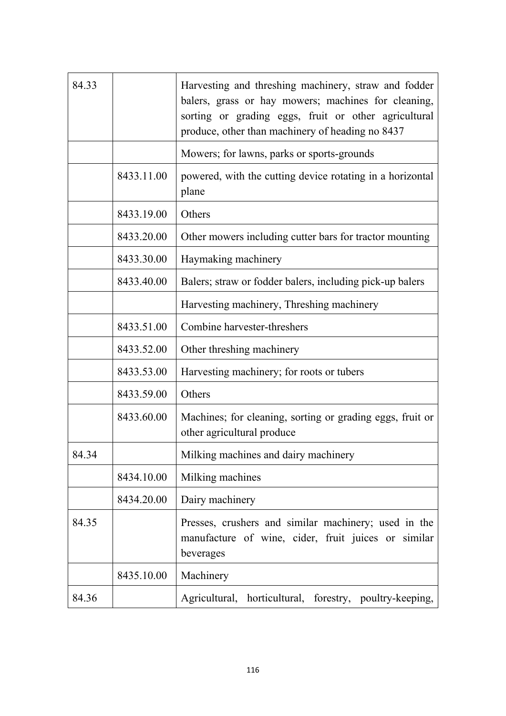| 84.33 |            | Harvesting and threshing machinery, straw and fodder<br>balers, grass or hay mowers; machines for cleaning,<br>sorting or grading eggs, fruit or other agricultural<br>produce, other than machinery of heading no 8437 |
|-------|------------|-------------------------------------------------------------------------------------------------------------------------------------------------------------------------------------------------------------------------|
|       |            | Mowers; for lawns, parks or sports-grounds                                                                                                                                                                              |
|       | 8433.11.00 | powered, with the cutting device rotating in a horizontal<br>plane                                                                                                                                                      |
|       | 8433.19.00 | Others                                                                                                                                                                                                                  |
|       | 8433.20.00 | Other mowers including cutter bars for tractor mounting                                                                                                                                                                 |
|       | 8433.30.00 | Haymaking machinery                                                                                                                                                                                                     |
|       | 8433.40.00 | Balers; straw or fodder balers, including pick-up balers                                                                                                                                                                |
|       |            | Harvesting machinery, Threshing machinery                                                                                                                                                                               |
|       | 8433.51.00 | Combine harvester-threshers                                                                                                                                                                                             |
|       | 8433.52.00 | Other threshing machinery                                                                                                                                                                                               |
|       | 8433.53.00 | Harvesting machinery; for roots or tubers                                                                                                                                                                               |
|       | 8433.59.00 | Others                                                                                                                                                                                                                  |
|       | 8433.60.00 | Machines; for cleaning, sorting or grading eggs, fruit or<br>other agricultural produce                                                                                                                                 |
| 84.34 |            | Milking machines and dairy machinery                                                                                                                                                                                    |
|       | 8434.10.00 | Milking machines                                                                                                                                                                                                        |
|       | 8434.20.00 | Dairy machinery                                                                                                                                                                                                         |
| 84.35 |            | Presses, crushers and similar machinery; used in the<br>manufacture of wine, cider, fruit juices or similar<br>beverages                                                                                                |
|       | 8435.10.00 | Machinery                                                                                                                                                                                                               |
| 84.36 |            | Agricultural, horticultural, forestry, poultry-keeping,                                                                                                                                                                 |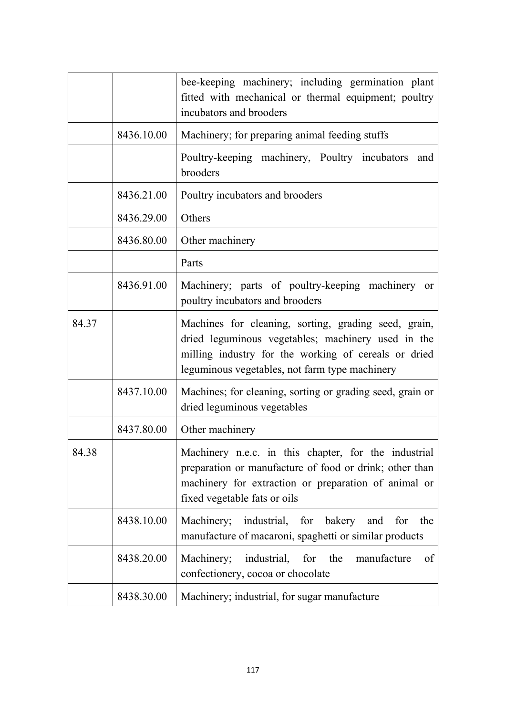|       |            | bee-keeping machinery; including germination plant<br>fitted with mechanical or thermal equipment; poultry<br>incubators and brooders                                                                                |
|-------|------------|----------------------------------------------------------------------------------------------------------------------------------------------------------------------------------------------------------------------|
|       | 8436.10.00 | Machinery; for preparing animal feeding stuffs                                                                                                                                                                       |
|       |            | Poultry-keeping machinery, Poultry incubators<br>and<br>brooders                                                                                                                                                     |
|       | 8436.21.00 | Poultry incubators and brooders                                                                                                                                                                                      |
|       | 8436.29.00 | Others                                                                                                                                                                                                               |
|       | 8436.80.00 | Other machinery                                                                                                                                                                                                      |
|       |            | Parts                                                                                                                                                                                                                |
|       | 8436.91.00 | Machinery; parts of poultry-keeping machinery or<br>poultry incubators and brooders                                                                                                                                  |
| 84.37 |            | Machines for cleaning, sorting, grading seed, grain,<br>dried leguminous vegetables; machinery used in the<br>milling industry for the working of cereals or dried<br>leguminous vegetables, not farm type machinery |
|       | 8437.10.00 | Machines; for cleaning, sorting or grading seed, grain or<br>dried leguminous vegetables                                                                                                                             |
|       | 8437.80.00 | Other machinery                                                                                                                                                                                                      |
| 84.38 |            | Machinery n.e.c. in this chapter, for the industrial<br>preparation or manufacture of food or drink; other than<br>machinery for extraction or preparation of animal or<br>fixed vegetable fats or oils              |
|       | 8438.10.00 | Machinery; industrial, for bakery<br>for<br>the<br>and<br>manufacture of macaroni, spaghetti or similar products                                                                                                     |
|       | 8438.20.00 | Machinery; industrial, for the<br>manufacture<br>οf<br>confectionery, cocoa or chocolate                                                                                                                             |
|       | 8438.30.00 | Machinery; industrial, for sugar manufacture                                                                                                                                                                         |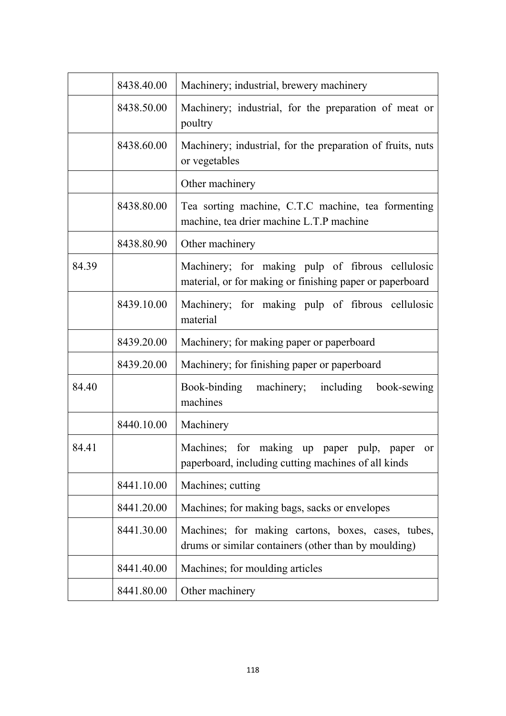|       | 8438.40.00 | Machinery; industrial, brewery machinery                                                                        |
|-------|------------|-----------------------------------------------------------------------------------------------------------------|
|       | 8438.50.00 | Machinery; industrial, for the preparation of meat or<br>poultry                                                |
|       | 8438.60.00 | Machinery; industrial, for the preparation of fruits, nuts<br>or vegetables                                     |
|       |            | Other machinery                                                                                                 |
|       | 8438.80.00 | Tea sorting machine, C.T.C machine, tea formenting<br>machine, tea drier machine L.T.P machine                  |
|       | 8438.80.90 | Other machinery                                                                                                 |
| 84.39 |            | Machinery; for making pulp of fibrous cellulosic<br>material, or for making or finishing paper or paperboard    |
|       | 8439.10.00 | Machinery; for making pulp of fibrous cellulosic<br>material                                                    |
|       | 8439.20.00 | Machinery; for making paper or paperboard                                                                       |
|       | 8439.20.00 | Machinery; for finishing paper or paperboard                                                                    |
| 84.40 |            | Book-binding<br>machinery;<br>including<br>book-sewing<br>machines                                              |
|       | 8440.10.00 | Machinery                                                                                                       |
| 84.41 |            | Machines; for making up<br>pulp,<br>paper<br>paper<br>or<br>paperboard, including cutting machines of all kinds |
|       | 8441.10.00 | Machines; cutting                                                                                               |
|       | 8441.20.00 | Machines; for making bags, sacks or envelopes                                                                   |
|       | 8441.30.00 | Machines; for making cartons, boxes, cases, tubes,<br>drums or similar containers (other than by moulding)      |
|       | 8441.40.00 | Machines; for moulding articles                                                                                 |
|       | 8441.80.00 | Other machinery                                                                                                 |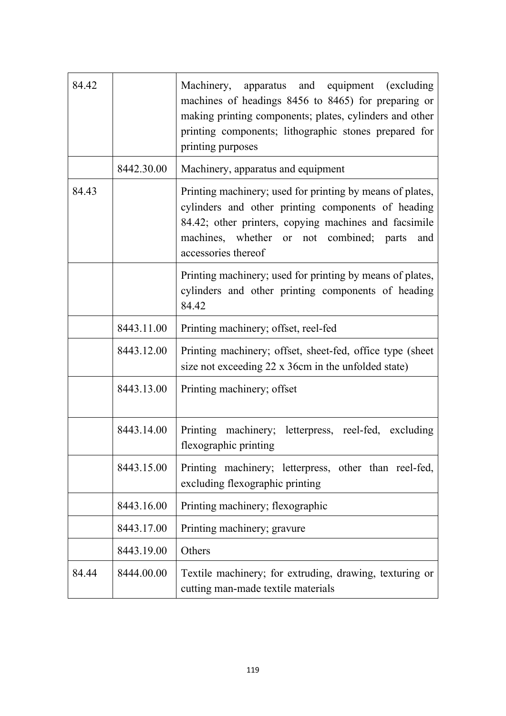| 84.42 |            | Machinery, apparatus and equipment (excluding<br>machines of headings 8456 to 8465) for preparing or<br>making printing components; plates, cylinders and other<br>printing components; lithographic stones prepared for<br>printing purposes      |
|-------|------------|----------------------------------------------------------------------------------------------------------------------------------------------------------------------------------------------------------------------------------------------------|
|       | 8442.30.00 | Machinery, apparatus and equipment                                                                                                                                                                                                                 |
| 84.43 |            | Printing machinery; used for printing by means of plates,<br>cylinders and other printing components of heading<br>84.42; other printers, copying machines and facsimile<br>machines, whether or not combined; parts<br>and<br>accessories thereof |
|       |            | Printing machinery; used for printing by means of plates,<br>cylinders and other printing components of heading<br>84.42                                                                                                                           |
|       | 8443.11.00 | Printing machinery; offset, reel-fed                                                                                                                                                                                                               |
|       | 8443.12.00 | Printing machinery; offset, sheet-fed, office type (sheet)<br>size not exceeding 22 x 36cm in the unfolded state)                                                                                                                                  |
|       | 8443.13.00 | Printing machinery; offset                                                                                                                                                                                                                         |
|       | 8443.14.00 | Printing machinery; letterpress, reel-fed, excluding<br>flexographic printing                                                                                                                                                                      |
|       | 8443.15.00 | Printing machinery; letterpress, other than reel-fed,<br>excluding flexographic printing                                                                                                                                                           |
|       | 8443.16.00 | Printing machinery; flexographic                                                                                                                                                                                                                   |
|       | 8443.17.00 | Printing machinery; gravure                                                                                                                                                                                                                        |
|       | 8443.19.00 | Others                                                                                                                                                                                                                                             |
| 84.44 | 8444.00.00 | Textile machinery; for extruding, drawing, texturing or<br>cutting man-made textile materials                                                                                                                                                      |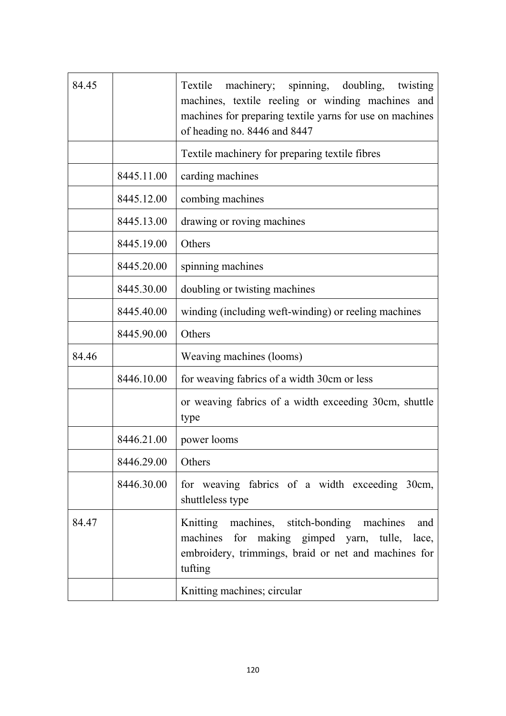| 84.45 |            | Textile machinery; spinning, doubling, twisting<br>machines, textile reeling or winding machines and<br>machines for preparing textile yarns for use on machines<br>of heading no. 8446 and 8447 |
|-------|------------|--------------------------------------------------------------------------------------------------------------------------------------------------------------------------------------------------|
|       |            | Textile machinery for preparing textile fibres                                                                                                                                                   |
|       | 8445.11.00 | carding machines                                                                                                                                                                                 |
|       | 8445.12.00 | combing machines                                                                                                                                                                                 |
|       | 8445.13.00 | drawing or roving machines                                                                                                                                                                       |
|       | 8445.19.00 | Others                                                                                                                                                                                           |
|       | 8445.20.00 | spinning machines                                                                                                                                                                                |
|       | 8445.30.00 | doubling or twisting machines                                                                                                                                                                    |
|       | 8445.40.00 | winding (including weft-winding) or reeling machines                                                                                                                                             |
|       | 8445.90.00 | Others                                                                                                                                                                                           |
| 84.46 |            | Weaving machines (looms)                                                                                                                                                                         |
|       | 8446.10.00 | for weaving fabrics of a width 30cm or less                                                                                                                                                      |
|       |            | or weaving fabrics of a width exceeding 30cm, shuttle<br>type                                                                                                                                    |
|       | 8446.21.00 | power looms                                                                                                                                                                                      |
|       | 8446.29.00 | Others                                                                                                                                                                                           |
|       | 8446.30.00 | for weaving fabrics of a width exceeding 30cm,<br>shuttleless type                                                                                                                               |
| 84.47 |            | Knitting machines, stitch-bonding machines<br>and<br>machines for making gimped yarn, tulle,<br>lace,<br>embroidery, trimmings, braid or net and machines for<br>tufting                         |
|       |            | Knitting machines; circular                                                                                                                                                                      |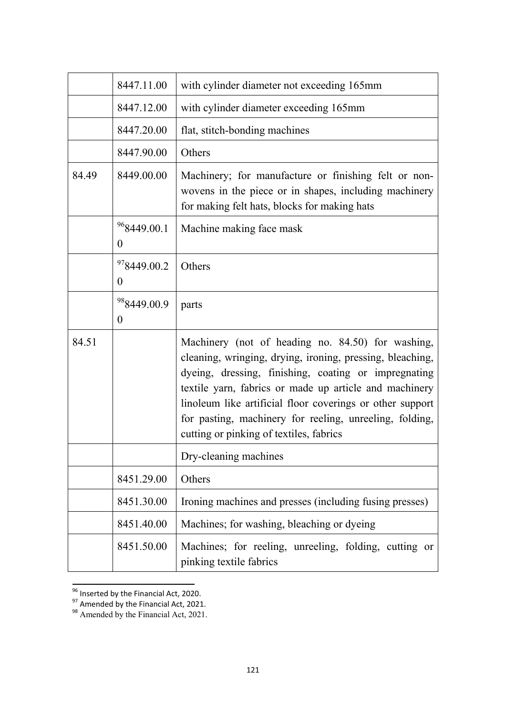|       | 8447.11.00                                  | with cylinder diameter not exceeding 165mm                                                                                                                                                                                                                                                                                                                                                          |
|-------|---------------------------------------------|-----------------------------------------------------------------------------------------------------------------------------------------------------------------------------------------------------------------------------------------------------------------------------------------------------------------------------------------------------------------------------------------------------|
|       | 8447.12.00                                  | with cylinder diameter exceeding 165mm                                                                                                                                                                                                                                                                                                                                                              |
|       | 8447.20.00                                  | flat, stitch-bonding machines                                                                                                                                                                                                                                                                                                                                                                       |
|       | 8447.90.00                                  | Others                                                                                                                                                                                                                                                                                                                                                                                              |
| 84.49 | 8449.00.00                                  | Machinery; for manufacture or finishing felt or non-<br>wovens in the piece or in shapes, including machinery<br>for making felt hats, blocks for making hats                                                                                                                                                                                                                                       |
|       | <sup>96</sup> 8449.00.1<br>$\boldsymbol{0}$ | Machine making face mask                                                                                                                                                                                                                                                                                                                                                                            |
|       | <sup>97</sup> 8449.00.2<br>$\theta$         | Others                                                                                                                                                                                                                                                                                                                                                                                              |
|       | <sup>98</sup> 8449.00.9<br>$\theta$         | parts                                                                                                                                                                                                                                                                                                                                                                                               |
| 84.51 |                                             | Machinery (not of heading no. 84.50) for washing,<br>cleaning, wringing, drying, ironing, pressing, bleaching,<br>dyeing, dressing, finishing, coating or impregnating<br>textile yarn, fabrics or made up article and machinery<br>linoleum like artificial floor coverings or other support<br>for pasting, machinery for reeling, unreeling, folding,<br>cutting or pinking of textiles, fabrics |
|       |                                             | Dry-cleaning machines                                                                                                                                                                                                                                                                                                                                                                               |
|       | 8451.29.00                                  | Others                                                                                                                                                                                                                                                                                                                                                                                              |
|       | 8451.30.00                                  | Ironing machines and presses (including fusing presses)                                                                                                                                                                                                                                                                                                                                             |
|       | 8451.40.00                                  | Machines; for washing, bleaching or dyeing                                                                                                                                                                                                                                                                                                                                                          |
|       | 8451.50.00                                  | Machines; for reeling, unreeling, folding, cutting or<br>pinking textile fabrics                                                                                                                                                                                                                                                                                                                    |

**<sup>1086</sup>**<br><sup>96</sup> Inserted by the Financial Act, 2020.

 $97$  Amended by the Financial Act, 2021.

<sup>&</sup>lt;sup>98</sup> Amended by the Financial Act, 2021.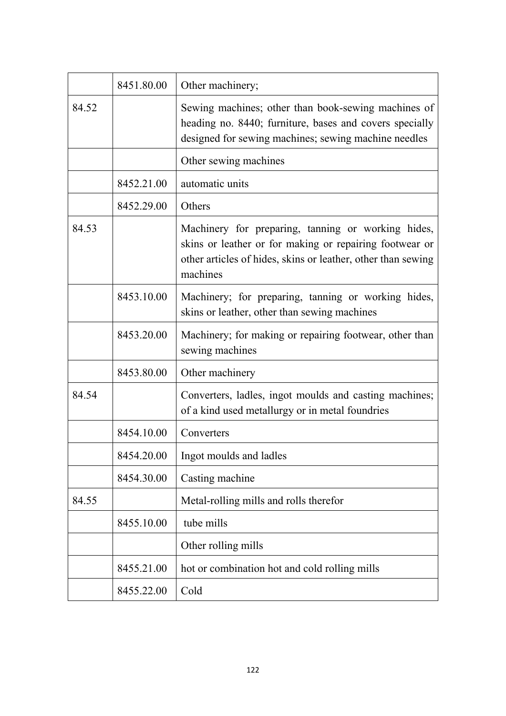|       | 8451.80.00 | Other machinery;                                                                                                                                                                          |
|-------|------------|-------------------------------------------------------------------------------------------------------------------------------------------------------------------------------------------|
| 84.52 |            | Sewing machines; other than book-sewing machines of<br>heading no. 8440; furniture, bases and covers specially<br>designed for sewing machines; sewing machine needles                    |
|       |            | Other sewing machines                                                                                                                                                                     |
|       | 8452.21.00 | automatic units                                                                                                                                                                           |
|       | 8452.29.00 | Others                                                                                                                                                                                    |
| 84.53 |            | Machinery for preparing, tanning or working hides,<br>skins or leather or for making or repairing footwear or<br>other articles of hides, skins or leather, other than sewing<br>machines |
|       | 8453.10.00 | Machinery; for preparing, tanning or working hides,<br>skins or leather, other than sewing machines                                                                                       |
|       | 8453.20.00 | Machinery; for making or repairing footwear, other than<br>sewing machines                                                                                                                |
|       | 8453.80.00 | Other machinery                                                                                                                                                                           |
| 84.54 |            | Converters, ladles, ingot moulds and casting machines;<br>of a kind used metallurgy or in metal foundries                                                                                 |
|       | 8454.10.00 | Converters                                                                                                                                                                                |
|       | 8454.20.00 | Ingot moulds and ladles                                                                                                                                                                   |
|       | 8454.30.00 | Casting machine                                                                                                                                                                           |
| 84.55 |            | Metal-rolling mills and rolls therefor                                                                                                                                                    |
|       | 8455.10.00 | tube mills                                                                                                                                                                                |
|       |            | Other rolling mills                                                                                                                                                                       |
|       | 8455.21.00 | hot or combination hot and cold rolling mills                                                                                                                                             |
|       | 8455.22.00 | Cold                                                                                                                                                                                      |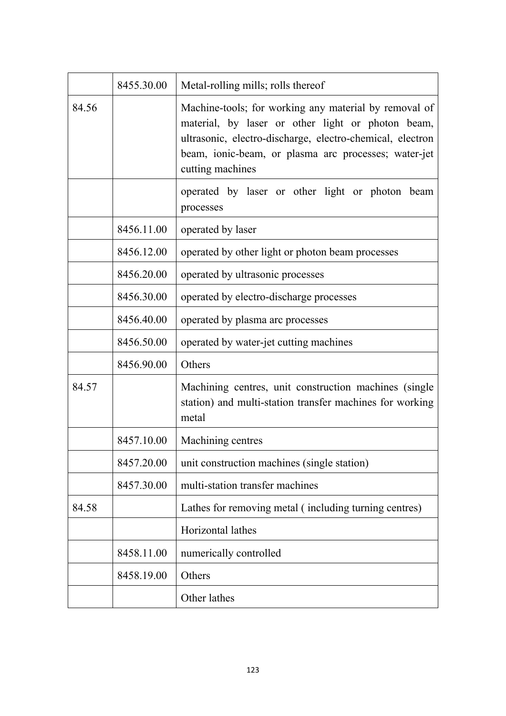|       | 8455.30.00 | Metal-rolling mills; rolls thereof                                                                                                                                                                                                                  |
|-------|------------|-----------------------------------------------------------------------------------------------------------------------------------------------------------------------------------------------------------------------------------------------------|
| 84.56 |            | Machine-tools; for working any material by removal of<br>material, by laser or other light or photon beam,<br>ultrasonic, electro-discharge, electro-chemical, electron<br>beam, ionic-beam, or plasma arc processes; water-jet<br>cutting machines |
|       |            | operated by laser or other light or photon beam<br>processes                                                                                                                                                                                        |
|       | 8456.11.00 | operated by laser                                                                                                                                                                                                                                   |
|       | 8456.12.00 | operated by other light or photon beam processes                                                                                                                                                                                                    |
|       | 8456.20.00 | operated by ultrasonic processes                                                                                                                                                                                                                    |
|       | 8456.30.00 | operated by electro-discharge processes                                                                                                                                                                                                             |
|       | 8456.40.00 | operated by plasma arc processes                                                                                                                                                                                                                    |
|       | 8456.50.00 | operated by water-jet cutting machines                                                                                                                                                                                                              |
|       | 8456.90.00 | Others                                                                                                                                                                                                                                              |
| 84.57 |            | Machining centres, unit construction machines (single<br>station) and multi-station transfer machines for working<br>metal                                                                                                                          |
|       | 8457.10.00 | Machining centres                                                                                                                                                                                                                                   |
|       | 8457.20.00 | unit construction machines (single station)                                                                                                                                                                                                         |
|       | 8457.30.00 | multi-station transfer machines                                                                                                                                                                                                                     |
| 84.58 |            | Lathes for removing metal (including turning centres)                                                                                                                                                                                               |
|       |            | Horizontal lathes                                                                                                                                                                                                                                   |
|       | 8458.11.00 | numerically controlled                                                                                                                                                                                                                              |
|       | 8458.19.00 | Others                                                                                                                                                                                                                                              |
|       |            | Other lathes                                                                                                                                                                                                                                        |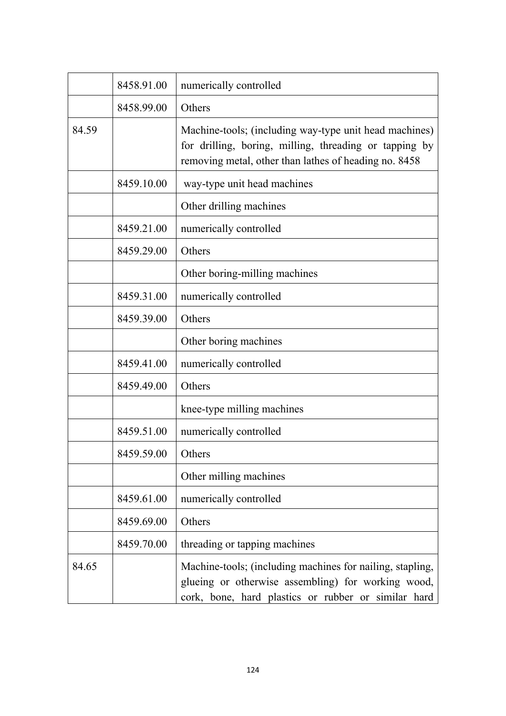|       | 8458.91.00 | numerically controlled                                                                                                                                                    |
|-------|------------|---------------------------------------------------------------------------------------------------------------------------------------------------------------------------|
|       | 8458.99.00 | Others                                                                                                                                                                    |
| 84.59 |            | Machine-tools; (including way-type unit head machines)<br>for drilling, boring, milling, threading or tapping by<br>removing metal, other than lathes of heading no. 8458 |
|       | 8459.10.00 | way-type unit head machines                                                                                                                                               |
|       |            | Other drilling machines                                                                                                                                                   |
|       | 8459.21.00 | numerically controlled                                                                                                                                                    |
|       | 8459.29.00 | Others                                                                                                                                                                    |
|       |            | Other boring-milling machines                                                                                                                                             |
|       | 8459.31.00 | numerically controlled                                                                                                                                                    |
|       | 8459.39.00 | Others                                                                                                                                                                    |
|       |            | Other boring machines                                                                                                                                                     |
|       | 8459.41.00 | numerically controlled                                                                                                                                                    |
|       | 8459.49.00 | Others                                                                                                                                                                    |
|       |            | knee-type milling machines                                                                                                                                                |
|       | 8459.51.00 | numerically controlled                                                                                                                                                    |
|       | 8459.59.00 | Others                                                                                                                                                                    |
|       |            | Other milling machines                                                                                                                                                    |
|       | 8459.61.00 | numerically controlled                                                                                                                                                    |
|       | 8459.69.00 | Others                                                                                                                                                                    |
|       | 8459.70.00 | threading or tapping machines                                                                                                                                             |
| 84.65 |            | Machine-tools; (including machines for nailing, stapling,<br>glueing or otherwise assembling) for working wood,<br>cork, bone, hard plastics or rubber or similar hard    |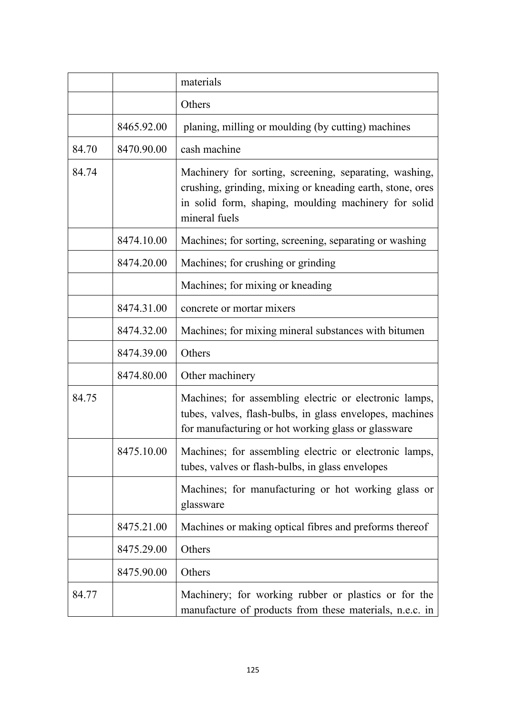|       |            | materials                                                                                                                                                                                    |
|-------|------------|----------------------------------------------------------------------------------------------------------------------------------------------------------------------------------------------|
|       |            | Others                                                                                                                                                                                       |
|       | 8465.92.00 | planing, milling or moulding (by cutting) machines                                                                                                                                           |
| 84.70 | 8470.90.00 | cash machine                                                                                                                                                                                 |
| 84.74 |            | Machinery for sorting, screening, separating, washing,<br>crushing, grinding, mixing or kneading earth, stone, ores<br>in solid form, shaping, moulding machinery for solid<br>mineral fuels |
|       | 8474.10.00 | Machines; for sorting, screening, separating or washing                                                                                                                                      |
|       | 8474.20.00 | Machines; for crushing or grinding                                                                                                                                                           |
|       |            | Machines; for mixing or kneading                                                                                                                                                             |
|       | 8474.31.00 | concrete or mortar mixers                                                                                                                                                                    |
|       | 8474.32.00 | Machines; for mixing mineral substances with bitumen                                                                                                                                         |
|       | 8474.39.00 | Others                                                                                                                                                                                       |
|       | 8474.80.00 | Other machinery                                                                                                                                                                              |
| 84.75 |            | Machines; for assembling electric or electronic lamps,<br>tubes, valves, flash-bulbs, in glass envelopes, machines<br>for manufacturing or hot working glass or glassware                    |
|       | 8475.10.00 | Machines; for assembling electric or electronic lamps,<br>tubes, valves or flash-bulbs, in glass envelopes                                                                                   |
|       |            | Machines; for manufacturing or hot working glass or<br>glassware                                                                                                                             |
|       | 8475.21.00 | Machines or making optical fibres and preforms thereof                                                                                                                                       |
|       | 8475.29.00 | Others                                                                                                                                                                                       |
|       | 8475.90.00 | Others                                                                                                                                                                                       |
| 84.77 |            | Machinery; for working rubber or plastics or for the<br>manufacture of products from these materials, n.e.c. in                                                                              |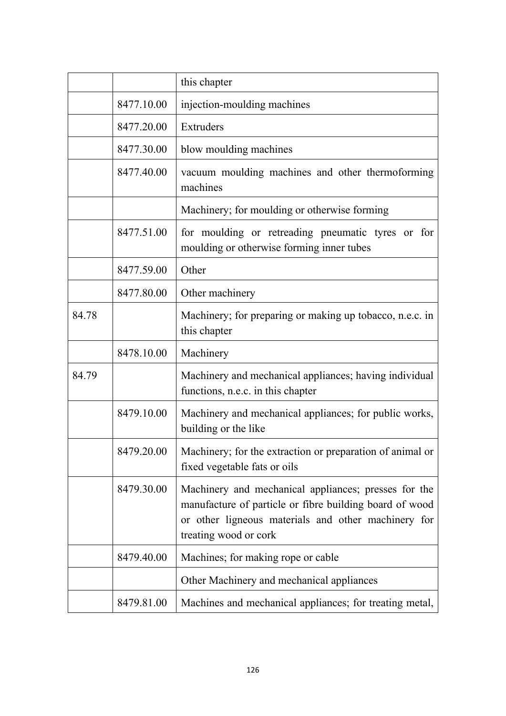|       |            | this chapter                                                                                                                                                                                    |
|-------|------------|-------------------------------------------------------------------------------------------------------------------------------------------------------------------------------------------------|
|       | 8477.10.00 | injection-moulding machines                                                                                                                                                                     |
|       | 8477.20.00 | Extruders                                                                                                                                                                                       |
|       | 8477.30.00 | blow moulding machines                                                                                                                                                                          |
|       | 8477.40.00 | vacuum moulding machines and other thermoforming<br>machines                                                                                                                                    |
|       |            | Machinery; for moulding or otherwise forming                                                                                                                                                    |
|       | 8477.51.00 | for moulding or retreading pneumatic tyres or for<br>moulding or otherwise forming inner tubes                                                                                                  |
|       | 8477.59.00 | Other                                                                                                                                                                                           |
|       | 8477.80.00 | Other machinery                                                                                                                                                                                 |
| 84.78 |            | Machinery; for preparing or making up tobacco, n.e.c. in<br>this chapter                                                                                                                        |
|       | 8478.10.00 | Machinery                                                                                                                                                                                       |
| 84.79 |            | Machinery and mechanical appliances; having individual<br>functions, n.e.c. in this chapter                                                                                                     |
|       | 8479.10.00 | Machinery and mechanical appliances; for public works,<br>building or the like                                                                                                                  |
|       | 8479.20.00 | Machinery; for the extraction or preparation of animal or<br>fixed vegetable fats or oils                                                                                                       |
|       | 8479.30.00 | Machinery and mechanical appliances; presses for the<br>manufacture of particle or fibre building board of wood<br>or other ligneous materials and other machinery for<br>treating wood or cork |
|       | 8479.40.00 | Machines; for making rope or cable                                                                                                                                                              |
|       |            | Other Machinery and mechanical appliances                                                                                                                                                       |
|       | 8479.81.00 | Machines and mechanical appliances; for treating metal,                                                                                                                                         |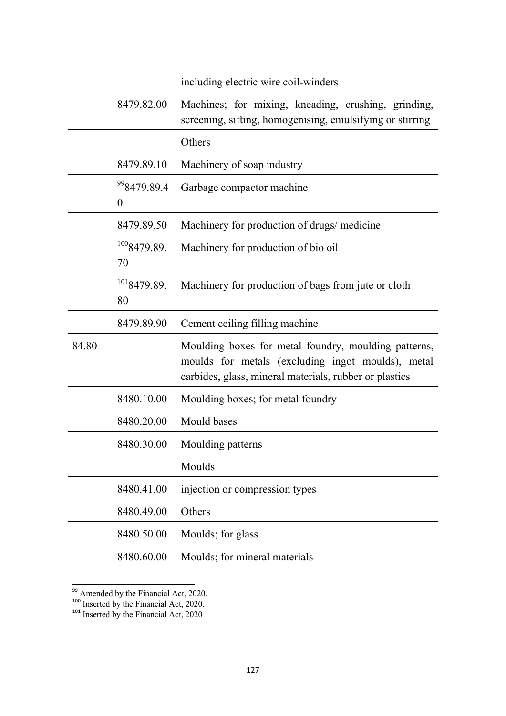|       |                                             | including electric wire coil-winders                                                                                                                                |
|-------|---------------------------------------------|---------------------------------------------------------------------------------------------------------------------------------------------------------------------|
|       | 8479.82.00                                  | Machines; for mixing, kneading, crushing, grinding,<br>screening, sifting, homogenising, emulsifying or stirring                                                    |
|       |                                             | Others                                                                                                                                                              |
|       | 8479.89.10                                  | Machinery of soap industry                                                                                                                                          |
|       | <sup>99</sup> 8479.89.4<br>$\boldsymbol{0}$ | Garbage compactor machine                                                                                                                                           |
|       | 8479.89.50                                  | Machinery for production of drugs/ medicine                                                                                                                         |
|       | 1008479.89.<br>70                           | Machinery for production of bio oil                                                                                                                                 |
|       | 1018479.89.<br>80                           | Machinery for production of bags from jute or cloth                                                                                                                 |
|       | 8479.89.90                                  | Cement ceiling filling machine                                                                                                                                      |
| 84.80 |                                             | Moulding boxes for metal foundry, moulding patterns,<br>moulds for metals (excluding ingot moulds), metal<br>carbides, glass, mineral materials, rubber or plastics |
|       | 8480.10.00                                  | Moulding boxes; for metal foundry                                                                                                                                   |
|       | 8480.20.00                                  | Mould bases                                                                                                                                                         |
|       | 8480.30.00                                  | Moulding patterns                                                                                                                                                   |
|       |                                             | Moulds                                                                                                                                                              |
|       | 8480.41.00                                  | injection or compression types                                                                                                                                      |
|       | 8480.49.00                                  | Others                                                                                                                                                              |
|       | 8480.50.00                                  | Moulds; for glass                                                                                                                                                   |
|       | 8480.60.00                                  | Moulds; for mineral materials                                                                                                                                       |

<sup>&</sup>lt;sup>99</sup> Amended by the Financial Act, 2020.

 $100$  Inserted by the Financial Act, 2020.

<sup>&</sup>lt;sup>101</sup> Inserted by the Financial Act, 2020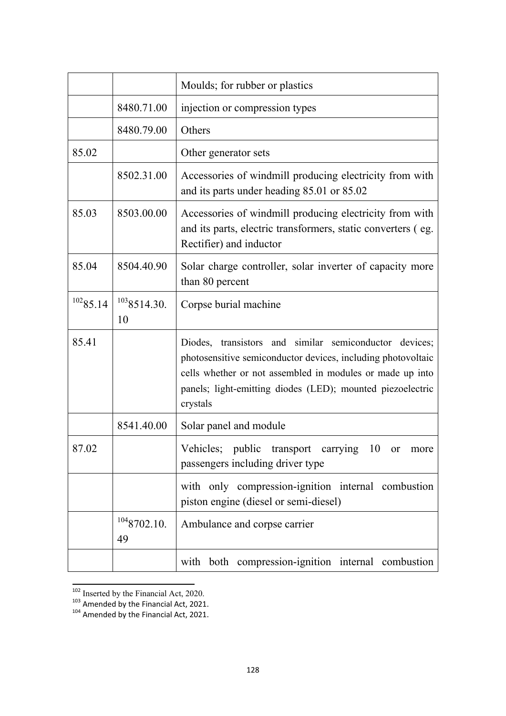|          |                   | Moulds; for rubber or plastics                                                                                                                                                                                                                                |
|----------|-------------------|---------------------------------------------------------------------------------------------------------------------------------------------------------------------------------------------------------------------------------------------------------------|
|          | 8480.71.00        | injection or compression types                                                                                                                                                                                                                                |
|          | 8480.79.00        | Others                                                                                                                                                                                                                                                        |
| 85.02    |                   | Other generator sets                                                                                                                                                                                                                                          |
|          | 8502.31.00        | Accessories of windmill producing electricity from with<br>and its parts under heading 85.01 or 85.02                                                                                                                                                         |
| 85.03    | 8503.00.00        | Accessories of windmill producing electricity from with<br>and its parts, electric transformers, static converters (eg.<br>Rectifier) and inductor                                                                                                            |
| 85.04    | 8504.40.90        | Solar charge controller, solar inverter of capacity more<br>than 80 percent                                                                                                                                                                                   |
| 10285.14 | 1038514.30.<br>10 | Corpse burial machine                                                                                                                                                                                                                                         |
| 85.41    |                   | Diodes, transistors and similar semiconductor devices;<br>photosensitive semiconductor devices, including photovoltaic<br>cells whether or not assembled in modules or made up into<br>panels; light-emitting diodes (LED); mounted piezoelectric<br>crystals |
|          | 8541.40.00        | Solar panel and module                                                                                                                                                                                                                                        |
| 87.02    |                   | Vehicles;<br>public<br>10<br>transport<br>carrying<br><b>or</b><br>more<br>passengers including driver type                                                                                                                                                   |
|          |                   | with only compression-ignition internal combustion<br>piston engine (diesel or semi-diesel)                                                                                                                                                                   |
|          | 1048702.10.<br>49 | Ambulance and corpse carrier                                                                                                                                                                                                                                  |
|          |                   | with both compression-ignition internal combustion                                                                                                                                                                                                            |

<sup>&</sup>lt;sup>102</sup> Inserted by the Financial Act, 2020.

 $103$  Amended by the Financial Act, 2021.<br> $104$  Amended by the Financial Act, 2021.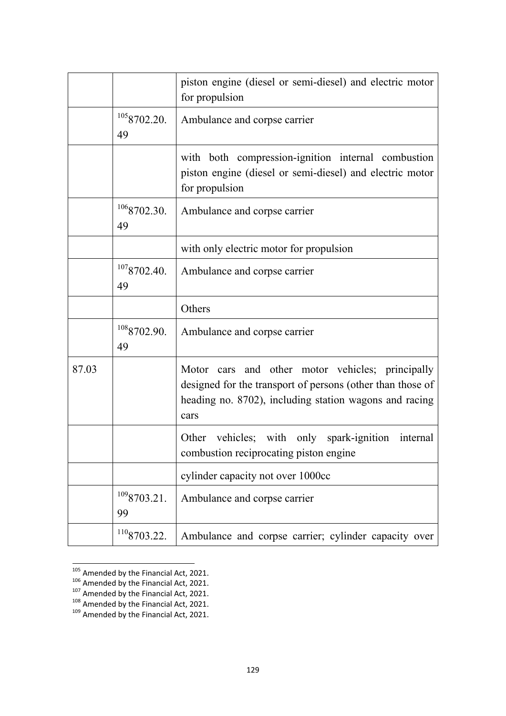|       |                   | piston engine (diesel or semi-diesel) and electric motor<br>for propulsion                                                                                                       |
|-------|-------------------|----------------------------------------------------------------------------------------------------------------------------------------------------------------------------------|
|       | 1058702.20.<br>49 | Ambulance and corpse carrier                                                                                                                                                     |
|       |                   | with both compression-ignition internal combustion<br>piston engine (diesel or semi-diesel) and electric motor<br>for propulsion                                                 |
|       | 1068702.30.<br>49 | Ambulance and corpse carrier                                                                                                                                                     |
|       |                   | with only electric motor for propulsion                                                                                                                                          |
|       | 1078702.40.<br>49 | Ambulance and corpse carrier                                                                                                                                                     |
|       |                   | Others                                                                                                                                                                           |
|       | 1088702.90.<br>49 | Ambulance and corpse carrier                                                                                                                                                     |
| 87.03 |                   | Motor cars and other motor vehicles; principally<br>designed for the transport of persons (other than those of<br>heading no. 8702), including station wagons and racing<br>cars |
|       |                   | Other vehicles; with only spark-ignition internal<br>combustion reciprocating piston engine                                                                                      |
|       |                   | cylinder capacity not over 1000cc                                                                                                                                                |
|       | 1098703.21.<br>99 | Ambulance and corpse carrier                                                                                                                                                     |
|       | 1108703.22.       | Ambulance and corpse carrier; cylinder capacity over                                                                                                                             |

<sup>&</sup>lt;sup>105</sup> Amended by the Financial Act, 2021.<br><sup>106</sup> Amended by the Financial Act, 2021.<br><sup>107</sup> Amended by the Financial Act, 2021.<br><sup>109</sup> Amended by the Financial Act, 2021.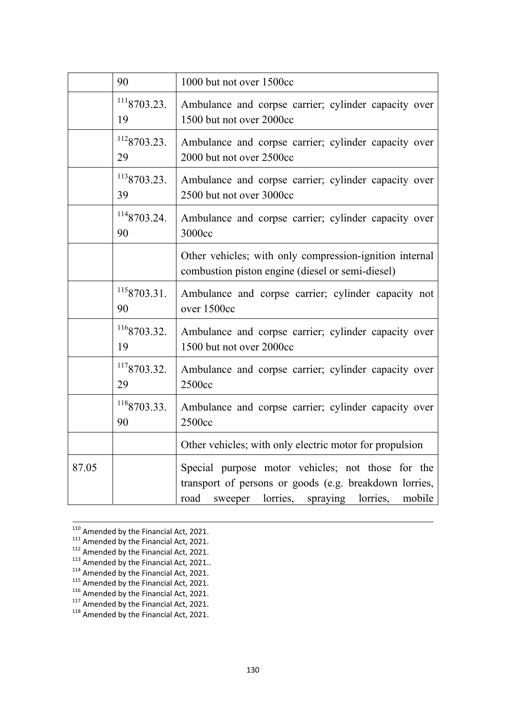|       | 90                | 1000 but not over 1500cc                                                                                                                                            |
|-------|-------------------|---------------------------------------------------------------------------------------------------------------------------------------------------------------------|
|       | 1118703.23.<br>19 | Ambulance and corpse carrier; cylinder capacity over<br>1500 but not over 2000cc                                                                                    |
|       | 1128703.23.<br>29 | Ambulance and corpse carrier; cylinder capacity over<br>2000 but not over 2500cc                                                                                    |
|       | 1138703.23.<br>39 | Ambulance and corpse carrier; cylinder capacity over<br>2500 but not over 3000cc                                                                                    |
|       | 1148703.24.<br>90 | Ambulance and corpse carrier; cylinder capacity over<br>3000cc                                                                                                      |
|       |                   | Other vehicles; with only compression-ignition internal<br>combustion piston engine (diesel or semi-diesel)                                                         |
|       | 1158703.31.<br>90 | Ambulance and corpse carrier; cylinder capacity not<br>over 1500cc                                                                                                  |
|       | 1168703.32.<br>19 | Ambulance and corpse carrier; cylinder capacity over<br>1500 but not over 2000cc                                                                                    |
|       | 1178703.32.<br>29 | Ambulance and corpse carrier; cylinder capacity over<br>2500cc                                                                                                      |
|       | 1188703.33.<br>90 | Ambulance and corpse carrier; cylinder capacity over<br>2500cc                                                                                                      |
|       |                   | Other vehicles; with only electric motor for propulsion                                                                                                             |
| 87.05 |                   | Special purpose motor vehicles; not those for the<br>transport of persons or goods (e.g. breakdown lorries,<br>sweeper lorries, spraying lorries,<br>road<br>mobile |

 $\frac{110}{111}$  Amended by the Financial Act, 2021.<br>  $\frac{111}{112}$  Amended by the Financial Act, 2021.<br>  $\frac{112}{112}$  Amended by the Financial Act, 2021.<br>  $\frac{113}{113}$  Amended by the Financial Act, 2021.<br>  $\frac{114}{115}$  Ame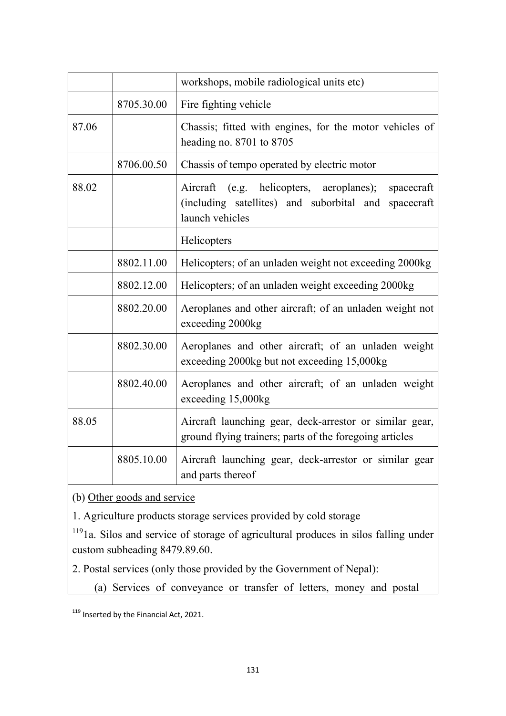|       |            | workshops, mobile radiological units etc)                                                                                         |
|-------|------------|-----------------------------------------------------------------------------------------------------------------------------------|
|       | 8705.30.00 | Fire fighting vehicle                                                                                                             |
| 87.06 |            | Chassis; fitted with engines, for the motor vehicles of<br>heading no. 8701 to 8705                                               |
|       | 8706.00.50 | Chassis of tempo operated by electric motor                                                                                       |
| 88.02 |            | Aircraft (e.g. helicopters, aeroplanes);<br>spacecraft<br>(including satellites) and suborbital and spacecraft<br>launch vehicles |
|       |            | Helicopters                                                                                                                       |
|       | 8802.11.00 | Helicopters; of an unladen weight not exceeding 2000kg                                                                            |
|       | 8802.12.00 | Helicopters; of an unladen weight exceeding 2000kg                                                                                |
|       | 8802.20.00 | Aeroplanes and other aircraft; of an unladen weight not<br>exceeding 2000kg                                                       |
|       | 8802.30.00 | Aeroplanes and other aircraft; of an unladen weight<br>exceeding 2000kg but not exceeding 15,000kg                                |
|       | 8802.40.00 | Aeroplanes and other aircraft; of an unladen weight<br>exceeding 15,000kg                                                         |
| 88.05 |            | Aircraft launching gear, deck-arrestor or similar gear,<br>ground flying trainers; parts of the foregoing articles                |
|       | 8805.10.00 | Aircraft launching gear, deck-arrestor or similar gear<br>and parts thereof                                                       |

(b) Other goods and service

1. Agriculture products storage services provided by cold storage

<sup>119</sup>1a. Silos and service of storage of agricultural produces in silos falling under custom subheading 8479.89.60.

2. Postal services (only those provided by the Government of Nepal):

(a) Services of conveyance or transfer of letters, money and postal

 $\frac{119}{119}$  Inserted by the Financial Act, 2021.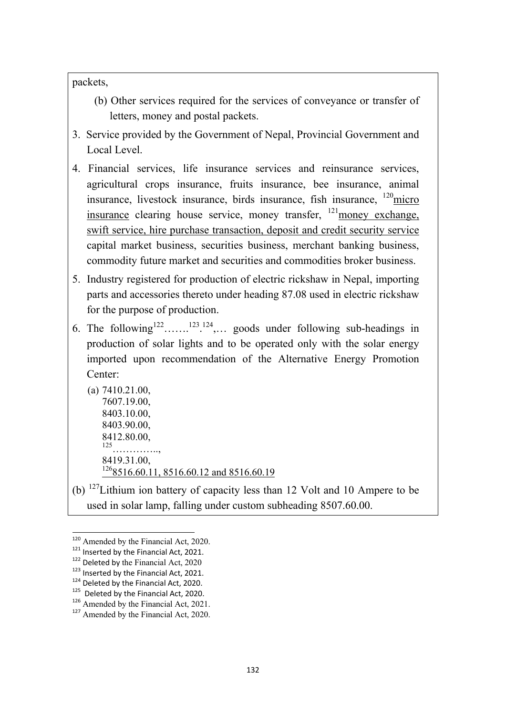packets,

- (b) Other services required for the services of conveyance or transfer of letters, money and postal packets.
- 3. Service provided by the Government of Nepal, Provincial Government and Local Level.
- 4. Financial services, life insurance services and reinsurance services, agricultural crops insurance, fruits insurance, bee insurance, animal insurance, livestock insurance, birds insurance, fish insurance,  $\frac{120}{2}$ micro insurance clearing house service, money transfer,  $^{121}$ money exchange, swift service, hire purchase transaction, deposit and credit security service capital market business, securities business, merchant banking business, commodity future market and securities and commodities broker business.
- 5. Industry registered for production of electric rickshaw in Nepal, importing parts and accessories thereto under heading 87.08 used in electric rickshaw for the purpose of production.
- 6. The following  $122$ .......<sup>123</sup>.<sup>124</sup>,... goods under following sub-headings in production of solar lights and to be operated only with the solar energy imported upon recommendation of the Alternative Energy Promotion Center:
	- (a) 7410.21.00, 7607.19.00, 8403.10.00, 8403.90.00, 8412.80.00, 125………….., 8419.31.00, <sup>126</sup>8516.60.11, 8516.60.12 and 8516.60.19
- (b) 127Lithium ion battery of capacity less than 12 Volt and 10 Ampere to be used in solar lamp, falling under custom subheading 8507.60.00.

 $120$  Amended by the Financial Act, 2020.<br> $121$  Inserted by the Financial Act, 2021.

<sup>&</sup>lt;sup>122</sup> Deleted by the Financial Act, 2020<br><sup>123</sup> Inserted by the Financial Act, 2021.<br><sup>124</sup> Deleted by the Financial Act, 2020.<br><sup>125</sup> Deleted by the Financial Act, 2020.<br><sup>126</sup> Amended by the Financial Act, 2021.

<sup>&</sup>lt;sup>127</sup> Amended by the Financial Act, 2020.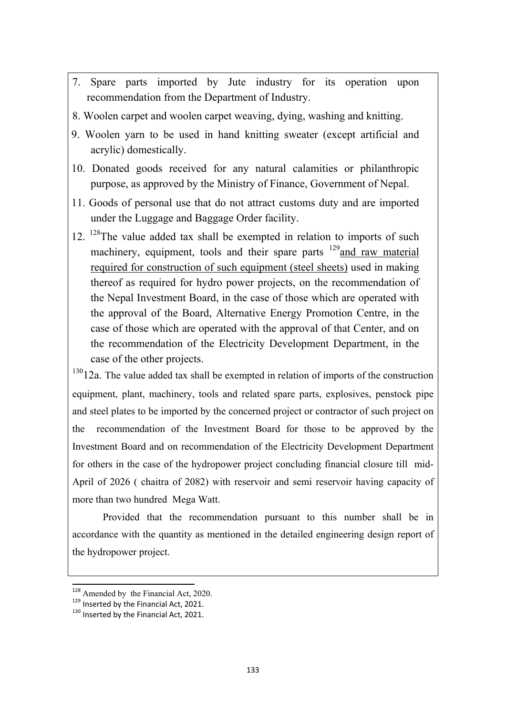- 7. Spare parts imported by Jute industry for its operation upon recommendation from the Department of Industry.
- 8. Woolen carpet and woolen carpet weaving, dying, washing and knitting.
- 9. Woolen yarn to be used in hand knitting sweater (except artificial and acrylic) domestically.
- 10. Donated goods received for any natural calamities or philanthropic purpose, as approved by the Ministry of Finance, Government of Nepal.
- 11. Goods of personal use that do not attract customs duty and are imported under the Luggage and Baggage Order facility.
- 12. <sup>128</sup>The value added tax shall be exempted in relation to imports of such machinery, equipment, tools and their spare parts  $129$  and raw material required for construction of such equipment (steel sheets) used in making thereof as required for hydro power projects, on the recommendation of the Nepal Investment Board, in the case of those which are operated with the approval of the Board, Alternative Energy Promotion Centre, in the case of those which are operated with the approval of that Center, and on the recommendation of the Electricity Development Department, in the case of the other projects.

 $13012a$ . The value added tax shall be exempted in relation of imports of the construction equipment, plant, machinery, tools and related spare parts, explosives, penstock pipe and steel plates to be imported by the concerned project or contractor of such project on the recommendation of the Investment Board for those to be approved by the Investment Board and on recommendation of the Electricity Development Department for others in the case of the hydropower project concluding financial closure till mid-April of 2026 ( chaitra of 2082) with reservoir and semi reservoir having capacity of more than two hundred Mega Watt.

Provided that the recommendation pursuant to this number shall be in accordance with the quantity as mentioned in the detailed engineering design report of the hydropower project.

<sup>&</sup>lt;sup>128</sup> Amended by the Financial Act, 2020.<br><sup>129</sup> Inserted by the Financial Act, 2021.

 $130$  Inserted by the Financial Act, 2021.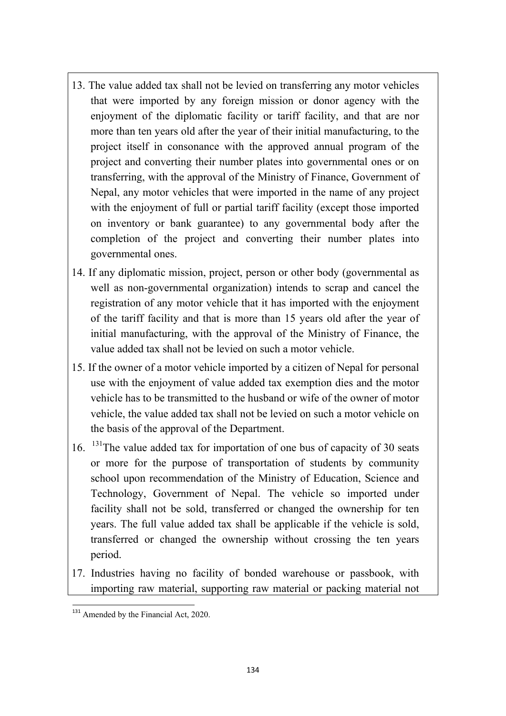- 13. The value added tax shall not be levied on transferring any motor vehicles that were imported by any foreign mission or donor agency with the enjoyment of the diplomatic facility or tariff facility, and that are nor more than ten years old after the year of their initial manufacturing, to the project itself in consonance with the approved annual program of the project and converting their number plates into governmental ones or on transferring, with the approval of the Ministry of Finance, Government of Nepal, any motor vehicles that were imported in the name of any project with the enjoyment of full or partial tariff facility (except those imported on inventory or bank guarantee) to any governmental body after the completion of the project and converting their number plates into governmental ones.
- 14. If any diplomatic mission, project, person or other body (governmental as well as non-governmental organization) intends to scrap and cancel the registration of any motor vehicle that it has imported with the enjoyment of the tariff facility and that is more than 15 years old after the year of initial manufacturing, with the approval of the Ministry of Finance, the value added tax shall not be levied on such a motor vehicle.
- 15. If the owner of a motor vehicle imported by a citizen of Nepal for personal use with the enjoyment of value added tax exemption dies and the motor vehicle has to be transmitted to the husband or wife of the owner of motor vehicle, the value added tax shall not be levied on such a motor vehicle on the basis of the approval of the Department.
- 16. 131The value added tax for importation of one bus of capacity of 30 seats or more for the purpose of transportation of students by community school upon recommendation of the Ministry of Education, Science and Technology, Government of Nepal. The vehicle so imported under facility shall not be sold, transferred or changed the ownership for ten years. The full value added tax shall be applicable if the vehicle is sold, transferred or changed the ownership without crossing the ten years period.
- 17. Industries having no facility of bonded warehouse or passbook, with importing raw material, supporting raw material or packing material not

<sup>&</sup>lt;sup>131</sup> Amended by the Financial Act, 2020.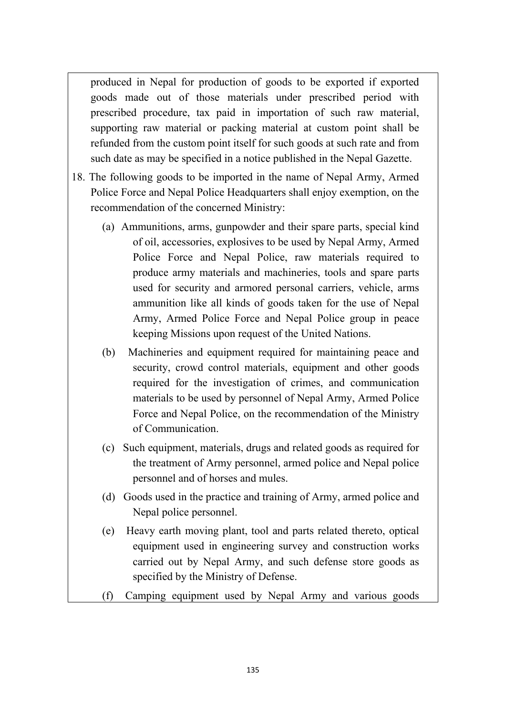produced in Nepal for production of goods to be exported if exported goods made out of those materials under prescribed period with prescribed procedure, tax paid in importation of such raw material, supporting raw material or packing material at custom point shall be refunded from the custom point itself for such goods at such rate and from such date as may be specified in a notice published in the Nepal Gazette.

- 18. The following goods to be imported in the name of Nepal Army, Armed Police Force and Nepal Police Headquarters shall enjoy exemption, on the recommendation of the concerned Ministry:
	- (a) Ammunitions, arms, gunpowder and their spare parts, special kind of oil, accessories, explosives to be used by Nepal Army, Armed Police Force and Nepal Police, raw materials required to produce army materials and machineries, tools and spare parts used for security and armored personal carriers, vehicle, arms ammunition like all kinds of goods taken for the use of Nepal Army, Armed Police Force and Nepal Police group in peace keeping Missions upon request of the United Nations.
	- (b) Machineries and equipment required for maintaining peace and security, crowd control materials, equipment and other goods required for the investigation of crimes, and communication materials to be used by personnel of Nepal Army, Armed Police Force and Nepal Police, on the recommendation of the Ministry of Communication.
	- (c) Such equipment, materials, drugs and related goods as required for the treatment of Army personnel, armed police and Nepal police personnel and of horses and mules.
	- (d) Goods used in the practice and training of Army, armed police and Nepal police personnel.
	- (e) Heavy earth moving plant, tool and parts related thereto, optical equipment used in engineering survey and construction works carried out by Nepal Army, and such defense store goods as specified by the Ministry of Defense.
	- (f) Camping equipment used by Nepal Army and various goods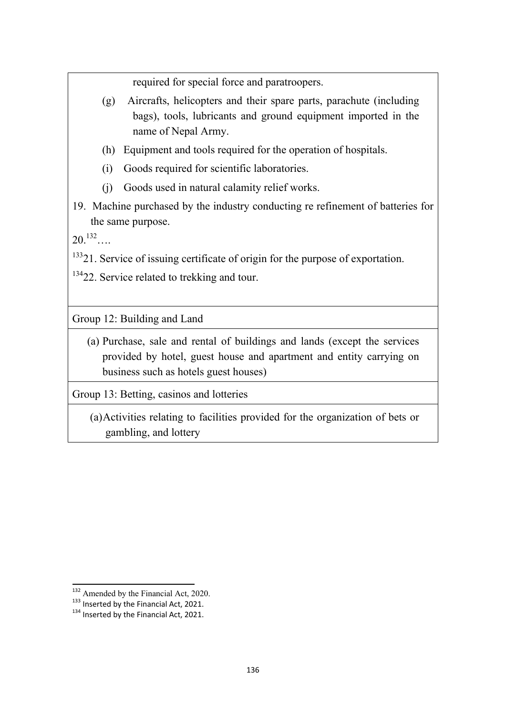required for special force and paratroopers.

- (g) Aircrafts, helicopters and their spare parts, parachute (including bags), tools, lubricants and ground equipment imported in the name of Nepal Army.
- (h) Equipment and tools required for the operation of hospitals.
- (i) Goods required for scientific laboratories.
- (j) Goods used in natural calamity relief works.
- 19. Machine purchased by the industry conducting re refinement of batteries for the same purpose.

 $20^{132}$ …

<sup>133</sup>21. Service of issuing certificate of origin for the purpose of exportation.

<sup>134</sup>22. Service related to trekking and tour.

Group 12: Building and Land

(a) Purchase, sale and rental of buildings and lands (except the services provided by hotel, guest house and apartment and entity carrying on business such as hotels guest houses)

Group 13: Betting, casinos and lotteries

(a)Activities relating to facilities provided for the organization of bets or gambling, and lottery

 $132$  Amended by the Financial Act, 2020.<br> $133$  Inserted by the Financial Act, 2021.

<sup>133</sup> Inserted by the Financial Act, 2021. 134 Inserted by the Financial Act, 2021.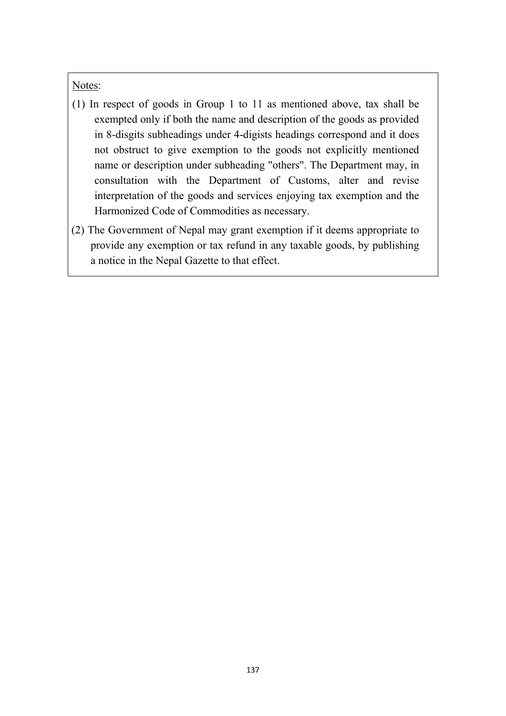## Notes:

- (1) In respect of goods in Group 1 to 11 as mentioned above, tax shall be exempted only if both the name and description of the goods as provided in 8-disgits subheadings under 4-digists headings correspond and it does not obstruct to give exemption to the goods not explicitly mentioned name or description under subheading "others". The Department may, in consultation with the Department of Customs, alter and revise interpretation of the goods and services enjoying tax exemption and the Harmonized Code of Commodities as necessary.
- (2) The Government of Nepal may grant exemption if it deems appropriate to provide any exemption or tax refund in any taxable goods, by publishing a notice in the Nepal Gazette to that effect.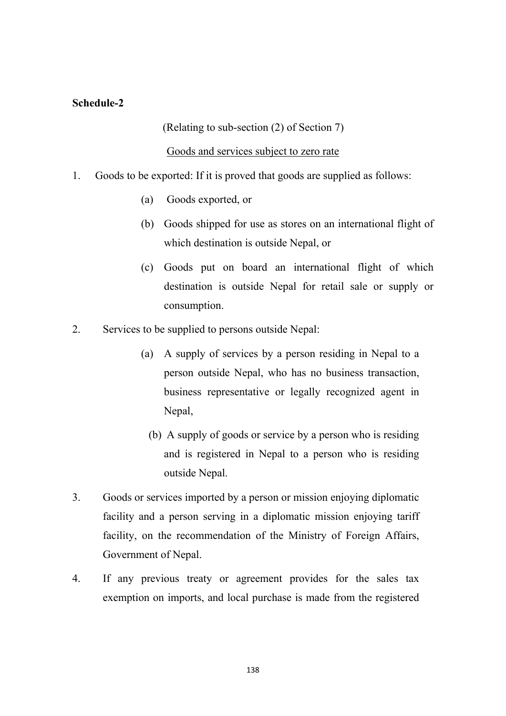## **Schedule-2**

## (Relating to sub-section (2) of Section 7)

## Goods and services subject to zero rate

- 1. Goods to be exported: If it is proved that goods are supplied as follows:
	- (a) Goods exported, or
	- (b) Goods shipped for use as stores on an international flight of which destination is outside Nepal, or
	- (c) Goods put on board an international flight of which destination is outside Nepal for retail sale or supply or consumption.
- 2. Services to be supplied to persons outside Nepal:
	- (a) A supply of services by a person residing in Nepal to a person outside Nepal, who has no business transaction, business representative or legally recognized agent in Nepal,
		- (b) A supply of goods or service by a person who is residing and is registered in Nepal to a person who is residing outside Nepal.
- 3. Goods or services imported by a person or mission enjoying diplomatic facility and a person serving in a diplomatic mission enjoying tariff facility, on the recommendation of the Ministry of Foreign Affairs, Government of Nepal.
- 4. If any previous treaty or agreement provides for the sales tax exemption on imports, and local purchase is made from the registered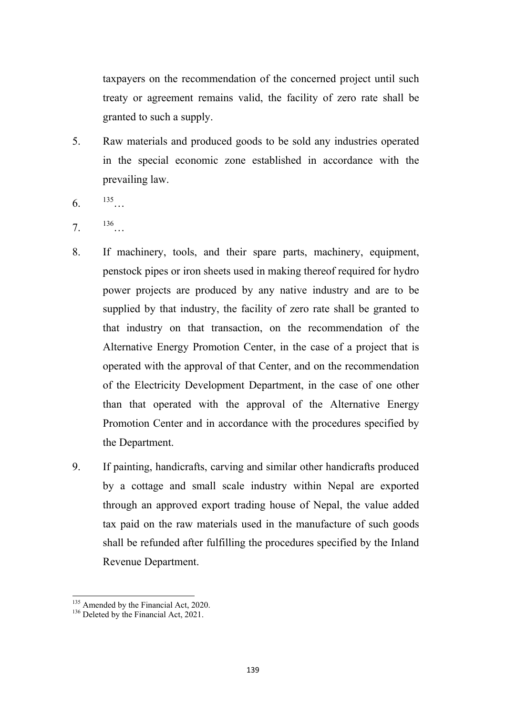taxpayers on the recommendation of the concerned project until such treaty or agreement remains valid, the facility of zero rate shall be granted to such a supply.

- 5. Raw materials and produced goods to be sold any industries operated in the special economic zone established in accordance with the prevailing law.
- $6.$  135
- 7.  $136...$
- 8. If machinery, tools, and their spare parts, machinery, equipment, penstock pipes or iron sheets used in making thereof required for hydro power projects are produced by any native industry and are to be supplied by that industry, the facility of zero rate shall be granted to that industry on that transaction, on the recommendation of the Alternative Energy Promotion Center, in the case of a project that is operated with the approval of that Center, and on the recommendation of the Electricity Development Department, in the case of one other than that operated with the approval of the Alternative Energy Promotion Center and in accordance with the procedures specified by the Department.
- 9. If painting, handicrafts, carving and similar other handicrafts produced by a cottage and small scale industry within Nepal are exported through an approved export trading house of Nepal, the value added tax paid on the raw materials used in the manufacture of such goods shall be refunded after fulfilling the procedures specified by the Inland Revenue Department.

<sup>&</sup>lt;sup>135</sup> Amended by the Financial Act, 2020.

 $^{136}$  Deleted by the Financial Act, 2021.